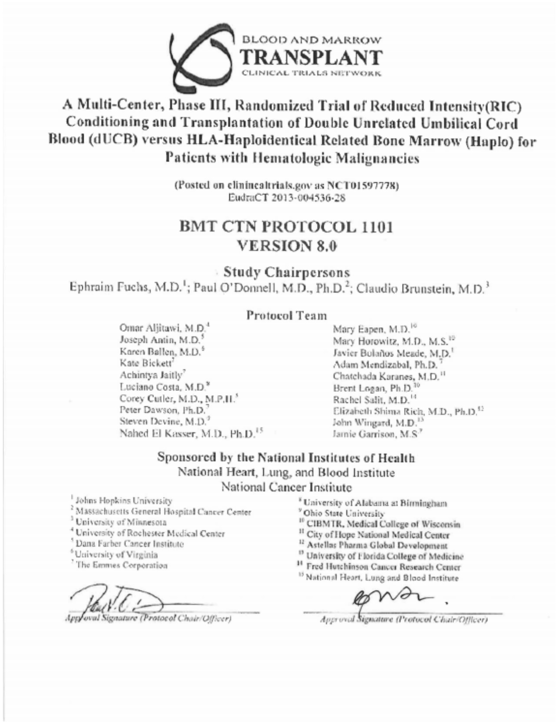

# A Multi-Center, Phase III, Randomized Trial of Reduced Intensity(RIC) **A Multi-Center, Phase III, A. Handoff and Delated Trial Money, Alexandric III, R. 198 Condition** (Conditioning and Transport United United United United United United United United United United U<br>Conditions of Double United United United United United United United United United United United United Unite **Patients with Hematologic Malignancies**

(Posted on elininealtrials.gov as NCT01597778) EudraCT 2013-004536-28

# BMT CTN PROTOCOL 1101 **VERSION 8.0**

**Study Chairpersons** 

Ephraim Fuchs, M.D.<sup>1</sup>; Paul O'Donnell, M.D., Ph.D.<sup>2</sup>; Claudio Brunstein, M.D.<sup>3</sup>

#### **Study Chairpersons** Protocol Team

- Omar Aljitawi, M.D.<sup>1</sup> Joseph Antin, M.D.<sup>3</sup> Karen Ballen, M.D.<sup>4</sup><br>Kate Bickett<sup>7</sup> Achintya Jaitly<sup>7</sup> Luciano Costa, M.D.<sup>8</sup> Corey Cutler, M.D., M.P.H.<sup>3</sup> Peter Dawson, Ph.D.<sup>7</sup> Steven Devine, M.D.<sup>9</sup> Corey Cutler, M.D., M.D., M.D., M. Peter Dawson, Ph.D.<sup>7</sup>
- Mary Eapen, M.D.<sup>10</sup> Mary Horowitz, M.D., M.S.<sup>10</sup> Javier Bolaños Meade, M.D.<sup>1</sup><br>Adam Mendizabal, Ph.D.<sup>7</sup> Mary Mendizabar, M.D., M.<br>Chatcharle Mary 1996, M.D., M. Grandmada Karanes, M.D.1. Brent Logan, Ph.D.<sup>10</sup><br>Rachel Salit, M.D.<sup>14</sup> Chatchada Karanes, M.D.11 Brend Dennis R.<br>100 - Ph.D.100 Brendt, P.A.100 Rachel Schulzgard, M.<br>14 November - An Elizabeth Carriston, M.D.

#### Steven Devine, M.D.9 Sponsored by the John Wingard, M.D.<sup>13</sup> aututes of Health **Sponsored By Analyzine By Additional Cancer Institute**<br>Sponsore is university of Alabama at Birmingham

<sup>2</sup> Massachusetts General Hospital Cancer Center <sup>9</sup> Ohio State University

<sup>3</sup> University of Minnesota

- <sup>4</sup> University of Rochester Medical Center<br><sup>5</sup> Dana Farber Cancer Institute
- 
- <sup>6</sup> University of Virginia
- <sup>4</sup> The Emmes Corporation

 $\bigcap$   $\bigcap$  $\frac{1}{2}$ 

Apryloval Signature (Protocol Chair/Officer)

- 
- <sup>10</sup> CIBMTR, Medical College of Wisconsin
- <sup>11</sup> City of Hope National Medical Center
- <sup>12</sup> Astellas Pharma Global Development<br><sup>13</sup> University of Florida College of Medicine
- 
- 
- 

<sup>11</sup> Fred Hutchinson Cancer Research Center<br><sup>17</sup> National Heart, Lung and Blood Institute<br>**Approved Signature (Protocol Chuir/Officer)**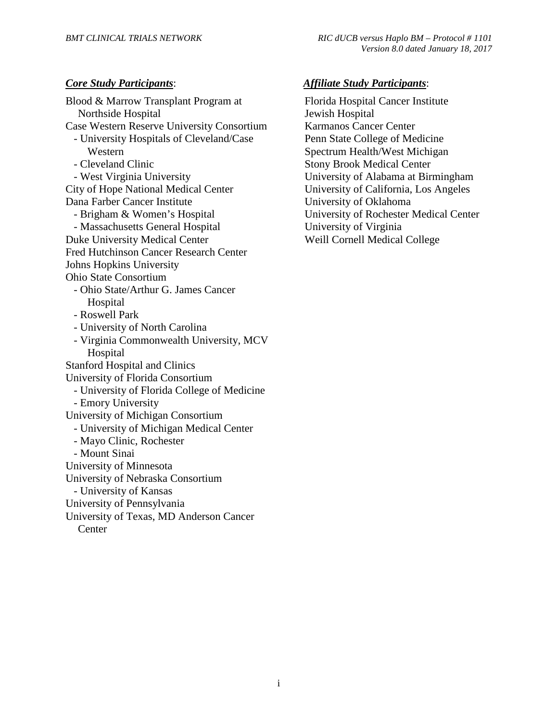Blood & Marrow Transplant Program at Northside Hospital Case Western Reserve University Consortium - University Hospitals of Cleveland/Case Western - Cleveland Clinic - West Virginia University City of Hope National Medical Center Dana Farber Cancer Institute - Brigham & Women's Hospital - Massachusetts General Hospital Duke University Medical Center Fred Hutchinson Cancer Research Center Johns Hopkins University Ohio State Consortium - Ohio State/Arthur G. James Cancer Hospital - Roswell Park - University of North Carolina - Virginia Commonwealth University, MCV Hospital Stanford Hospital and Clinics University of Florida Consortium - University of Florida College of Medicine - Emory University University of Michigan Consortium - University of Michigan Medical Center - Mayo Clinic, Rochester - Mount Sinai University of Minnesota University of Nebraska Consortium - University of Kansas University of Pennsylvania University of Texas, MD Anderson Cancer **Center** 

### *Core Study Participants*: *Affiliate Study Participants*:

Florida Hospital Cancer Institute Jewish Hospital Karmanos Cancer Center Penn State College of Medicine Spectrum Health/West Michigan Stony Brook Medical Center University of Alabama at Birmingham University of California, Los Angeles University of Oklahoma University of Rochester Medical Center University of Virginia Weill Cornell Medical College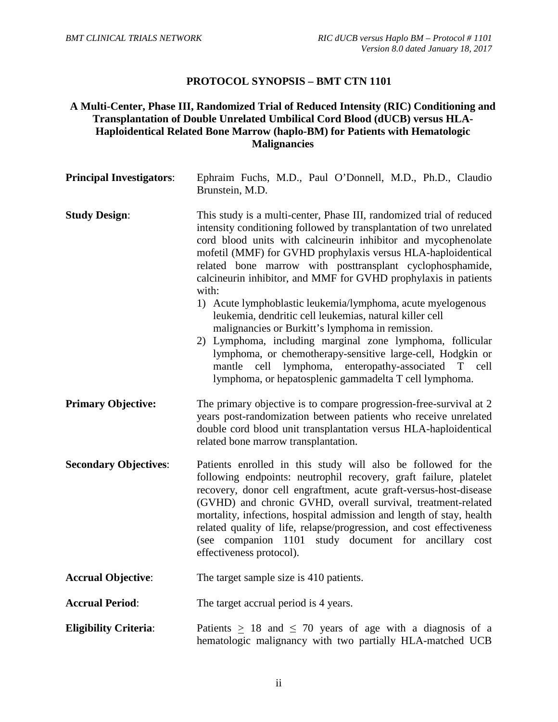#### **PROTOCOL SYNOPSIS – BMT CTN 1101**

#### **A Multi-Center, Phase III, Randomized Trial of Reduced Intensity (RIC) Conditioning and Transplantation of Double Unrelated Umbilical Cord Blood (dUCB) versus HLA-Haploidentical Related Bone Marrow (haplo-BM) for Patients with Hematologic Malignancies**

| <b>Principal Investigators:</b> | Ephraim Fuchs, M.D., Paul O'Donnell, M.D., Ph.D., Claudio<br>Brunstein, M.D.                                                                                                                                                                                                                                                                                                                                                                                                                                                                                                                                                                                                                                                                                                                                                                       |  |  |  |
|---------------------------------|----------------------------------------------------------------------------------------------------------------------------------------------------------------------------------------------------------------------------------------------------------------------------------------------------------------------------------------------------------------------------------------------------------------------------------------------------------------------------------------------------------------------------------------------------------------------------------------------------------------------------------------------------------------------------------------------------------------------------------------------------------------------------------------------------------------------------------------------------|--|--|--|
| <b>Study Design:</b>            | This study is a multi-center, Phase III, randomized trial of reduced<br>intensity conditioning followed by transplantation of two unrelated<br>cord blood units with calcineurin inhibitor and mycophenolate<br>mofetil (MMF) for GVHD prophylaxis versus HLA-haploidentical<br>related bone marrow with posttransplant cyclophosphamide,<br>calcineurin inhibitor, and MMF for GVHD prophylaxis in patients<br>with:<br>1) Acute lymphoblastic leukemia/lymphoma, acute myelogenous<br>leukemia, dendritic cell leukemias, natural killer cell<br>malignancies or Burkitt's lymphoma in remission.<br>2) Lymphoma, including marginal zone lymphoma, follicular<br>lymphoma, or chemotherapy-sensitive large-cell, Hodgkin or<br>cell lymphoma, enteropathy-associated T cell<br>mantle<br>lymphoma, or hepatosplenic gammadelta T cell lymphoma. |  |  |  |
| <b>Primary Objective:</b>       | The primary objective is to compare progression-free-survival at 2<br>years post-randomization between patients who receive unrelated<br>double cord blood unit transplantation versus HLA-haploidentical<br>related bone marrow transplantation.                                                                                                                                                                                                                                                                                                                                                                                                                                                                                                                                                                                                  |  |  |  |
| <b>Secondary Objectives:</b>    | Patients enrolled in this study will also be followed for the<br>following endpoints: neutrophil recovery, graft failure, platelet<br>recovery, donor cell engraftment, acute graft-versus-host-disease<br>(GVHD) and chronic GVHD, overall survival, treatment-related<br>mortality, infections, hospital admission and length of stay, health<br>related quality of life, relapse/progression, and cost effectiveness<br>(see companion 1101 study document for ancillary cost<br>effectiveness protocol).                                                                                                                                                                                                                                                                                                                                       |  |  |  |
| <b>Accrual Objective:</b>       | The target sample size is 410 patients.                                                                                                                                                                                                                                                                                                                                                                                                                                                                                                                                                                                                                                                                                                                                                                                                            |  |  |  |
| <b>Accrual Period:</b>          | The target accrual period is 4 years.                                                                                                                                                                                                                                                                                                                                                                                                                                                                                                                                                                                                                                                                                                                                                                                                              |  |  |  |
| <b>Eligibility Criteria:</b>    | Patients $\geq$ 18 and $\leq$ 70 years of age with a diagnosis of a<br>hematologic malignancy with two partially HLA-matched UCB                                                                                                                                                                                                                                                                                                                                                                                                                                                                                                                                                                                                                                                                                                                   |  |  |  |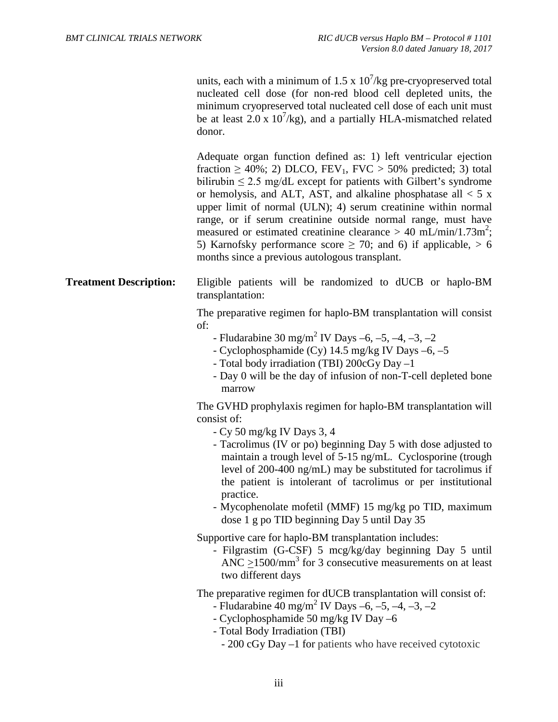units, each with a minimum of  $1.5 \times 10^7$ /kg pre-cryopreserved total nucleated cell dose (for non-red blood cell depleted units, the minimum cryopreserved total nucleated cell dose of each unit must be at least  $2.0 \times 10^7$ /kg), and a partially HLA-mismatched related donor.

Adequate organ function defined as: 1) left ventricular ejection fraction  $\geq 40\%$ ; 2) DLCO, FEV<sub>1</sub>, FVC  $> 50\%$  predicted; 3) total bilirubin  $\leq 2.5$  mg/dL except for patients with Gilbert's syndrome or hemolysis, and ALT, AST, and alkaline phosphatase all  $<$  5 x upper limit of normal (ULN); 4) serum creatinine within normal range, or if serum creatinine outside normal range, must have measured or estimated creatinine clearance  $> 40$  mL/min/1.73m<sup>2</sup>; 5) Karnofsky performance score  $\geq$  70; and 6) if applicable,  $>$  6 months since a previous autologous transplant.

**Treatment Description:** Eligible patients will be randomized to dUCB or haplo-BM transplantation:

> The preparative regimen for haplo-BM transplantation will consist of:

- Fludarabine  $30 \text{ mg/m}^2$  IV Days  $-6, -5, -4, -3, -2$
- Cyclophosphamide (Cy) 14.5 mg/kg IV Days –6, –5
- Total body irradiation (TBI) 200cGy Day –1
- Day 0 will be the day of infusion of non-T-cell depleted bone marrow

The GVHD prophylaxis regimen for haplo-BM transplantation will consist of:

- Cy 50 mg/kg IV Days 3, 4
- Tacrolimus (IV or po) beginning Day 5 with dose adjusted to maintain a trough level of 5-15 ng/mL. Cyclosporine (trough level of 200-400 ng/mL) may be substituted for tacrolimus if the patient is intolerant of tacrolimus or per institutional practice.
- Mycophenolate mofetil (MMF) 15 mg/kg po TID, maximum dose 1 g po TID beginning Day 5 until Day 35

Supportive care for haplo-BM transplantation includes:

- Filgrastim (G-CSF) 5 mcg/kg/day beginning Day 5 until ANC >1500/mm<sup>3</sup> for 3 consecutive measurements on at least two different days

The preparative regimen for dUCB transplantation will consist of:

- Fludarabine  $40 \text{ mg/m}^2$  IV Days  $-6, -5, -4, -3, -2$
- Cyclophosphamide 50 mg/kg IV Day –6
- Total Body Irradiation (TBI)
	- 200 cGy Day –1 for patients who have received cytotoxic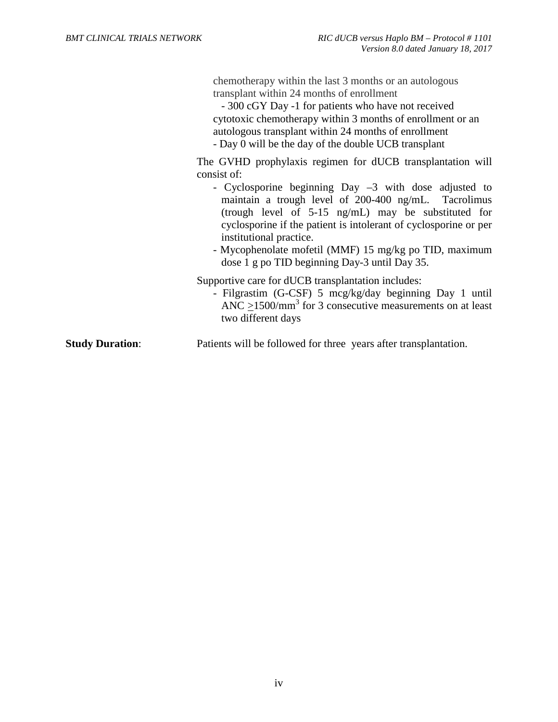|                        | chemotherapy within the last 3 months or an autologous<br>transplant within 24 months of enrollment<br>- 300 cGY Day -1 for patients who have not received<br>cytotoxic chemotherapy within 3 months of enrollment or an<br>autologous transplant within 24 months of enrollment<br>- Day 0 will be the day of the double UCB transplant                                                                                                                                |
|------------------------|-------------------------------------------------------------------------------------------------------------------------------------------------------------------------------------------------------------------------------------------------------------------------------------------------------------------------------------------------------------------------------------------------------------------------------------------------------------------------|
|                        | The GVHD prophylaxis regimen for dUCB transplantation will<br>consist of:<br>- Cyclosporine beginning Day $-3$ with dose adjusted to<br>maintain a trough level of 200-400 ng/mL. Tacrolimus<br>(trough level of $5{\text -}15$ ng/mL) may be substituted for<br>cyclosporine if the patient is intolerant of cyclosporine or per<br>institutional practice.<br>- Mycophenolate mofetil (MMF) 15 mg/kg po TID, maximum<br>dose 1 g po TID beginning Day-3 until Day 35. |
|                        | Supportive care for dUCB transplantation includes:<br>- Filgrastim (G-CSF) 5 mcg/kg/day beginning Day 1 until<br>ANC >1500/mm <sup>3</sup> for 3 consecutive measurements on at least<br>two different days                                                                                                                                                                                                                                                             |
| <b>Study Duration:</b> | Patients will be followed for three years after transplantation.                                                                                                                                                                                                                                                                                                                                                                                                        |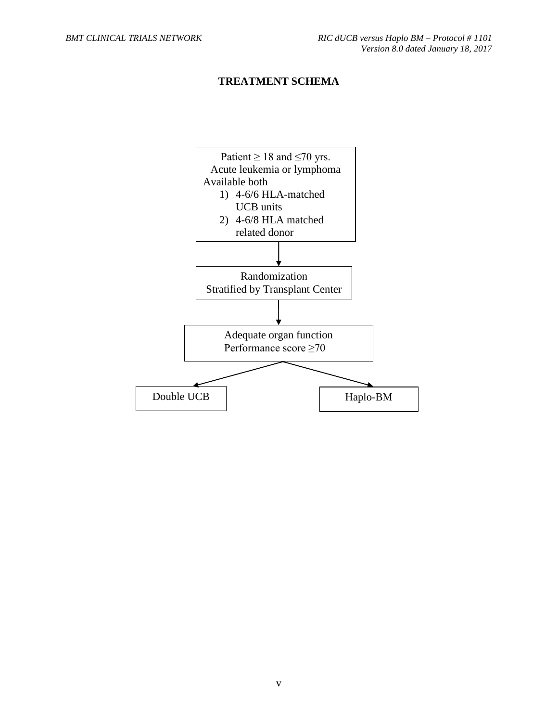### **TREATMENT SCHEMA**

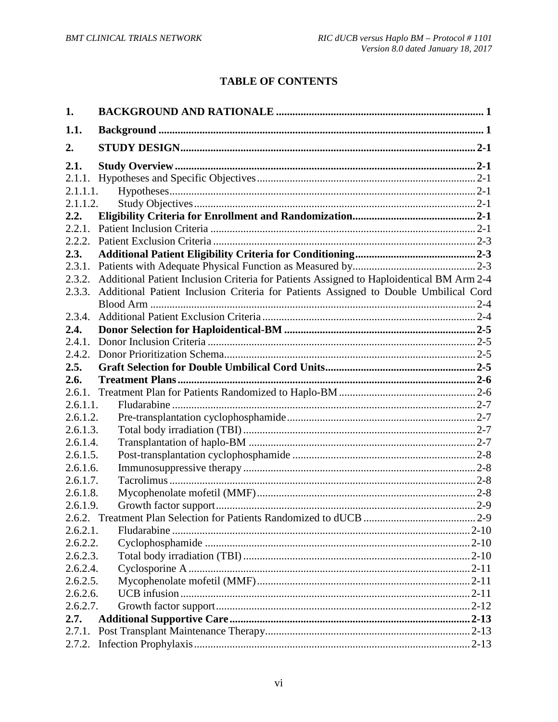## **TABLE OF CONTENTS**

| 1.       |                                                                                          |  |  |  |
|----------|------------------------------------------------------------------------------------------|--|--|--|
| 1.1.     |                                                                                          |  |  |  |
| 2.       |                                                                                          |  |  |  |
| 2.1.     |                                                                                          |  |  |  |
| 2.1.1.   |                                                                                          |  |  |  |
| 2.1.1.1. |                                                                                          |  |  |  |
| 2.1.1.2. |                                                                                          |  |  |  |
| 2.2.     |                                                                                          |  |  |  |
| 2.2.1.   |                                                                                          |  |  |  |
| 2.2.2.   |                                                                                          |  |  |  |
| 2.3.     |                                                                                          |  |  |  |
| 2.3.1.   |                                                                                          |  |  |  |
| 2.3.2.   | Additional Patient Inclusion Criteria for Patients Assigned to Haploidentical BM Arm 2-4 |  |  |  |
| 2.3.3.   | Additional Patient Inclusion Criteria for Patients Assigned to Double Umbilical Cord     |  |  |  |
|          |                                                                                          |  |  |  |
| 2.3.4.   |                                                                                          |  |  |  |
| 2.4.     |                                                                                          |  |  |  |
| 2.4.1.   |                                                                                          |  |  |  |
| 2.4.2.   |                                                                                          |  |  |  |
| 2.5.     |                                                                                          |  |  |  |
| 2.6.     |                                                                                          |  |  |  |
| 2.6.1.   |                                                                                          |  |  |  |
| 2.6.1.1. |                                                                                          |  |  |  |
| 2.6.1.2. |                                                                                          |  |  |  |
| 2.6.1.3. |                                                                                          |  |  |  |
| 2.6.1.4. |                                                                                          |  |  |  |
| 2.6.1.5. |                                                                                          |  |  |  |
| 2.6.1.6. |                                                                                          |  |  |  |
| 2.6.1.7. |                                                                                          |  |  |  |
| 2.6.1.8. |                                                                                          |  |  |  |
| 2.6.1.9. |                                                                                          |  |  |  |
| 2.6.2.   |                                                                                          |  |  |  |
| 2.6.2.1. |                                                                                          |  |  |  |
| 2.6.2.2. |                                                                                          |  |  |  |
| 2.6.2.3. |                                                                                          |  |  |  |
| 2.6.2.4. |                                                                                          |  |  |  |
| 2.6.2.5. |                                                                                          |  |  |  |
| 2.6.2.6. |                                                                                          |  |  |  |
| 2.6.2.7. |                                                                                          |  |  |  |
| 2.7.     |                                                                                          |  |  |  |
| 2.7.1.   |                                                                                          |  |  |  |
| 2.7.2.   |                                                                                          |  |  |  |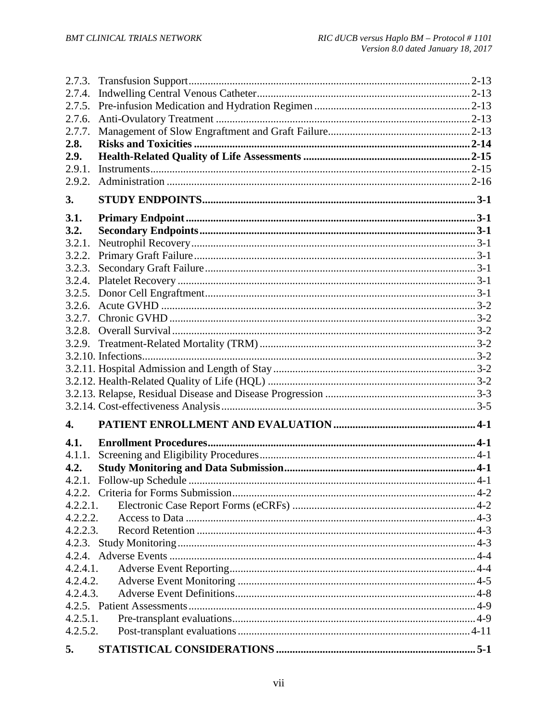| 2.7.6.      |  |  |  |  |
|-------------|--|--|--|--|
| 2.7.7.      |  |  |  |  |
| 2.8.        |  |  |  |  |
| <b>2.9.</b> |  |  |  |  |
| 2.9.1.      |  |  |  |  |
| 2.9.2.      |  |  |  |  |
| 3.          |  |  |  |  |
| 3.1.        |  |  |  |  |
| 3.2.        |  |  |  |  |
| 3.2.1.      |  |  |  |  |
| 3.2.2.      |  |  |  |  |
| 3.2.3.      |  |  |  |  |
|             |  |  |  |  |
|             |  |  |  |  |
| 3.2.6.      |  |  |  |  |
|             |  |  |  |  |
|             |  |  |  |  |
|             |  |  |  |  |
|             |  |  |  |  |
|             |  |  |  |  |
|             |  |  |  |  |
|             |  |  |  |  |
|             |  |  |  |  |
|             |  |  |  |  |
| 4.          |  |  |  |  |
| 4.1.        |  |  |  |  |
| 4.1.1.      |  |  |  |  |
| 4.2.        |  |  |  |  |
| 4.2.1.      |  |  |  |  |
|             |  |  |  |  |
| 4.2.2.1.    |  |  |  |  |
| 4.2.2.2.    |  |  |  |  |
| 4.2.2.3.    |  |  |  |  |
|             |  |  |  |  |
|             |  |  |  |  |
| 4.2.4.1.    |  |  |  |  |
| 4.2.4.2.    |  |  |  |  |
| 4.2.4.3.    |  |  |  |  |
|             |  |  |  |  |
| 4.2.5.1.    |  |  |  |  |
| 4.2.5.2.    |  |  |  |  |
| 5.          |  |  |  |  |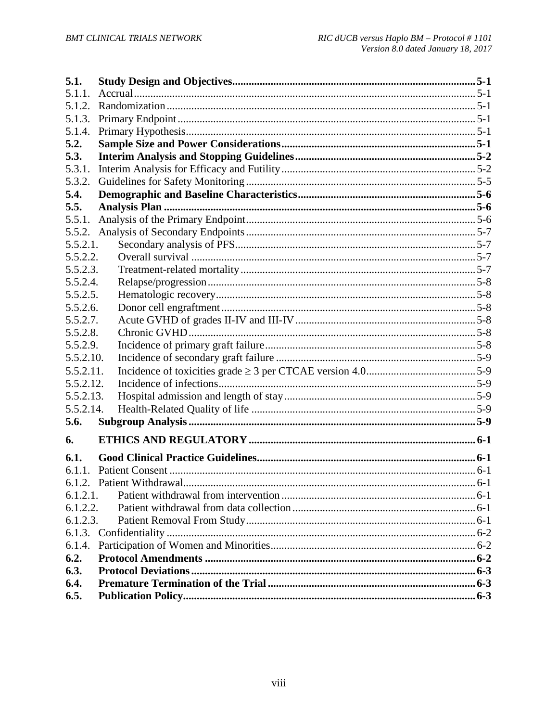| 5.1.      |  |  |  |  |
|-----------|--|--|--|--|
| 5.1.1.    |  |  |  |  |
| 5.1.2.    |  |  |  |  |
| 5.1.3.    |  |  |  |  |
| 5.1.4.    |  |  |  |  |
| 5.2.      |  |  |  |  |
| 5.3.      |  |  |  |  |
| 5.3.1.    |  |  |  |  |
| 5.3.2.    |  |  |  |  |
| 5.4.      |  |  |  |  |
| 5.5.      |  |  |  |  |
| 5.5.1.    |  |  |  |  |
| 5.5.2.    |  |  |  |  |
| 5.5.2.1.  |  |  |  |  |
| 5.5.2.2.  |  |  |  |  |
| 5.5.2.3.  |  |  |  |  |
| 5.5.2.4.  |  |  |  |  |
| 5.5.2.5.  |  |  |  |  |
| 5.5.2.6.  |  |  |  |  |
| 5.5.2.7.  |  |  |  |  |
| 5.5.2.8.  |  |  |  |  |
| 5.5.2.9.  |  |  |  |  |
| 5.5.2.10. |  |  |  |  |
| 5.5.2.11. |  |  |  |  |
| 5.5.2.12. |  |  |  |  |
| 5.5.2.13. |  |  |  |  |
| 5.5.2.14. |  |  |  |  |
| 5.6.      |  |  |  |  |
| 6.        |  |  |  |  |
| 6.1.      |  |  |  |  |
| 6.1.1.    |  |  |  |  |
|           |  |  |  |  |
| 6.1.2.1.  |  |  |  |  |
| 6.1.2.2.  |  |  |  |  |
| 6.1.2.3.  |  |  |  |  |
|           |  |  |  |  |
| 6.1.4.    |  |  |  |  |
| 6.2.      |  |  |  |  |
| 6.3.      |  |  |  |  |
| 6.4.      |  |  |  |  |
| 6.5.      |  |  |  |  |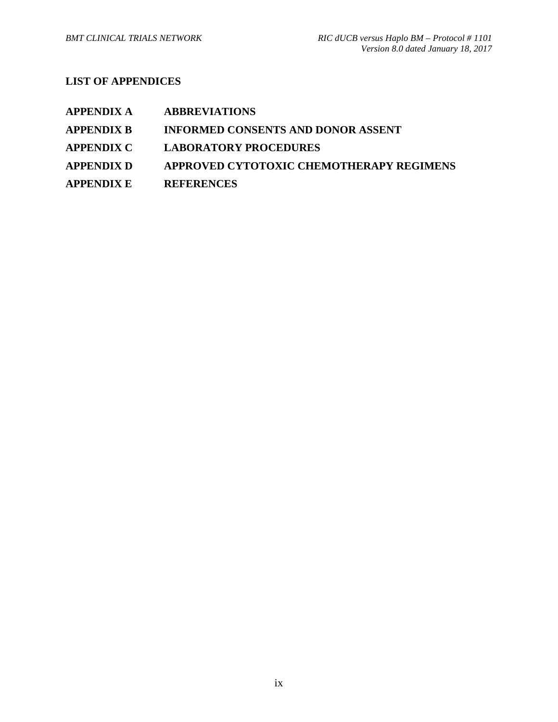#### **LIST OF APPENDICES**

- **APPENDIX A ABBREVIATIONS**
- **APPENDIX B INFORMED CONSENTS AND DONOR ASSENT**
- **APPENDIX C LABORATORY PROCEDURES**
- **APPENDIX D APPROVED CYTOTOXIC CHEMOTHERAPY REGIMENS**
- **APPENDIX E REFERENCES**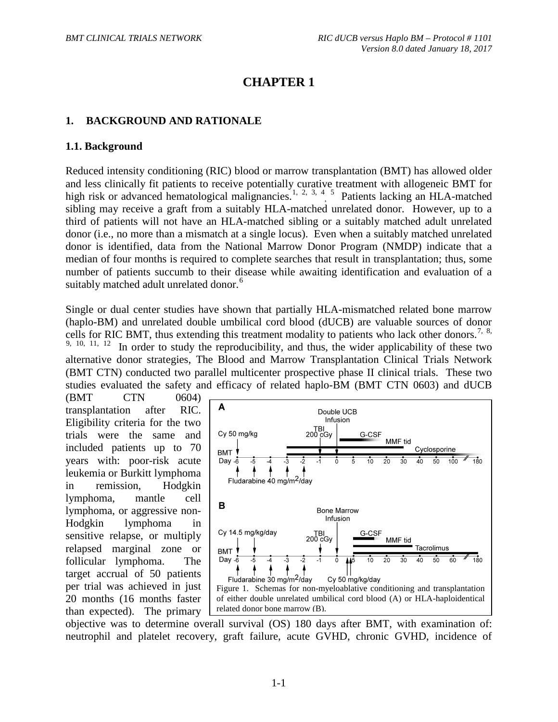# **CHAPTER 1**

#### **1. BACKGROUND AND RATIONALE**

#### **1.1. Background**

Reduced intensity conditioning (RIC) blood or marrow transplantation (BMT) has allowed older and less clinically fit patients to receive potentially curative treatment with allogeneic BMT for high risk or advanced hematological malignancies.<sup>1, 2, 3, 4</sup>, <sup>5</sup> Patients lacking an HLA-matched sibling may receive a graft from a suitably HLA-matched unrelated donor. However, up to a third of patients will not have an HLA-matched sibling or a suitably matched adult unrelated donor (i.e., no more than a mismatch at a single locus). Even when a suitably matched unrelated donor is identified, data from the National Marrow Donor Program (NMDP) indicate that a median of four months is required to complete searches that result in transplantation; thus, some number of patients succumb to their disease while awaiting identification and evaluation of a suitably matched adult unrelated donor.<sup>6</sup>

Single or dual center studies have shown that partially HLA-mismatched related bone marrow (haplo-BM) and unrelated double umbilical cord blood (dUCB) are valuable sources of donor cells for RIC BMT, thus extending this treatment modality to patients who lack other donors.<sup>7, 8,</sup> 9, 10, 11, 12 In order to study the reproducibility, and thus, the wider applicability of these two alternative donor strategies, The Blood and Marrow Transplantation Clinical Trials Network (BMT CTN) conducted two parallel multicenter prospective phase II clinical trials. These two studies evaluated the safety and efficacy of related haplo-BM (BMT CTN 0603) and dUCB

(BMT CTN 0604) transplantation after RIC. Eligibility criteria for the two trials were the same and included patients up to 70 years with: poor-risk acute leukemia or Burkitt lymphoma in remission, Hodgkin lymphoma, mantle cell lymphoma, or aggressive non-Hodgkin lymphoma in sensitive relapse, or multiply relapsed marginal zone or follicular lymphoma. The target accrual of 50 patients per trial was achieved in just 20 months (16 months faster than expected). The primary



objective was to determine overall survival (OS) 180 days after BMT, with examination of: neutrophil and platelet recovery, graft failure, acute GVHD, chronic GVHD, incidence of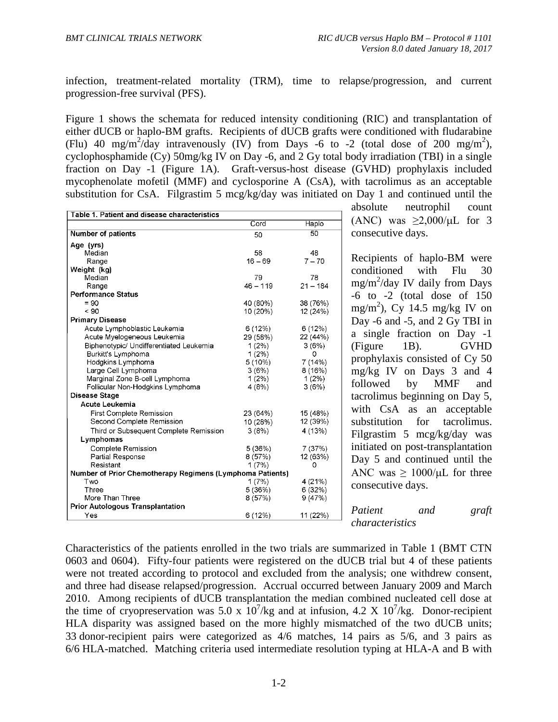infection, treatment-related mortality (TRM), time to relapse/progression, and current progression-free survival (PFS).

Figure 1 shows the schemata for reduced intensity conditioning (RIC) and transplantation of either dUCB or haplo-BM grafts. Recipients of dUCB grafts were conditioned with fludarabine (Flu) 40 mg/m<sup>2</sup>/day intravenously (IV) from Days -6 to -2 (total dose of 200 mg/m<sup>2</sup>), cyclophosphamide (Cy) 50mg/kg IV on Day -6, and 2 Gy total body irradiation (TBI) in a single fraction on Day -1 (Figure 1A). Graft-versus-host disease (GVHD) prophylaxis included mycophenolate mofetil (MMF) and cyclosporine A (CsA), with tacrolimus as an acceptable substitution for CsA. Filgrastim 5 mcg/kg/day was initiated on Day 1 and continued until the

|                                                           | Cord       | Haplo           |  |  |  |
|-----------------------------------------------------------|------------|-----------------|--|--|--|
| <b>Number of patients</b>                                 | 50         | $\overline{50}$ |  |  |  |
| Age (yrs)                                                 |            |                 |  |  |  |
| Median                                                    | 58.        | 48              |  |  |  |
| Range                                                     | $16 - 69$  | $7 - 70$        |  |  |  |
| Weight (kg)                                               |            |                 |  |  |  |
| Median                                                    | 79         | 78              |  |  |  |
| Range                                                     | $46 - 119$ | $21 - 184$      |  |  |  |
| <b>Performance Status</b>                                 |            |                 |  |  |  |
| $= 90$                                                    | 40 (80%)   | 38 (76%)        |  |  |  |
| ~< 90                                                     | 10 (20%)   | 12 (24%)        |  |  |  |
| <b>Primary Disease</b>                                    |            |                 |  |  |  |
| Acute Lymphoblastic Leukemia                              | 6(12%)     | 6(12%)          |  |  |  |
| Acute Myelogeneous Leukemia                               | 29 (58%)   | 22 (44%)        |  |  |  |
| Biphenotypic/ Undifferentiated Leukemia                   | 1(2%)      | 3(6%)           |  |  |  |
| Burkitt's Lymphoma                                        | 1(2%)      | 0               |  |  |  |
| Hodgkins Lymphoma                                         | 5(10%)     | 7 (14%)         |  |  |  |
| Large Cell Lymphoma                                       | 3(6%)      | 8(16%)          |  |  |  |
| Marginal Zone B-cell Lymphoma                             | $1(2\%)$   | 1(2%)           |  |  |  |
| Follicular Non-Hodgkins Lymphoma                          | 4(8%)      | 3(6%)           |  |  |  |
| <b>Disease Stage</b>                                      |            |                 |  |  |  |
| <b>Acute Leukemia</b>                                     |            |                 |  |  |  |
| <b>First Complete Remission</b>                           | 23 (64%)   | 15 (48%)        |  |  |  |
| Second Complete Remission                                 | 10 (28%)   | 12 (39%)        |  |  |  |
| Third or Subsequent Complete Remission                    | 3(8%)      | 4 (13%)         |  |  |  |
| Lymphomas                                                 |            |                 |  |  |  |
| Complete Remission                                        | 5(36%)     | 7(37%)          |  |  |  |
| Partial Response                                          | 8(57%)     | 12 (63%)        |  |  |  |
| Resistant                                                 | 1 (7%)     | Ω               |  |  |  |
| Number of Prior Chemotherapy Regimens (Lymphoma Patients) |            |                 |  |  |  |
| Two                                                       | 1(7%)      | 4 (21%)         |  |  |  |
| Three                                                     | 5 (36%)    | 6(32%)          |  |  |  |
| More Than Three                                           | 8(57%)     | 9(47%)          |  |  |  |
| <b>Prior Autologous Transplantation</b>                   |            |                 |  |  |  |
| Yes                                                       | 6 (12%)    | 11 (22%)        |  |  |  |

absolute neutrophil count (ANC) was  $\geq 2,000/\mu L$  for 3 consecutive days.

Recipients of haplo-BM were conditioned with Flu 30 mg/m<sup>2</sup>/day IV daily from Days -6 to -2 (total dose of 150 mg/m<sup>2</sup>), Cy 14.5 mg/kg IV on Day -6 and -5, and 2 Gy TBI in a single fraction on Day -1 (Figure 1B). GVHD prophylaxis consisted of Cy 50 mg/kg IV on Days 3 and 4 followed by MMF and tacrolimus beginning on Day 5, with CsA as an acceptable substitution for tacrolimus. Filgrastim 5 mcg/kg/day was initiated on post-transplantation Day 5 and continued until the ANC was  $\geq 1000/\mu L$  for three consecutive days.

*Patient and graft characteristics*

Characteristics of the patients enrolled in the two trials are summarized in Table 1 (BMT CTN 0603 and 0604). Fifty-four patients were registered on the dUCB trial but 4 of these patients were not treated according to protocol and excluded from the analysis; one withdrew consent, and three had disease relapsed/progression. Accrual occurred between January 2009 and March 2010. Among recipients of dUCB transplantation the median combined nucleated cell dose at the time of cryopreservation was 5.0 x  $10^7$ /kg and at infusion, 4.2 X  $10^7$ /kg. Donor-recipient HLA disparity was assigned based on the more highly mismatched of the two dUCB units; 33 donor-recipient pairs were categorized as 4/6 matches, 14 pairs as 5/6, and 3 pairs as 6/6 HLA-matched. Matching criteria used intermediate resolution typing at HLA-A and B with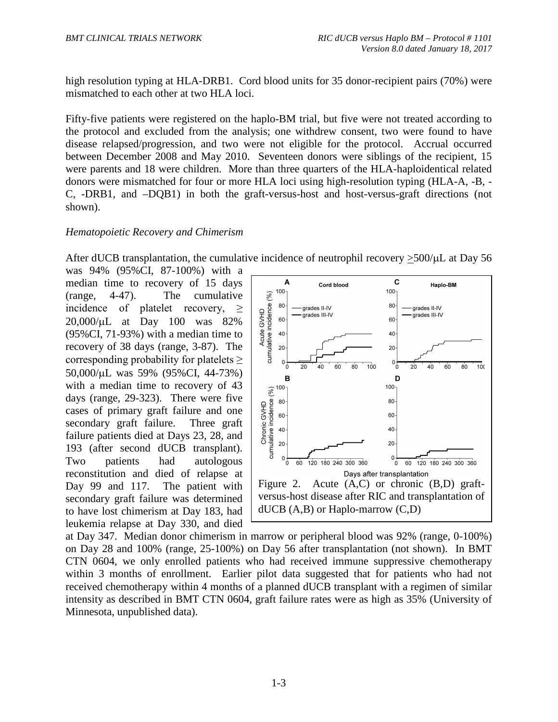high resolution typing at HLA-DRB1. Cord blood units for 35 donor-recipient pairs (70%) were mismatched to each other at two HLA loci.

Fifty-five patients were registered on the haplo-BM trial, but five were not treated according to the protocol and excluded from the analysis; one withdrew consent, two were found to have disease relapsed/progression, and two were not eligible for the protocol. Accrual occurred between December 2008 and May 2010. Seventeen donors were siblings of the recipient, 15 were parents and 18 were children. More than three quarters of the HLA-haploidentical related donors were mismatched for four or more HLA loci using high-resolution typing (HLA-A, -B, - C, -DRB1, and –DQB1) in both the graft-versus-host and host-versus-graft directions (not shown).

#### *Hematopoietic Recovery and Chimerism*

After dUCB transplantation, the cumulative incidence of neutrophil recovery  $\geq$ 500/ $\mu$ L at Day 56

was 94% (95%CI, 87-100%) with a median time to recovery of 15 days (range, 4-47). The cumulative incidence of platelet recovery,  $\geq$ 20,000/µL at Day 100 was 82% (95%CI, 71-93%) with a median time to recovery of 38 days (range, 3-87). The corresponding probability for platelets  $\geq$ 50,000/µL was 59% (95%CI, 44-73%) with a median time to recovery of 43 days (range, 29-323). There were five cases of primary graft failure and one secondary graft failure. Three graft failure patients died at Days 23, 28, and 193 (after second dUCB transplant). Two patients had autologous reconstitution and died of relapse at Day 99 and 117. The patient with secondary graft failure was determined to have lost chimerism at Day 183, had leukemia relapse at Day 330, and died



at Day 347. Median donor chimerism in marrow or peripheral blood was 92% (range, 0-100%) on Day 28 and 100% (range, 25-100%) on Day 56 after transplantation (not shown). In BMT CTN 0604, we only enrolled patients who had received immune suppressive chemotherapy within 3 months of enrollment. Earlier pilot data suggested that for patients who had not received chemotherapy within 4 months of a planned dUCB transplant with a regimen of similar intensity as described in BMT CTN 0604, graft failure rates were as high as 35% (University of Minnesota, unpublished data).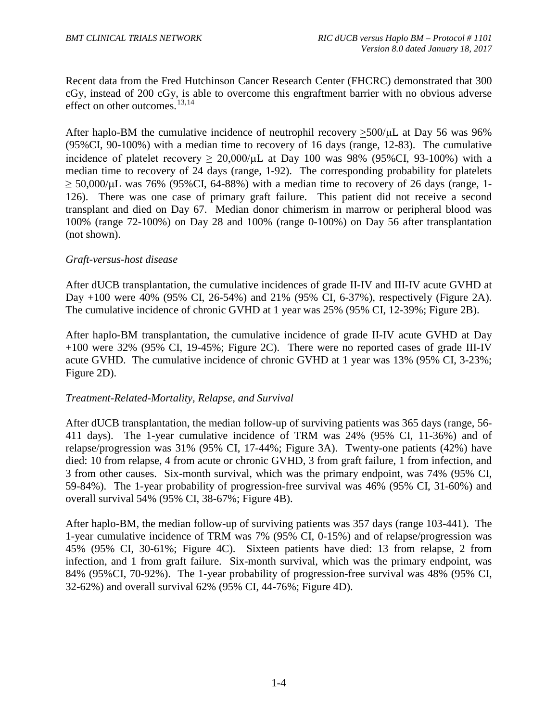Recent data from the Fred Hutchinson Cancer Research Center (FHCRC) demonstrated that 300 cGy, instead of 200 cGy, is able to overcome this engraftment barrier with no obvious adverse effect on other outcomes.<sup>13,14</sup>

After haplo-BM the cumulative incidence of neutrophil recovery  $>500/\mu$ L at Day 56 was 96% (95%CI, 90-100%) with a median time to recovery of 16 days (range, 12-83). The cumulative incidence of platelet recovery  $\geq 20,000/\mu L$  at Day 100 was 98% (95%CI, 93-100%) with a median time to recovery of 24 days (range, 1-92). The corresponding probability for platelets  $\geq$  50,000/µL was 76% (95%CI, 64-88%) with a median time to recovery of 26 days (range, 1-126). There was one case of primary graft failure. This patient did not receive a second transplant and died on Day 67. Median donor chimerism in marrow or peripheral blood was 100% (range 72-100%) on Day 28 and 100% (range 0-100%) on Day 56 after transplantation (not shown).

#### *Graft-versus-host disease*

After dUCB transplantation, the cumulative incidences of grade II-IV and III-IV acute GVHD at Day +100 were 40% (95% CI, 26-54%) and 21% (95% CI, 6-37%), respectively (Figure 2A). The cumulative incidence of chronic GVHD at 1 year was 25% (95% CI, 12-39%; Figure 2B).

After haplo-BM transplantation, the cumulative incidence of grade II-IV acute GVHD at Day +100 were 32% (95% CI, 19-45%; Figure 2C). There were no reported cases of grade III-IV acute GVHD. The cumulative incidence of chronic GVHD at 1 year was 13% (95% CI, 3-23%; Figure 2D).

#### *Treatment-Related-Mortality, Relapse, and Survival*

After dUCB transplantation, the median follow-up of surviving patients was 365 days (range, 56- 411 days). The 1-year cumulative incidence of TRM was 24% (95% CI, 11-36%) and of relapse/progression was 31% (95% CI, 17-44%; Figure 3A). Twenty-one patients (42%) have died: 10 from relapse, 4 from acute or chronic GVHD, 3 from graft failure, 1 from infection, and 3 from other causes. Six-month survival, which was the primary endpoint, was 74% (95% CI, 59-84%). The 1-year probability of progression-free survival was 46% (95% CI, 31-60%) and overall survival 54% (95% CI, 38-67%; Figure 4B).

After haplo-BM, the median follow-up of surviving patients was 357 days (range 103-441). The 1-year cumulative incidence of TRM was 7% (95% CI, 0-15%) and of relapse/progression was 45% (95% CI, 30-61%; Figure 4C). Sixteen patients have died: 13 from relapse, 2 from infection, and 1 from graft failure. Six-month survival, which was the primary endpoint, was 84% (95%CI, 70-92%). The 1-year probability of progression-free survival was 48% (95% CI, 32-62%) and overall survival 62% (95% CI, 44-76%; Figure 4D).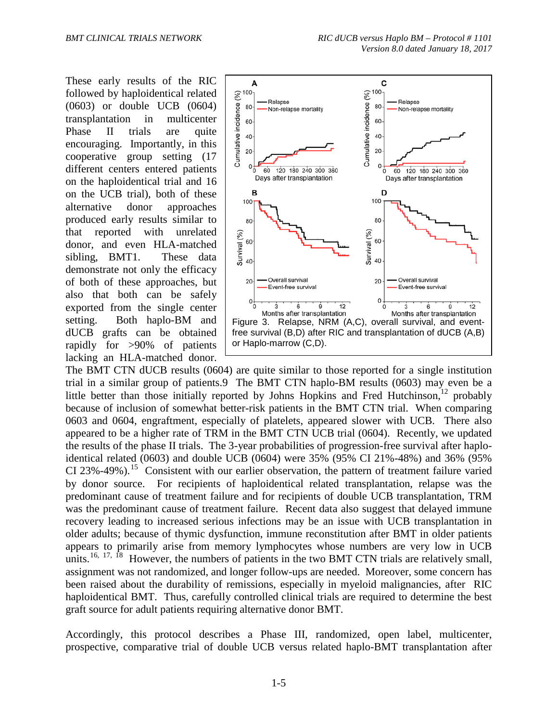These early results of the RIC followed by haploidentical related (0603) or double UCB (0604) transplantation in multicenter Phase II trials are quite encouraging. Importantly, in this cooperative group setting (17 different centers entered patients on the haploidentical trial and 16 on the UCB trial), both of these alternative donor approaches produced early results similar to that reported with unrelated donor, and even HLA-matched sibling, BMT1. These data demonstrate not only the efficacy of both of these approaches, but also that both can be safely exported from the single center setting. Both haplo-BM and dUCB grafts can be obtained rapidly for >90% of patients lacking an HLA-matched donor.



The BMT CTN dUCB results (0604) are quite similar to those reported for a single institution trial in a similar group of patients.9 The BMT CTN haplo-BM results (0603) may even be a little better than those initially reported by Johns Hopkins and Fred Hutchinson,<sup>12</sup> probably because of inclusion of somewhat better-risk patients in the BMT CTN trial. When comparing 0603 and 0604, engraftment, especially of platelets, appeared slower with UCB. There also appeared to be a higher rate of TRM in the BMT CTN UCB trial (0604). Recently, we updated the results of the phase II trials. The 3-year probabilities of progression-free survival after haploidentical related (0603) and double UCB (0604) were 35% (95% CI 21%-48%) and 36% (95% CI 23%-49%).<sup>15</sup> Consistent with our earlier observation, the pattern of treatment failure varied by donor source. For recipients of haploidentical related transplantation, relapse was the predominant cause of treatment failure and for recipients of double UCB transplantation, TRM was the predominant cause of treatment failure. Recent data also suggest that delayed immune recovery leading to increased serious infections may be an issue with UCB transplantation in older adults; because of thymic dysfunction, immune reconstitution after BMT in older patients appears to primarily arise from memory lymphocytes whose numbers are very low in UCB units.<sup>16, 17, 18</sup> However, the numbers of patients in the two BMT CTN trials are relatively small, assignment was not randomized, and longer follow-ups are needed. Moreover, some concern has been raised about the durability of remissions, especially in myeloid malignancies, after RIC haploidentical BMT. Thus, carefully controlled clinical trials are required to determine the best graft source for adult patients requiring alternative donor BMT.

Accordingly, this protocol describes a Phase III, randomized, open label, multicenter, prospective, comparative trial of double UCB versus related haplo-BMT transplantation after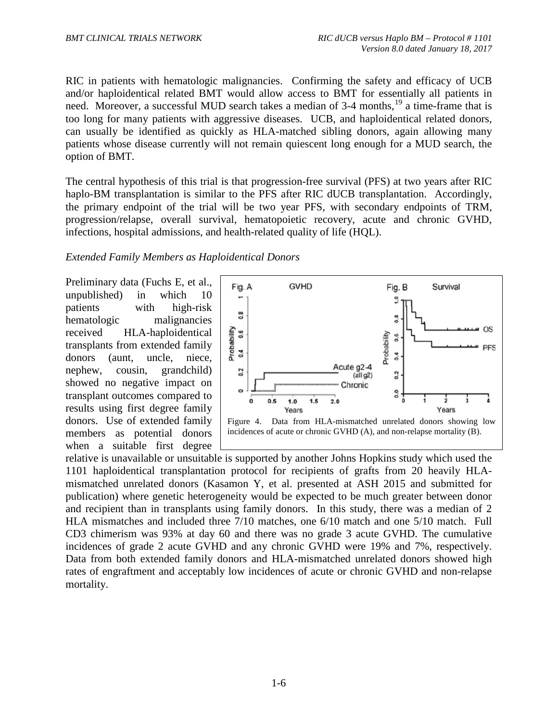RIC in patients with hematologic malignancies. Confirming the safety and efficacy of UCB and/or haploidentical related BMT would allow access to BMT for essentially all patients in need. Moreover, a successful MUD search takes a median of 3-4 months, <sup>19</sup> a time-frame that is too long for many patients with aggressive diseases. UCB, and haploidentical related donors, can usually be identified as quickly as HLA-matched sibling donors, again allowing many patients whose disease currently will not remain quiescent long enough for a MUD search, the option of BMT.

The central hypothesis of this trial is that progression-free survival (PFS) at two years after RIC haplo-BM transplantation is similar to the PFS after RIC dUCB transplantation. Accordingly, the primary endpoint of the trial will be two year PFS, with secondary endpoints of TRM, progression/relapse, overall survival, hematopoietic recovery, acute and chronic GVHD, infections, hospital admissions, and health-related quality of life (HQL).

#### *Extended Family Members as Haploidentical Donors*

Preliminary data (Fuchs E, et al., unpublished) in which 10 patients with high-risk hematologic malignancies received HLA-haploidentical transplants from extended family donors (aunt, uncle, niece, nephew, cousin, grandchild) showed no negative impact on transplant outcomes compared to results using first degree family donors. Use of extended family members as potential donors when a suitable first degree



relative is unavailable or unsuitable is supported by another Johns Hopkins study which used the 1101 haploidentical transplantation protocol for recipients of grafts from 20 heavily HLAmismatched unrelated donors (Kasamon Y, et al. presented at ASH 2015 and submitted for publication) where genetic heterogeneity would be expected to be much greater between donor and recipient than in transplants using family donors. In this study, there was a median of 2 HLA mismatches and included three 7/10 matches, one 6/10 match and one 5/10 match. Full CD3 chimerism was 93% at day 60 and there was no grade 3 acute GVHD. The cumulative incidences of grade 2 acute GVHD and any chronic GVHD were 19% and 7%, respectively. Data from both extended family donors and HLA-mismatched unrelated donors showed high rates of engraftment and acceptably low incidences of acute or chronic GVHD and non-relapse mortality.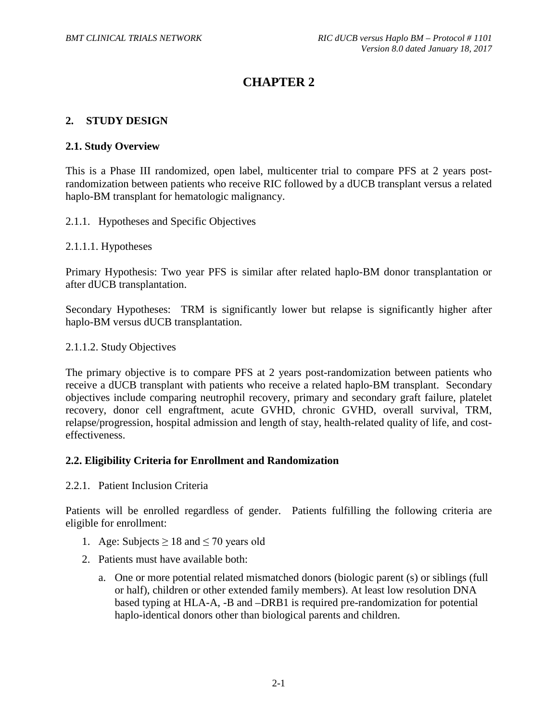# **CHAPTER 2**

#### **2. STUDY DESIGN**

#### **2.1. Study Overview**

This is a Phase III randomized, open label, multicenter trial to compare PFS at 2 years postrandomization between patients who receive RIC followed by a dUCB transplant versus a related haplo-BM transplant for hematologic malignancy.

- 2.1.1. Hypotheses and Specific Objectives
- 2.1.1.1. Hypotheses

Primary Hypothesis: Two year PFS is similar after related haplo-BM donor transplantation or after dUCB transplantation.

Secondary Hypotheses: TRM is significantly lower but relapse is significantly higher after haplo-BM versus dUCB transplantation.

#### 2.1.1.2. Study Objectives

The primary objective is to compare PFS at 2 years post-randomization between patients who receive a dUCB transplant with patients who receive a related haplo-BM transplant. Secondary objectives include comparing neutrophil recovery, primary and secondary graft failure, platelet recovery, donor cell engraftment, acute GVHD, chronic GVHD, overall survival, TRM, relapse/progression, hospital admission and length of stay, health-related quality of life, and costeffectiveness.

#### **2.2. Eligibility Criteria for Enrollment and Randomization**

2.2.1. Patient Inclusion Criteria

Patients will be enrolled regardless of gender. Patients fulfilling the following criteria are eligible for enrollment:

- 1. Age: Subjects  $\geq 18$  and  $\leq 70$  years old
- 2. Patients must have available both:
	- a. One or more potential related mismatched donors (biologic parent (s) or siblings (full or half), children or other extended family members). At least low resolution DNA based typing at HLA-A, -B and –DRB1 is required pre-randomization for potential haplo-identical donors other than biological parents and children.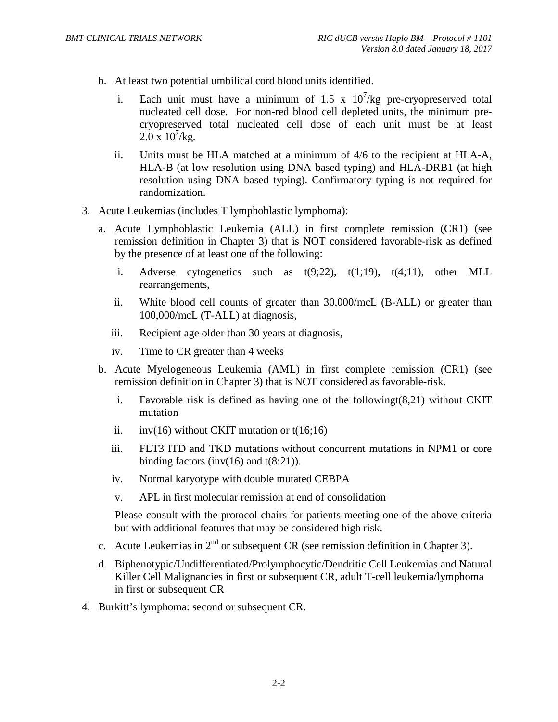- b. At least two potential umbilical cord blood units identified.
	- i. Each unit must have a minimum of 1.5 x  $10^7$ /kg pre-cryopreserved total nucleated cell dose. For non-red blood cell depleted units, the minimum precryopreserved total nucleated cell dose of each unit must be at least  $2.0 \times 10^7$ /kg.
	- ii. Units must be HLA matched at a minimum of 4/6 to the recipient at HLA-A, HLA-B (at low resolution using DNA based typing) and HLA-DRB1 (at high resolution using DNA based typing). Confirmatory typing is not required for randomization.
- 3. Acute Leukemias (includes T lymphoblastic lymphoma):
	- a. Acute Lymphoblastic Leukemia (ALL) in first complete remission (CR1) (see remission definition in Chapter 3) that is NOT considered favorable-risk as defined by the presence of at least one of the following:
		- i. Adverse cytogenetics such as  $t(9;22)$ ,  $t(1;19)$ ,  $t(4;11)$ , other MLL rearrangements,
		- ii. White blood cell counts of greater than 30,000/mcL (B-ALL) or greater than 100,000/mcL (T-ALL) at diagnosis,
		- iii. Recipient age older than 30 years at diagnosis,
		- iv. Time to CR greater than 4 weeks
	- b. Acute Myelogeneous Leukemia (AML) in first complete remission (CR1) (see remission definition in Chapter 3) that is NOT considered as favorable-risk.
		- i. Favorable risk is defined as having one of the followingt(8,21) without CKIT mutation
		- ii. inv(16) without CKIT mutation or  $t(16;16)$
		- iii. FLT3 ITD and TKD mutations without concurrent mutations in NPM1 or core binding factors (inv(16) and  $t(8:21)$ ).
		- iv. Normal karyotype with double mutated CEBPA
		- v. APL in first molecular remission at end of consolidation

Please consult with the protocol chairs for patients meeting one of the above criteria but with additional features that may be considered high risk.

- c. Acute Leukemias in  $2<sup>nd</sup>$  or subsequent CR (see remission definition in Chapter 3).
- d. Biphenotypic/Undifferentiated/Prolymphocytic/Dendritic Cell Leukemias and Natural Killer Cell Malignancies in first or subsequent CR, adult T-cell leukemia/lymphoma in first or subsequent CR
- 4. Burkitt's lymphoma: second or subsequent CR.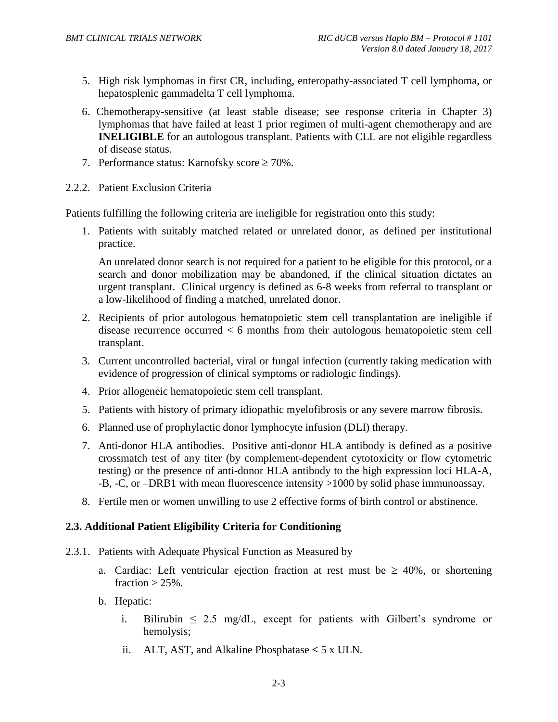- 5. High risk lymphomas in first CR, including, enteropathy-associated T cell lymphoma, or hepatosplenic gammadelta T cell lymphoma.
- 6. Chemotherapy-sensitive (at least stable disease; see response criteria in Chapter 3) lymphomas that have failed at least 1 prior regimen of multi-agent chemotherapy and are **INELIGIBLE** for an autologous transplant. Patients with CLL are not eligible regardless of disease status.
- 7. Performance status: Karnofsky score  $\geq 70\%$ .
- 2.2.2. Patient Exclusion Criteria

Patients fulfilling the following criteria are ineligible for registration onto this study:

1. Patients with suitably matched related or unrelated donor, as defined per institutional practice.

An unrelated donor search is not required for a patient to be eligible for this protocol, or a search and donor mobilization may be abandoned, if the clinical situation dictates an urgent transplant. Clinical urgency is defined as 6-8 weeks from referral to transplant or a low-likelihood of finding a matched, unrelated donor.

- 2. Recipients of prior autologous hematopoietic stem cell transplantation are ineligible if disease recurrence occurred < 6 months from their autologous hematopoietic stem cell transplant.
- 3. Current uncontrolled bacterial, viral or fungal infection (currently taking medication with evidence of progression of clinical symptoms or radiologic findings).
- 4. Prior allogeneic hematopoietic stem cell transplant.
- 5. Patients with history of primary idiopathic myelofibrosis or any severe marrow fibrosis.
- 6. Planned use of prophylactic donor lymphocyte infusion (DLI) therapy.
- 7. Anti-donor HLA antibodies. Positive anti-donor HLA antibody is defined as a positive crossmatch test of any titer (by complement-dependent cytotoxicity or flow cytometric testing) or the presence of anti-donor HLA antibody to the high expression loci HLA-A, -B, -C, or –DRB1 with mean fluorescence intensity >1000 by solid phase immunoassay.
- 8. Fertile men or women unwilling to use 2 effective forms of birth control or abstinence.

#### **2.3. Additional Patient Eligibility Criteria for Conditioning**

- 2.3.1. Patients with Adequate Physical Function as Measured by
	- a. Cardiac: Left ventricular ejection fraction at rest must be  $\geq 40\%$ , or shortening fraction  $> 25\%$ .
	- b. Hepatic:
		- i. Bilirubin  $\leq$  2.5 mg/dL, except for patients with Gilbert's syndrome or hemolysis;
		- ii. ALT, AST, and Alkaline Phosphatase **<** 5 x ULN.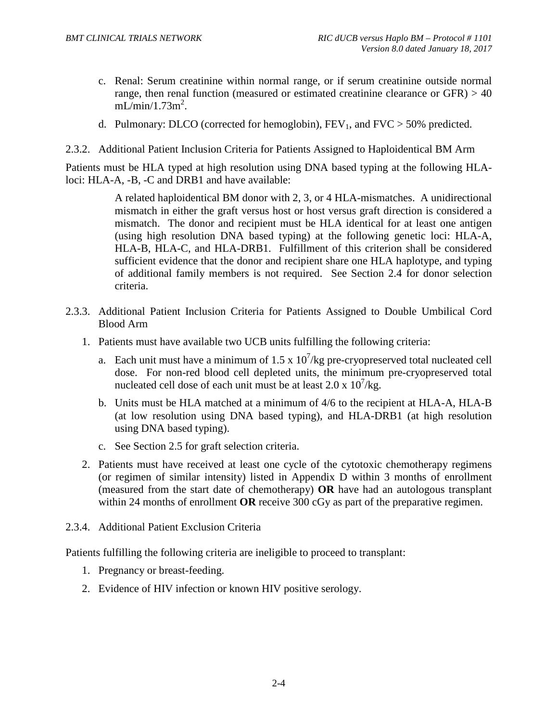- c. Renal: Serum creatinine within normal range, or if serum creatinine outside normal range, then renal function (measured or estimated creatinine clearance or  $GFR$ )  $> 40$  $mL/min/1.73m^2$ .
- d. Pulmonary: DLCO (corrected for hemoglobin),  $FEV_1$ , and  $FVC > 50\%$  predicted.
- 2.3.2. Additional Patient Inclusion Criteria for Patients Assigned to Haploidentical BM Arm

Patients must be HLA typed at high resolution using DNA based typing at the following HLAloci: HLA-A, -B, -C and DRB1 and have available:

> A related haploidentical BM donor with 2, 3, or 4 HLA-mismatches. A unidirectional mismatch in either the graft versus host or host versus graft direction is considered a mismatch. The donor and recipient must be HLA identical for at least one antigen (using high resolution DNA based typing) at the following genetic loci: HLA-A, HLA-B, HLA-C, and HLA-DRB1. Fulfillment of this criterion shall be considered sufficient evidence that the donor and recipient share one HLA haplotype, and typing of additional family members is not required. See Section 2.4 for donor selection criteria.

- 2.3.3. Additional Patient Inclusion Criteria for Patients Assigned to Double Umbilical Cord Blood Arm
	- 1. Patients must have available two UCB units fulfilling the following criteria:
		- a. Each unit must have a minimum of 1.5 x  $10^7$ /kg pre-cryopreserved total nucleated cell dose. For non-red blood cell depleted units, the minimum pre-cryopreserved total nucleated cell dose of each unit must be at least  $2.0 \times 10^7$ /kg.
		- b. Units must be HLA matched at a minimum of 4/6 to the recipient at HLA-A, HLA-B (at low resolution using DNA based typing), and HLA-DRB1 (at high resolution using DNA based typing).
		- c. See Section 2.5 for graft selection criteria.
	- 2. Patients must have received at least one cycle of the cytotoxic chemotherapy regimens (or regimen of similar intensity) listed in Appendix D within 3 months of enrollment (measured from the start date of chemotherapy) **OR** have had an autologous transplant within 24 months of enrollment **OR** receive 300 cGy as part of the preparative regimen.
- 2.3.4. Additional Patient Exclusion Criteria

Patients fulfilling the following criteria are ineligible to proceed to transplant:

- 1. Pregnancy or breast-feeding.
- 2. Evidence of HIV infection or known HIV positive serology.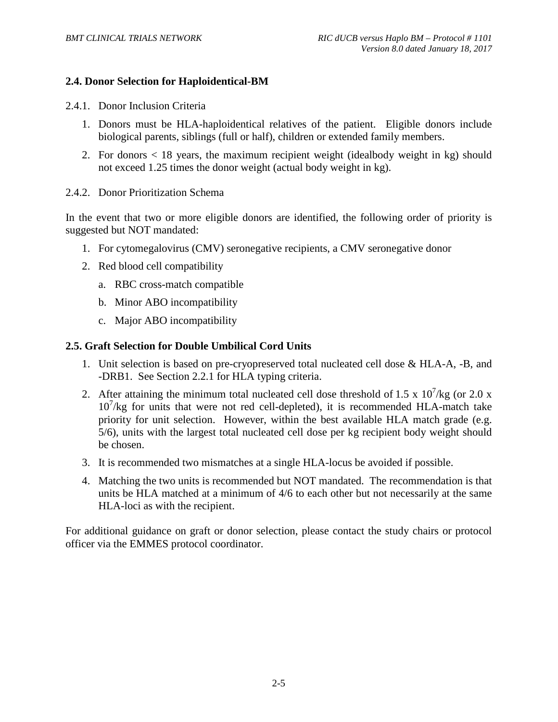#### **2.4. Donor Selection for Haploidentical-BM**

- 2.4.1. Donor Inclusion Criteria
	- 1. Donors must be HLA-haploidentical relatives of the patient. Eligible donors include biological parents, siblings (full or half), children or extended family members.
	- 2. For donors < 18 years, the maximum recipient weight (idealbody weight in kg) should not exceed 1.25 times the donor weight (actual body weight in kg).
- 2.4.2. Donor Prioritization Schema

In the event that two or more eligible donors are identified, the following order of priority is suggested but NOT mandated:

- 1. For cytomegalovirus (CMV) seronegative recipients, a CMV seronegative donor
- 2. Red blood cell compatibility
	- a. RBC cross-match compatible
	- b. Minor ABO incompatibility
	- c. Major ABO incompatibility

#### **2.5. Graft Selection for Double Umbilical Cord Units**

- 1. Unit selection is based on pre-cryopreserved total nucleated cell dose & HLA-A, -B, and -DRB1. See Section 2.2.1 for HLA typing criteria.
- 2. After attaining the minimum total nucleated cell dose threshold of 1.5 x  $10^7$ /kg (or 2.0 x 107 /kg for units that were not red cell-depleted), it is recommended HLA-match take priority for unit selection. However, within the best available HLA match grade (e.g. 5/6), units with the largest total nucleated cell dose per kg recipient body weight should be chosen.
- 3. It is recommended two mismatches at a single HLA-locus be avoided if possible.
- 4. Matching the two units is recommended but NOT mandated. The recommendation is that units be HLA matched at a minimum of 4/6 to each other but not necessarily at the same HLA-loci as with the recipient.

For additional guidance on graft or donor selection, please contact the study chairs or protocol officer via the EMMES protocol coordinator.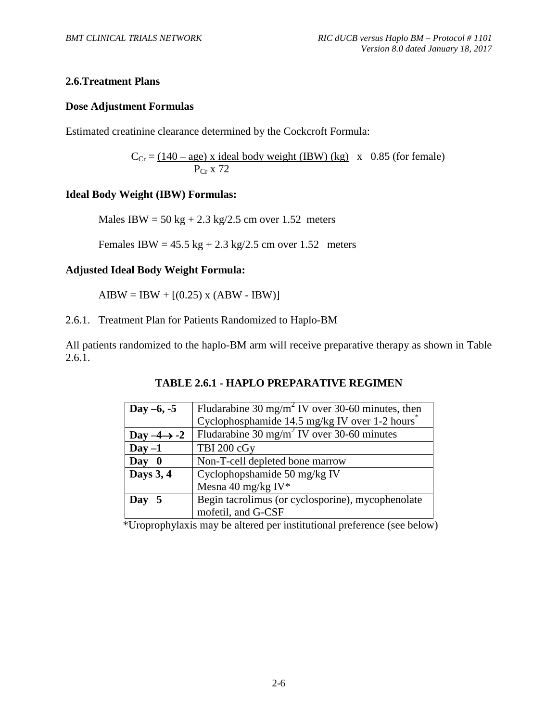#### **2.6.Treatment Plans**

#### **Dose Adjustment Formulas**

Estimated creatinine clearance determined by the Cockcroft Formula:

 $C_{Cr} = (140 - age)$  x ideal body weight (IBW) (kg) x 0.85 (for female)  $P_{Cr}$  x 72

#### **Ideal Body Weight (IBW) Formulas:**

Males IBW =  $50 \text{ kg} + 2.3 \text{ kg} / 2.5 \text{ cm}$  over 1.52 meters

Females IBW =  $45.5 \text{ kg} + 2.3 \text{ kg} / 2.5 \text{ cm}$  over 1.52 meters

#### **Adjusted Ideal Body Weight Formula:**

 $AIBW = IBW + [(0.25) \times (ABW - IBW)]$ 

#### 2.6.1. Treatment Plan for Patients Randomized to Haplo-BM

All patients randomized to the haplo-BM arm will receive preparative therapy as shown in Table 2.6.1.

| Day $-6, -5$            | Fludarabine 30 mg/m <sup>2</sup> IV over 30-60 minutes, then |  |  |  |  |
|-------------------------|--------------------------------------------------------------|--|--|--|--|
|                         | Cyclophosphamide 14.5 mg/kg IV over 1-2 hours <sup>*</sup>   |  |  |  |  |
| Day $-4 \rightarrow -2$ | Fludarabine 30 mg/m <sup>2</sup> IV over 30-60 minutes       |  |  |  |  |
| $Day -1$                | TBI 200 cGy                                                  |  |  |  |  |
| Day<br>$\bf{0}$         | Non-T-cell depleted bone marrow                              |  |  |  |  |
| Days 3, 4               | Cyclophopshamide 50 mg/kg IV                                 |  |  |  |  |
|                         | Mesna 40 mg/kg IV*                                           |  |  |  |  |
| Day $5$                 | Begin tacrolimus (or cyclosporine), mycophenolate            |  |  |  |  |
|                         | mofetil, and G-CSF                                           |  |  |  |  |

#### **TABLE 2.6.1 - HAPLO PREPARATIVE REGIMEN**

\*Uroprophylaxis may be altered per institutional preference (see below)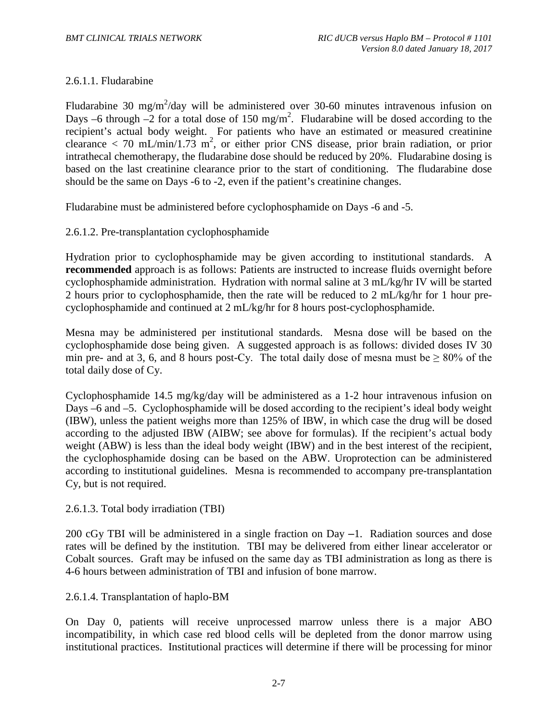#### 2.6.1.1. Fludarabine

Fludarabine 30 mg/m<sup>2</sup>/day will be administered over 30-60 minutes intravenous infusion on Days –6 through –2 for a total dose of 150 mg/m<sup>2</sup>. Fludarabine will be dosed according to the recipient's actual body weight. For patients who have an estimated or measured creatinine clearance  $<$  70 mL/min/1.73 m<sup>2</sup>, or either prior CNS disease, prior brain radiation, or prior intrathecal chemotherapy, the fludarabine dose should be reduced by 20%. Fludarabine dosing is based on the last creatinine clearance prior to the start of conditioning. The fludarabine dose should be the same on Days -6 to -2, even if the patient's creatinine changes.

Fludarabine must be administered before cyclophosphamide on Days -6 and -5.

2.6.1.2. Pre-transplantation cyclophosphamide

Hydration prior to cyclophosphamide may be given according to institutional standards. A **recommended** approach is as follows: Patients are instructed to increase fluids overnight before cyclophosphamide administration. Hydration with normal saline at 3 mL/kg/hr IV will be started 2 hours prior to cyclophosphamide, then the rate will be reduced to 2 mL/kg/hr for 1 hour precyclophosphamide and continued at 2 mL/kg/hr for 8 hours post-cyclophosphamide.

Mesna may be administered per institutional standards. Mesna dose will be based on the cyclophosphamide dose being given. A suggested approach is as follows: divided doses IV 30 min pre- and at 3, 6, and 8 hours post-Cy. The total daily dose of mesna must be  $\geq 80\%$  of the total daily dose of Cy.

Cyclophosphamide 14.5 mg/kg/day will be administered as a 1-2 hour intravenous infusion on Days –6 and –5. Cyclophosphamide will be dosed according to the recipient's ideal body weight (IBW), unless the patient weighs more than 125% of IBW, in which case the drug will be dosed according to the adjusted IBW (AIBW; see above for formulas). If the recipient's actual body weight (ABW) is less than the ideal body weight (IBW) and in the best interest of the recipient, the cyclophosphamide dosing can be based on the ABW. Uroprotection can be administered according to institutional guidelines. Mesna is recommended to accompany pre-transplantation Cy, but is not required.

2.6.1.3. Total body irradiation (TBI)

200 cGy TBI will be administered in a single fraction on Day  $-1$ . Radiation sources and dose rates will be defined by the institution. TBI may be delivered from either linear accelerator or Cobalt sources. Graft may be infused on the same day as TBI administration as long as there is 4-6 hours between administration of TBI and infusion of bone marrow.

#### 2.6.1.4. Transplantation of haplo-BM

On Day 0, patients will receive unprocessed marrow unless there is a major ABO incompatibility, in which case red blood cells will be depleted from the donor marrow using institutional practices. Institutional practices will determine if there will be processing for minor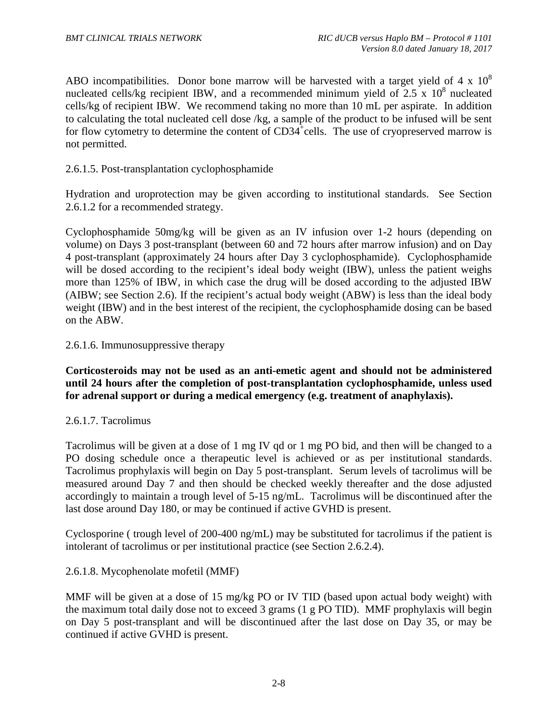ABO incompatibilities. Donor bone marrow will be harvested with a target yield of 4 x  $10^8$ nucleated cells/kg recipient IBW, and a recommended minimum yield of  $2.5 \times 10^8$  nucleated cells/kg of recipient IBW. We recommend taking no more than 10 mL per aspirate. In addition to calculating the total nucleated cell dose /kg, a sample of the product to be infused will be sent for flow cytometry to determine the content of  $CD34^{\dagger}$ cells. The use of cryopreserved marrow is not permitted.

#### 2.6.1.5. Post-transplantation cyclophosphamide

Hydration and uroprotection may be given according to institutional standards. See Section 2.6.1.2 for a recommended strategy.

Cyclophosphamide 50mg/kg will be given as an IV infusion over 1-2 hours (depending on volume) on Days 3 post-transplant (between 60 and 72 hours after marrow infusion) and on Day 4 post-transplant (approximately 24 hours after Day 3 cyclophosphamide). Cyclophosphamide will be dosed according to the recipient's ideal body weight (IBW), unless the patient weighs more than 125% of IBW, in which case the drug will be dosed according to the adjusted IBW (AIBW; see Section 2.6). If the recipient's actual body weight (ABW) is less than the ideal body weight (IBW) and in the best interest of the recipient, the cyclophosphamide dosing can be based on the ABW.

#### 2.6.1.6. Immunosuppressive therapy

**Corticosteroids may not be used as an anti-emetic agent and should not be administered until 24 hours after the completion of post-transplantation cyclophosphamide, unless used for adrenal support or during a medical emergency (e.g. treatment of anaphylaxis).**

#### 2.6.1.7. Tacrolimus

Tacrolimus will be given at a dose of 1 mg IV qd or 1 mg PO bid, and then will be changed to a PO dosing schedule once a therapeutic level is achieved or as per institutional standards. Tacrolimus prophylaxis will begin on Day 5 post-transplant. Serum levels of tacrolimus will be measured around Day 7 and then should be checked weekly thereafter and the dose adjusted accordingly to maintain a trough level of 5-15 ng/mL. Tacrolimus will be discontinued after the last dose around Day 180, or may be continued if active GVHD is present.

Cyclosporine ( trough level of 200-400 ng/mL) may be substituted for tacrolimus if the patient is intolerant of tacrolimus or per institutional practice (see Section 2.6.2.4).

#### 2.6.1.8. Mycophenolate mofetil (MMF)

MMF will be given at a dose of 15 mg/kg PO or IV TID (based upon actual body weight) with the maximum total daily dose not to exceed 3 grams (1 g PO TID). MMF prophylaxis will begin on Day 5 post-transplant and will be discontinued after the last dose on Day 35, or may be continued if active GVHD is present.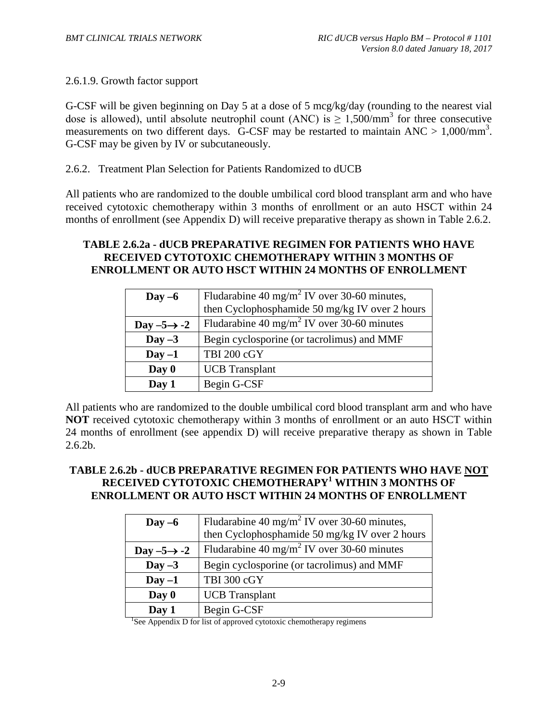2.6.1.9. Growth factor support

G-CSF will be given beginning on Day 5 at a dose of 5 mcg/kg/day (rounding to the nearest vial dose is allowed), until absolute neutrophil count (ANC) is  $\geq 1,500/\text{mm}^3$  for three consecutive measurements on two different days. G-CSF may be restarted to maintain  $\text{ANC} > 1,000/\text{mm}^3$ . G-CSF may be given by IV or subcutaneously.

2.6.2. Treatment Plan Selection for Patients Randomized to dUCB

All patients who are randomized to the double umbilical cord blood transplant arm and who have received cytotoxic chemotherapy within 3 months of enrollment or an auto HSCT within 24 months of enrollment (see Appendix D) will receive preparative therapy as shown in Table 2.6.2.

#### **TABLE 2.6.2a - dUCB PREPARATIVE REGIMEN FOR PATIENTS WHO HAVE RECEIVED CYTOTOXIC CHEMOTHERAPY WITHIN 3 MONTHS OF ENROLLMENT OR AUTO HSCT WITHIN 24 MONTHS OF ENROLLMENT**

| Day $-6$                | Fludarabine 40 mg/m <sup>2</sup> IV over 30-60 minutes, |  |  |  |
|-------------------------|---------------------------------------------------------|--|--|--|
|                         | then Cyclophosphamide 50 mg/kg IV over 2 hours          |  |  |  |
| Day $-5 \rightarrow -2$ | Fludarabine 40 mg/m <sup>2</sup> IV over 30-60 minutes  |  |  |  |
| Day $-3$                | Begin cyclosporine (or tacrolimus) and MMF              |  |  |  |
| $Day -1$                | TBI 200 cGY                                             |  |  |  |
| Day 0                   | <b>UCB</b> Transplant                                   |  |  |  |
| Day 1                   | Begin G-CSF                                             |  |  |  |

All patients who are randomized to the double umbilical cord blood transplant arm and who have **NOT** received cytotoxic chemotherapy within 3 months of enrollment or an auto HSCT within 24 months of enrollment (see appendix D) will receive preparative therapy as shown in Table 2.6.2b.

### **TABLE 2.6.2b - dUCB PREPARATIVE REGIMEN FOR PATIENTS WHO HAVE NOT RECEIVED CYTOTOXIC CHEMOTHERAPY1 WITHIN 3 MONTHS OF ENROLLMENT OR AUTO HSCT WITHIN 24 MONTHS OF ENROLLMENT**

| Day $-6$                | Fludarabine 40 mg/m <sup>2</sup> IV over 30-60 minutes, |  |  |  |
|-------------------------|---------------------------------------------------------|--|--|--|
|                         | then Cyclophosphamide 50 mg/kg IV over 2 hours          |  |  |  |
| Day $-5 \rightarrow -2$ | Fludarabine 40 mg/m <sup>2</sup> IV over 30-60 minutes  |  |  |  |
| Day $-3$                | Begin cyclosporine (or tacrolimus) and MMF              |  |  |  |
| $Day -1$                | TBI 300 cGY                                             |  |  |  |
| Day 0                   | <b>UCB</b> Transplant                                   |  |  |  |
| Day 1                   | Begin G-CSF                                             |  |  |  |

<sup>1</sup>See Appendix D for list of approved cytotoxic chemotherapy regimens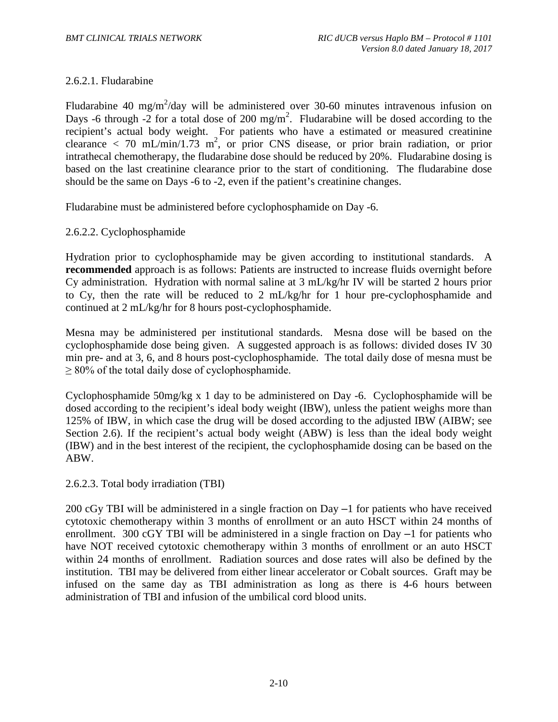#### 2.6.2.1. Fludarabine

Fludarabine 40 mg/m<sup>2</sup>/day will be administered over 30-60 minutes intravenous infusion on Days -6 through -2 for a total dose of 200 mg/m<sup>2</sup>. Fludarabine will be dosed according to the recipient's actual body weight. For patients who have a estimated or measured creatinine clearance  $<$  70 mL/min/1.73 m<sup>2</sup>, or prior CNS disease, or prior brain radiation, or prior intrathecal chemotherapy, the fludarabine dose should be reduced by 20%. Fludarabine dosing is based on the last creatinine clearance prior to the start of conditioning. The fludarabine dose should be the same on Days -6 to -2, even if the patient's creatinine changes.

Fludarabine must be administered before cyclophosphamide on Day -6.

#### 2.6.2.2. Cyclophosphamide

Hydration prior to cyclophosphamide may be given according to institutional standards. A **recommended** approach is as follows: Patients are instructed to increase fluids overnight before Cy administration. Hydration with normal saline at 3 mL/kg/hr IV will be started 2 hours prior to Cy, then the rate will be reduced to 2 mL/kg/hr for 1 hour pre-cyclophosphamide and continued at 2 mL/kg/hr for 8 hours post-cyclophosphamide.

Mesna may be administered per institutional standards. Mesna dose will be based on the cyclophosphamide dose being given. A suggested approach is as follows: divided doses IV 30 min pre- and at 3, 6, and 8 hours post-cyclophosphamide. The total daily dose of mesna must be  $\geq$  80% of the total daily dose of cyclophosphamide.

Cyclophosphamide 50mg/kg x 1 day to be administered on Day -6. Cyclophosphamide will be dosed according to the recipient's ideal body weight (IBW), unless the patient weighs more than 125% of IBW, in which case the drug will be dosed according to the adjusted IBW (AIBW; see Section 2.6). If the recipient's actual body weight (ABW) is less than the ideal body weight (IBW) and in the best interest of the recipient, the cyclophosphamide dosing can be based on the ABW.

2.6.2.3. Total body irradiation (TBI)

200 cGy TBI will be administered in a single fraction on Day –1 for patients who have received cytotoxic chemotherapy within 3 months of enrollment or an auto HSCT within 24 months of enrollment. 300 cGY TBI will be administered in a single fraction on Day –1 for patients who have NOT received cytotoxic chemotherapy within 3 months of enrollment or an auto HSCT within 24 months of enrollment. Radiation sources and dose rates will also be defined by the institution. TBI may be delivered from either linear accelerator or Cobalt sources. Graft may be infused on the same day as TBI administration as long as there is 4-6 hours between administration of TBI and infusion of the umbilical cord blood units.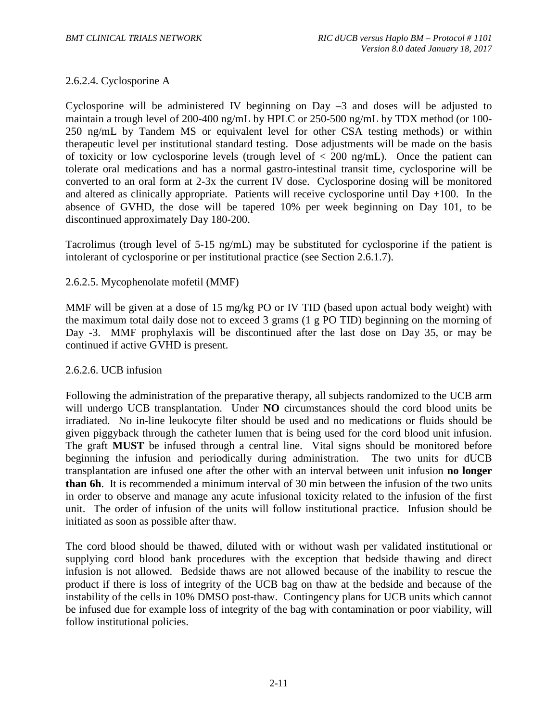#### 2.6.2.4. Cyclosporine A

Cyclosporine will be administered IV beginning on Day –3 and doses will be adjusted to maintain a trough level of 200-400 ng/mL by HPLC or 250-500 ng/mL by TDX method (or 100- 250 ng/mL by Tandem MS or equivalent level for other CSA testing methods) or within therapeutic level per institutional standard testing. Dose adjustments will be made on the basis of toxicity or low cyclosporine levels (trough level of  $\langle 200 \text{ ng/mL} \rangle$ ). Once the patient can tolerate oral medications and has a normal gastro-intestinal transit time, cyclosporine will be converted to an oral form at 2-3x the current IV dose. Cyclosporine dosing will be monitored and altered as clinically appropriate. Patients will receive cyclosporine until Day +100. In the absence of GVHD, the dose will be tapered 10% per week beginning on Day 101, to be discontinued approximately Day 180-200.

Tacrolimus (trough level of 5-15 ng/mL) may be substituted for cyclosporine if the patient is intolerant of cyclosporine or per institutional practice (see Section 2.6.1.7).

#### 2.6.2.5. Mycophenolate mofetil (MMF)

MMF will be given at a dose of 15 mg/kg PO or IV TID (based upon actual body weight) with the maximum total daily dose not to exceed 3 grams (1 g PO TID) beginning on the morning of Day -3. MMF prophylaxis will be discontinued after the last dose on Day 35, or may be continued if active GVHD is present.

#### 2.6.2.6. UCB infusion

Following the administration of the preparative therapy, all subjects randomized to the UCB arm will undergo UCB transplantation. Under **NO** circumstances should the cord blood units be irradiated. No in-line leukocyte filter should be used and no medications or fluids should be given piggyback through the catheter lumen that is being used for the cord blood unit infusion. The graft **MUST** be infused through a central line. Vital signs should be monitored before beginning the infusion and periodically during administration. The two units for dUCB transplantation are infused one after the other with an interval between unit infusion **no longer than 6h**. It is recommended a minimum interval of 30 min between the infusion of the two units in order to observe and manage any acute infusional toxicity related to the infusion of the first unit. The order of infusion of the units will follow institutional practice. Infusion should be initiated as soon as possible after thaw.

The cord blood should be thawed, diluted with or without wash per validated institutional or supplying cord blood bank procedures with the exception that bedside thawing and direct infusion is not allowed. Bedside thaws are not allowed because of the inability to rescue the product if there is loss of integrity of the UCB bag on thaw at the bedside and because of the instability of the cells in 10% DMSO post-thaw. Contingency plans for UCB units which cannot be infused due for example loss of integrity of the bag with contamination or poor viability, will follow institutional policies.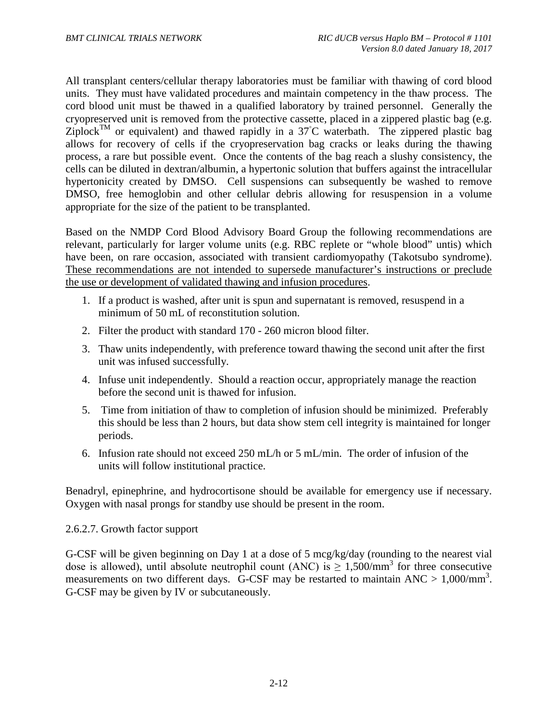All transplant centers/cellular therapy laboratories must be familiar with thawing of cord blood units. They must have validated procedures and maintain competency in the thaw process. The cord blood unit must be thawed in a qualified laboratory by trained personnel. Generally the cryopreserved unit is removed from the protective cassette, placed in a zippered plastic bag (e.g. Ziplock<sup>TM</sup> or equivalent) and thawed rapidly in a 37°C waterbath. The zippered plastic bag allows for recovery of cells if the cryopreservation bag cracks or leaks during the thawing process, a rare but possible event. Once the contents of the bag reach a slushy consistency, the cells can be diluted in dextran/albumin, a hypertonic solution that buffers against the intracellular hypertonicity created by DMSO. Cell suspensions can subsequently be washed to remove DMSO, free hemoglobin and other cellular debris allowing for resuspension in a volume appropriate for the size of the patient to be transplanted.

Based on the NMDP Cord Blood Advisory Board Group the following recommendations are relevant, particularly for larger volume units (e.g. RBC replete or "whole blood" untis) which have been, on rare occasion, associated with transient cardiomyopathy (Takotsubo syndrome). These recommendations are not intended to supersede manufacturer's instructions or preclude the use or development of validated thawing and infusion procedures.

- 1. If a product is washed, after unit is spun and supernatant is removed, resuspend in a minimum of 50 mL of reconstitution solution.
- 2. Filter the product with standard 170 260 micron blood filter.
- 3. Thaw units independently, with preference toward thawing the second unit after the first unit was infused successfully.
- 4. Infuse unit independently. Should a reaction occur, appropriately manage the reaction before the second unit is thawed for infusion.
- 5. Time from initiation of thaw to completion of infusion should be minimized. Preferably this should be less than 2 hours, but data show stem cell integrity is maintained for longer periods.
- 6. Infusion rate should not exceed 250 mL/h or 5 mL/min. The order of infusion of the units will follow institutional practice.

Benadryl, epinephrine, and hydrocortisone should be available for emergency use if necessary. Oxygen with nasal prongs for standby use should be present in the room.

#### 2.6.2.7. Growth factor support

G-CSF will be given beginning on Day 1 at a dose of 5 mcg/kg/day (rounding to the nearest vial dose is allowed), until absolute neutrophil count (ANC) is  $\geq 1,500/\text{mm}^3$  for three consecutive measurements on two different days. G-CSF may be restarted to maintain  $\text{ANC} > 1,000/\text{mm}^3$ . G-CSF may be given by IV or subcutaneously.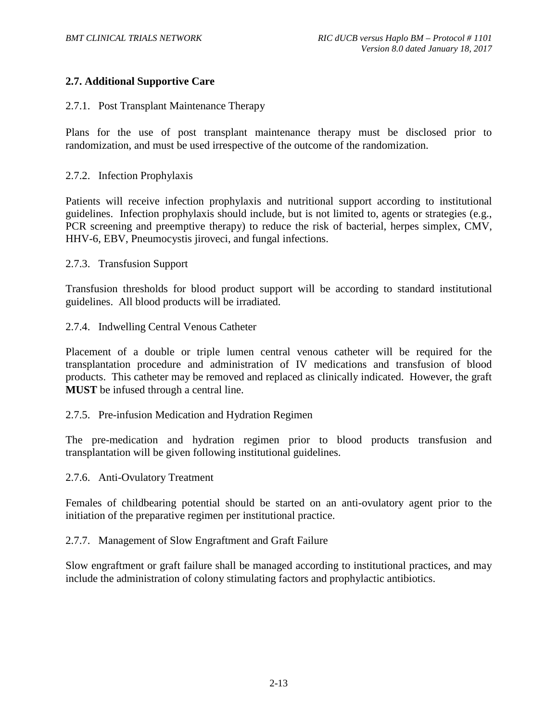#### **2.7. Additional Supportive Care**

#### 2.7.1. Post Transplant Maintenance Therapy

Plans for the use of post transplant maintenance therapy must be disclosed prior to randomization, and must be used irrespective of the outcome of the randomization.

#### 2.7.2. Infection Prophylaxis

Patients will receive infection prophylaxis and nutritional support according to institutional guidelines. Infection prophylaxis should include, but is not limited to, agents or strategies (e.g., PCR screening and preemptive therapy) to reduce the risk of bacterial, herpes simplex, CMV, HHV-6, EBV, Pneumocystis jiroveci, and fungal infections.

#### 2.7.3. Transfusion Support

Transfusion thresholds for blood product support will be according to standard institutional guidelines. All blood products will be irradiated.

2.7.4. Indwelling Central Venous Catheter

Placement of a double or triple lumen central venous catheter will be required for the transplantation procedure and administration of IV medications and transfusion of blood products. This catheter may be removed and replaced as clinically indicated. However, the graft **MUST** be infused through a central line.

#### 2.7.5. Pre-infusion Medication and Hydration Regimen

The pre-medication and hydration regimen prior to blood products transfusion and transplantation will be given following institutional guidelines.

#### 2.7.6. Anti-Ovulatory Treatment

Females of childbearing potential should be started on an anti-ovulatory agent prior to the initiation of the preparative regimen per institutional practice.

#### 2.7.7. Management of Slow Engraftment and Graft Failure

Slow engraftment or graft failure shall be managed according to institutional practices, and may include the administration of colony stimulating factors and prophylactic antibiotics.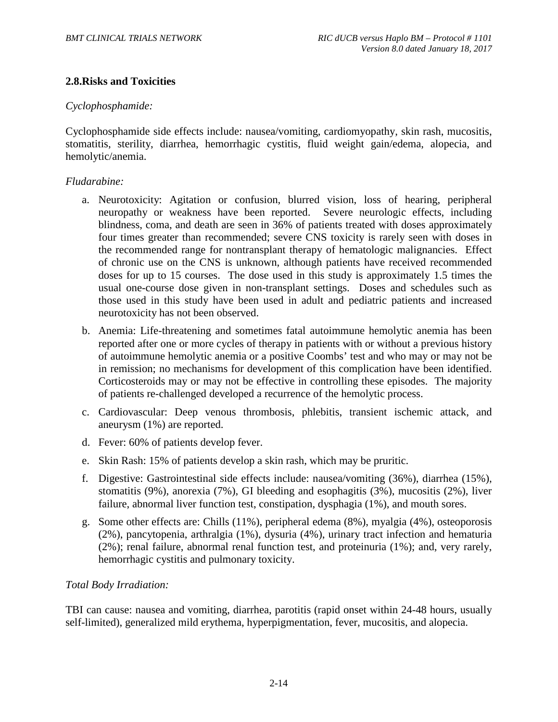#### **2.8.Risks and Toxicities**

#### *Cyclophosphamide:*

Cyclophosphamide side effects include: nausea/vomiting, cardiomyopathy, skin rash, mucositis, stomatitis, sterility, diarrhea, hemorrhagic cystitis, fluid weight gain/edema, alopecia, and hemolytic/anemia.

#### *Fludarabine:*

- a. Neurotoxicity: Agitation or confusion, blurred vision, loss of hearing, peripheral neuropathy or weakness have been reported. Severe neurologic effects, including blindness, coma, and death are seen in 36% of patients treated with doses approximately four times greater than recommended; severe CNS toxicity is rarely seen with doses in the recommended range for nontransplant therapy of hematologic malignancies. Effect of chronic use on the CNS is unknown, although patients have received recommended doses for up to 15 courses. The dose used in this study is approximately 1.5 times the usual one-course dose given in non-transplant settings. Doses and schedules such as those used in this study have been used in adult and pediatric patients and increased neurotoxicity has not been observed.
- b. Anemia: Life-threatening and sometimes fatal autoimmune hemolytic anemia has been reported after one or more cycles of therapy in patients with or without a previous history of autoimmune hemolytic anemia or a positive Coombs' test and who may or may not be in remission; no mechanisms for development of this complication have been identified. Corticosteroids may or may not be effective in controlling these episodes. The majority of patients re-challenged developed a recurrence of the hemolytic process.
- c. Cardiovascular: Deep venous thrombosis, phlebitis, transient ischemic attack, and aneurysm (1%) are reported.
- d. Fever: 60% of patients develop fever.
- e. Skin Rash: 15% of patients develop a skin rash, which may be pruritic.
- f. Digestive: Gastrointestinal side effects include: nausea/vomiting (36%), diarrhea (15%), stomatitis (9%), anorexia (7%), GI bleeding and esophagitis (3%), mucositis (2%), liver failure, abnormal liver function test, constipation, dysphagia (1%), and mouth sores.
- g. Some other effects are: Chills (11%), peripheral edema (8%), myalgia (4%), osteoporosis (2%), pancytopenia, arthralgia (1%), dysuria (4%), urinary tract infection and hematuria (2%); renal failure, abnormal renal function test, and proteinuria (1%); and, very rarely, hemorrhagic cystitis and pulmonary toxicity.

#### *Total Body Irradiation:*

TBI can cause: nausea and vomiting, diarrhea, parotitis (rapid onset within 24-48 hours, usually self-limited), generalized mild erythema, hyperpigmentation, fever, mucositis, and alopecia.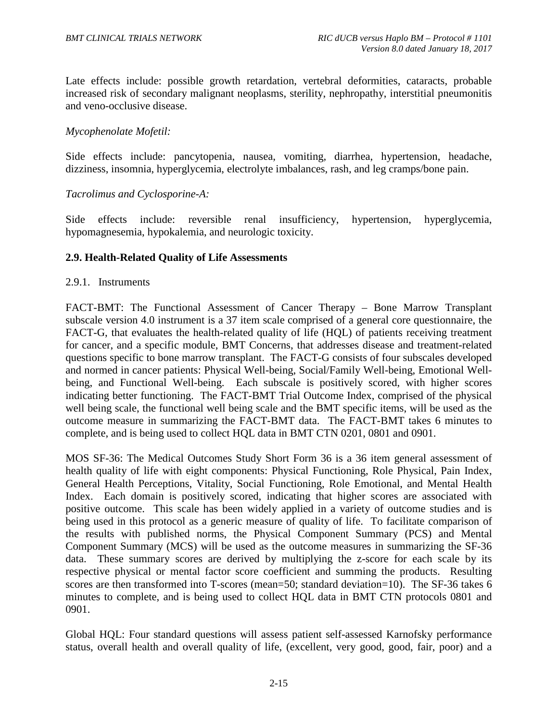Late effects include: possible growth retardation, vertebral deformities, cataracts, probable increased risk of secondary malignant neoplasms, sterility, nephropathy, interstitial pneumonitis and veno-occlusive disease.

#### *Mycophenolate Mofetil:*

Side effects include: pancytopenia, nausea, vomiting, diarrhea, hypertension, headache, dizziness, insomnia, hyperglycemia, electrolyte imbalances, rash, and leg cramps/bone pain.

#### *Tacrolimus and Cyclosporine-A:*

Side effects include: reversible renal insufficiency, hypertension, hyperglycemia, hypomagnesemia, hypokalemia, and neurologic toxicity.

#### **2.9. Health-Related Quality of Life Assessments**

#### 2.9.1. Instruments

FACT-BMT: The Functional Assessment of Cancer Therapy – Bone Marrow Transplant subscale version 4.0 instrument is a 37 item scale comprised of a general core questionnaire, the FACT-G, that evaluates the health-related quality of life (HQL) of patients receiving treatment for cancer, and a specific module, BMT Concerns, that addresses disease and treatment-related questions specific to bone marrow transplant. The FACT-G consists of four subscales developed and normed in cancer patients: Physical Well-being, Social/Family Well-being, Emotional Wellbeing, and Functional Well-being. Each subscale is positively scored, with higher scores indicating better functioning. The FACT-BMT Trial Outcome Index, comprised of the physical well being scale, the functional well being scale and the BMT specific items, will be used as the outcome measure in summarizing the FACT-BMT data. The FACT-BMT takes 6 minutes to complete, and is being used to collect HQL data in BMT CTN 0201, 0801 and 0901.

MOS SF-36: The Medical Outcomes Study Short Form 36 is a 36 item general assessment of health quality of life with eight components: Physical Functioning, Role Physical, Pain Index, General Health Perceptions, Vitality, Social Functioning, Role Emotional, and Mental Health Index. Each domain is positively scored, indicating that higher scores are associated with positive outcome. This scale has been widely applied in a variety of outcome studies and is being used in this protocol as a generic measure of quality of life. To facilitate comparison of the results with published norms, the Physical Component Summary (PCS) and Mental Component Summary (MCS) will be used as the outcome measures in summarizing the SF-36 data. These summary scores are derived by multiplying the z-score for each scale by its respective physical or mental factor score coefficient and summing the products. Resulting scores are then transformed into T-scores (mean=50; standard deviation=10). The SF-36 takes 6 minutes to complete, and is being used to collect HQL data in BMT CTN protocols 0801 and 0901.

Global HQL: Four standard questions will assess patient self-assessed Karnofsky performance status, overall health and overall quality of life, (excellent, very good, good, fair, poor) and a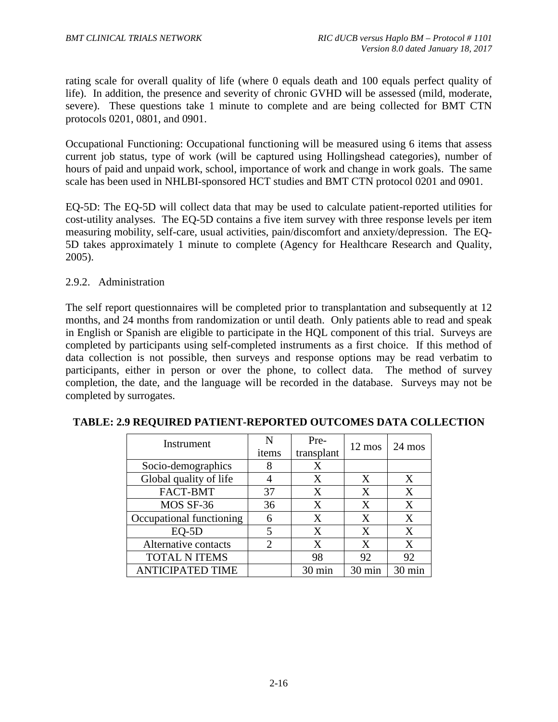rating scale for overall quality of life (where 0 equals death and 100 equals perfect quality of life). In addition, the presence and severity of chronic GVHD will be assessed (mild, moderate, severe). These questions take 1 minute to complete and are being collected for BMT CTN protocols 0201, 0801, and 0901.

Occupational Functioning: Occupational functioning will be measured using 6 items that assess current job status, type of work (will be captured using Hollingshead categories), number of hours of paid and unpaid work, school, importance of work and change in work goals. The same scale has been used in NHLBI-sponsored HCT studies and BMT CTN protocol 0201 and 0901.

EQ-5D: The EQ-5D will collect data that may be used to calculate patient-reported utilities for cost-utility analyses. The EQ-5D contains a five item survey with three response levels per item measuring mobility, self-care, usual activities, pain/discomfort and anxiety/depression. The EQ-5D takes approximately 1 minute to complete (Agency for Healthcare Research and Quality, 2005).

#### 2.9.2. Administration

The self report questionnaires will be completed prior to transplantation and subsequently at 12 months, and 24 months from randomization or until death. Only patients able to read and speak in English or Spanish are eligible to participate in the HQL component of this trial. Surveys are completed by participants using self-completed instruments as a first choice. If this method of data collection is not possible, then surveys and response options may be read verbatim to participants, either in person or over the phone, to collect data. The method of survey completion, the date, and the language will be recorded in the database. Surveys may not be completed by surrogates.

| Instrument               | N                     | Pre-             | $12 \text{ mos}$ | $24 \text{ mos}$ |
|--------------------------|-----------------------|------------------|------------------|------------------|
|                          | items                 | transplant       |                  |                  |
| Socio-demographics       |                       | X                |                  |                  |
| Global quality of life   |                       | X                | X                | X                |
| FACT-BMT                 | 37                    | X                | X                | X                |
| MOS SF-36                | 36                    | X                | X                | X                |
| Occupational functioning | 6                     | X                | X                | X                |
| $EQ-5D$                  | 5                     | X                | X                | X                |
| Alternative contacts     | $\mathcal{D}_{\cdot}$ | X                | X                | X                |
| <b>TOTAL N ITEMS</b>     |                       | 98               | 92               | 92               |
| <b>ANTICIPATED TIME</b>  |                       | $30 \text{ min}$ | $30 \text{ min}$ | $30 \text{ min}$ |

#### **TABLE: 2.9 REQUIRED PATIENT-REPORTED OUTCOMES DATA COLLECTION**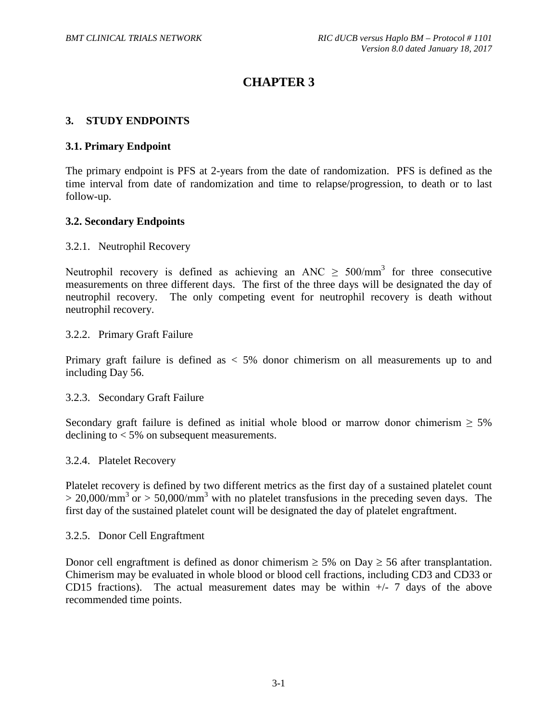# **CHAPTER 3**

#### **3. STUDY ENDPOINTS**

#### **3.1. Primary Endpoint**

The primary endpoint is PFS at 2-years from the date of randomization. PFS is defined as the time interval from date of randomization and time to relapse/progression, to death or to last follow-up.

#### **3.2. Secondary Endpoints**

#### 3.2.1. Neutrophil Recovery

Neutrophil recovery is defined as achieving an ANC  $> 500/\text{mm}^3$  for three consecutive measurements on three different days. The first of the three days will be designated the day of neutrophil recovery. The only competing event for neutrophil recovery is death without neutrophil recovery.

#### 3.2.2. Primary Graft Failure

Primary graft failure is defined as  $< 5\%$  donor chimerism on all measurements up to and including Day 56.

#### 3.2.3. Secondary Graft Failure

Secondary graft failure is defined as initial whole blood or marrow donor chimerism  $\geq 5\%$ declining to < 5% on subsequent measurements.

#### 3.2.4. Platelet Recovery

Platelet recovery is defined by two different metrics as the first day of a sustained platelet count  $> 20,000/\text{mm}^3$  or  $> 50,000/\text{mm}^3$  with no platelet transfusions in the preceding seven days. The first day of the sustained platelet count will be designated the day of platelet engraftment.

#### 3.2.5. Donor Cell Engraftment

Donor cell engraftment is defined as donor chimerism  $\geq$  5% on Day  $\geq$  56 after transplantation. Chimerism may be evaluated in whole blood or blood cell fractions, including CD3 and CD33 or CD15 fractions). The actual measurement dates may be within  $+/-$  7 days of the above recommended time points.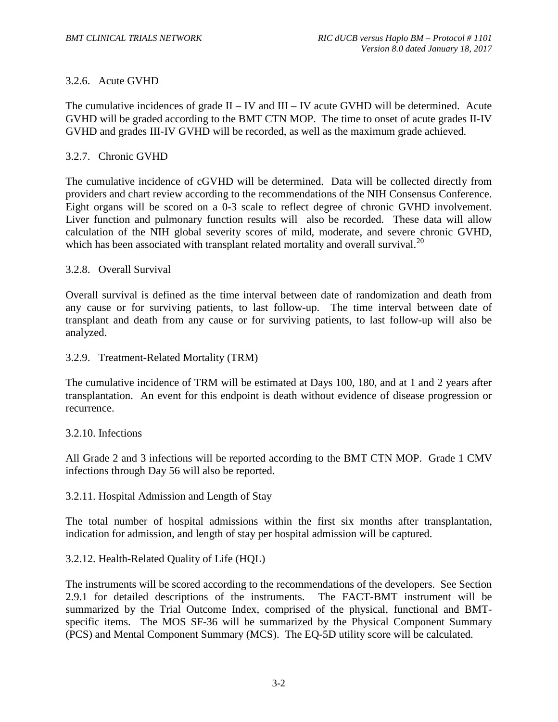#### 3.2.6. Acute GVHD

The cumulative incidences of grade  $II - IV$  and  $III - IV$  acute GVHD will be determined. Acute GVHD will be graded according to the BMT CTN MOP. The time to onset of acute grades II-IV GVHD and grades III-IV GVHD will be recorded, as well as the maximum grade achieved.

#### 3.2.7. Chronic GVHD

The cumulative incidence of cGVHD will be determined. Data will be collected directly from providers and chart review according to the recommendations of the NIH Consensus Conference. Eight organs will be scored on a 0-3 scale to reflect degree of chronic GVHD involvement. Liver function and pulmonary function results will also be recorded. These data will allow calculation of the NIH global severity scores of mild, moderate, and severe chronic GVHD, which has been associated with transplant related mortality and overall survival.<sup>20</sup>

#### 3.2.8. Overall Survival

Overall survival is defined as the time interval between date of randomization and death from any cause or for surviving patients, to last follow-up. The time interval between date of transplant and death from any cause or for surviving patients, to last follow-up will also be analyzed.

#### 3.2.9. Treatment-Related Mortality (TRM)

The cumulative incidence of TRM will be estimated at Days 100, 180, and at 1 and 2 years after transplantation. An event for this endpoint is death without evidence of disease progression or recurrence.

#### 3.2.10. Infections

All Grade 2 and 3 infections will be reported according to the BMT CTN MOP. Grade 1 CMV infections through Day 56 will also be reported.

#### 3.2.11. Hospital Admission and Length of Stay

The total number of hospital admissions within the first six months after transplantation, indication for admission, and length of stay per hospital admission will be captured.

#### 3.2.12. Health-Related Quality of Life (HQL)

The instruments will be scored according to the recommendations of the developers. See Section 2.9.1 for detailed descriptions of the instruments. The FACT-BMT instrument will be summarized by the Trial Outcome Index, comprised of the physical, functional and BMTspecific items. The MOS SF-36 will be summarized by the Physical Component Summary (PCS) and Mental Component Summary (MCS). The EQ-5D utility score will be calculated.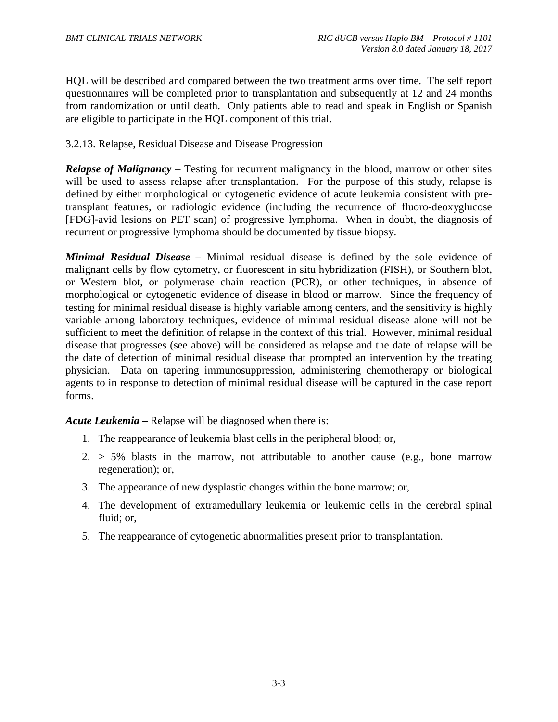HQL will be described and compared between the two treatment arms over time. The self report questionnaires will be completed prior to transplantation and subsequently at 12 and 24 months from randomization or until death. Only patients able to read and speak in English or Spanish are eligible to participate in the HQL component of this trial.

#### 3.2.13. Relapse, Residual Disease and Disease Progression

*Relapse of Malignancy* – Testing for recurrent malignancy in the blood, marrow or other sites will be used to assess relapse after transplantation. For the purpose of this study, relapse is defined by either morphological or cytogenetic evidence of acute leukemia consistent with pretransplant features, or radiologic evidence (including the recurrence of fluoro-deoxyglucose [FDG]-avid lesions on PET scan) of progressive lymphoma. When in doubt, the diagnosis of recurrent or progressive lymphoma should be documented by tissue biopsy.

*Minimal Residual Disease –* Minimal residual disease is defined by the sole evidence of malignant cells by flow cytometry, or fluorescent in situ hybridization (FISH), or Southern blot, or Western blot, or polymerase chain reaction (PCR), or other techniques, in absence of morphological or cytogenetic evidence of disease in blood or marrow. Since the frequency of testing for minimal residual disease is highly variable among centers, and the sensitivity is highly variable among laboratory techniques, evidence of minimal residual disease alone will not be sufficient to meet the definition of relapse in the context of this trial. However, minimal residual disease that progresses (see above) will be considered as relapse and the date of relapse will be the date of detection of minimal residual disease that prompted an intervention by the treating physician. Data on tapering immunosuppression, administering chemotherapy or biological agents to in response to detection of minimal residual disease will be captured in the case report forms.

*Acute Leukemia* **–** Relapse will be diagnosed when there is:

- 1. The reappearance of leukemia blast cells in the peripheral blood; or,
- $2. > 5\%$  blasts in the marrow, not attributable to another cause (e.g., bone marrow regeneration); or,
- 3. The appearance of new dysplastic changes within the bone marrow; or,
- 4. The development of extramedullary leukemia or leukemic cells in the cerebral spinal fluid; or,
- 5. The reappearance of cytogenetic abnormalities present prior to transplantation.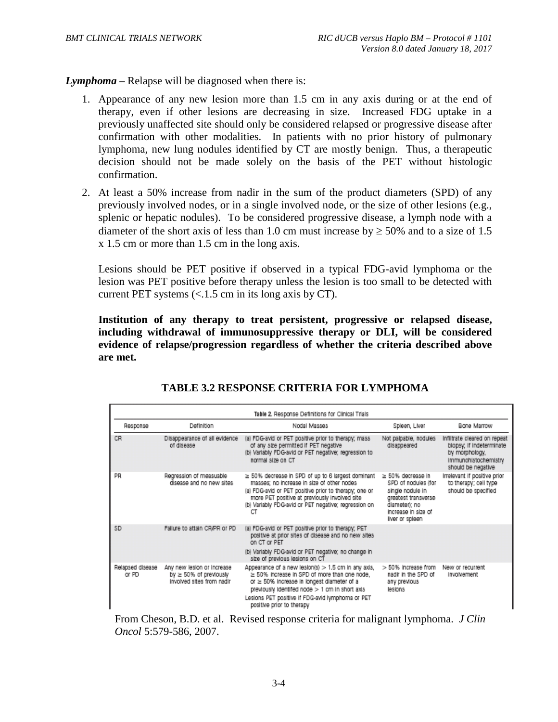*Lymphoma* – Relapse will be diagnosed when there is:

- 1. Appearance of any new lesion more than 1.5 cm in any axis during or at the end of therapy, even if other lesions are decreasing in size. Increased FDG uptake in a previously unaffected site should only be considered relapsed or progressive disease after confirmation with other modalities. In patients with no prior history of pulmonary lymphoma, new lung nodules identified by CT are mostly benign. Thus, a therapeutic decision should not be made solely on the basis of the PET without histologic confirmation.
- 2. At least a 50% increase from nadir in the sum of the product diameters (SPD) of any previously involved nodes, or in a single involved node, or the size of other lesions (e.g., splenic or hepatic nodules). To be considered progressive disease, a lymph node with a diameter of the short axis of less than 1.0 cm must increase by  $\geq$  50% and to a size of 1.5 x 1.5 cm or more than 1.5 cm in the long axis.

Lesions should be PET positive if observed in a typical FDG-avid lymphoma or the lesion was PET positive before therapy unless the lesion is too small to be detected with current PET systems  $\ll 1.5$  cm in its long axis by CT).

**Institution of any therapy to treat persistent, progressive or relapsed disease, including withdrawal of immunosuppressive therapy or DLI, will be considered evidence of relapse/progression regardless of whether the criteria described above are met.**

| Table 2. Response Definitions for Clinical Trials |                                                                                           |                                                                                                                                                                                                                                                                                              |                                                                                                                                               |                                                                                                                          |  |
|---------------------------------------------------|-------------------------------------------------------------------------------------------|----------------------------------------------------------------------------------------------------------------------------------------------------------------------------------------------------------------------------------------------------------------------------------------------|-----------------------------------------------------------------------------------------------------------------------------------------------|--------------------------------------------------------------------------------------------------------------------------|--|
| Response                                          | Definition                                                                                | Nodal Masses                                                                                                                                                                                                                                                                                 | Spieen, Liver                                                                                                                                 | Bone Marrow                                                                                                              |  |
| CR                                                | Disappearance of all evidence<br>of disease                                               | (a) FDG-avid or PET positive prior to therapy; mass<br>of any size permitted if PET negative<br>(b) Variably FDG-avid or PET negative; regression to<br>normal size on CT                                                                                                                    | Not palpable, nodules<br>disappeared                                                                                                          | inflitrate cleared on repeat<br>blopsy; if indeterminate<br>by morphology,<br>immunohistochemistry<br>should be negative |  |
| PR                                                | Regression of measuable<br>disease and no new sites                                       | ≥ 50% decrease in SPD of up to 6 largest dominant<br>masses; no increase in size of other nodes<br>(a) FDG-avid or PET positive prior to therapy; one or<br>more PET positive at previously involved site<br>(b) Variably FDG-avid or PET negative; regression on<br>СT                      | > 50% decrease in<br>SPD of nodules (for<br>single nodule in<br>greatest transverse<br>diameter); no<br>increase in size of<br>Iver or spieen | Irrelevant if positive prior<br>to therapy; cell type<br>should be specified                                             |  |
| SD                                                | Failure to attain CR/PR or PD                                                             | (a) FDG-avid or PET positive prior to therapy; PET<br>positive at prior sites of disease and no new sites<br>on CT or PET                                                                                                                                                                    |                                                                                                                                               |                                                                                                                          |  |
|                                                   |                                                                                           | (b) Variably FDG-avid or PET negative; no change in<br>size of previous lesions on CT                                                                                                                                                                                                        |                                                                                                                                               |                                                                                                                          |  |
| Relapsed disease<br>or PD                         | Any new lesion or increase<br>by $\succeq$ 50% of previously<br>involved sites from nadir | Appearance of a new lesion(s) > 1.5 cm in any axis,<br>≥ 50% increase in SPD of more than one node.<br>or $\succeq$ 50% increase in longest diameter of a<br>previously identifed node > 1 cm in short axis<br>Lesions PET positive if FDG-avid lymphoma or PET<br>positive prior to therapy | > 50% increase from<br>nadir in the SPD of<br>any previous<br>lesions                                                                         | New or recurrent<br>Involvement                                                                                          |  |

#### **TABLE 3.2 RESPONSE CRITERIA FOR LYMPHOMA**

From Cheson, B.D. et al. Revised response criteria for malignant lymphoma. *J Clin Oncol* 5:579-586, 2007.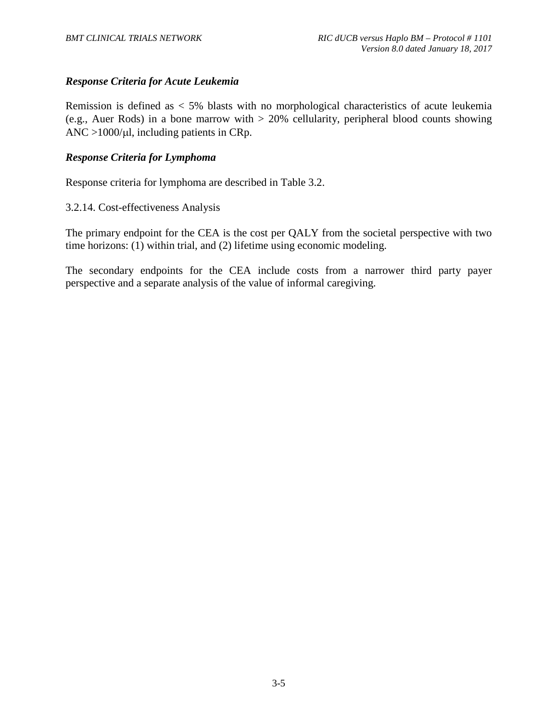#### *Response Criteria for Acute Leukemia*

Remission is defined as < 5% blasts with no morphological characteristics of acute leukemia (e.g., Auer Rods) in a bone marrow with > 20% cellularity, peripheral blood counts showing ANC  $>1000/\mu$ , including patients in CRp.

#### *Response Criteria for Lymphoma*

Response criteria for lymphoma are described in Table 3.2.

#### 3.2.14. Cost-effectiveness Analysis

The primary endpoint for the CEA is the cost per QALY from the societal perspective with two time horizons: (1) within trial, and (2) lifetime using economic modeling.

The secondary endpoints for the CEA include costs from a narrower third party payer perspective and a separate analysis of the value of informal caregiving.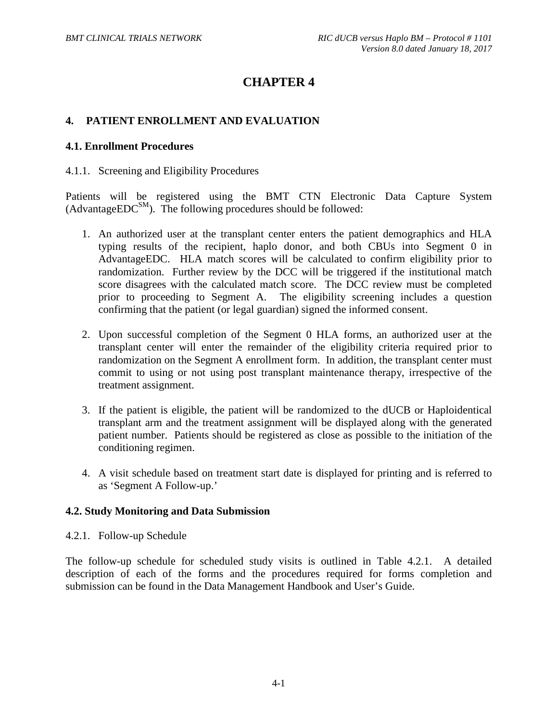# **CHAPTER 4**

#### **4. PATIENT ENROLLMENT AND EVALUATION**

#### **4.1. Enrollment Procedures**

#### 4.1.1. Screening and Eligibility Procedures

Patients will be registered using the BMT CTN Electronic Data Capture System  $(AdvancedEDC<sup>SM</sup>)$ . The following procedures should be followed:

- 1. An authorized user at the transplant center enters the patient demographics and HLA typing results of the recipient, haplo donor, and both CBUs into Segment 0 in AdvantageEDC. HLA match scores will be calculated to confirm eligibility prior to randomization. Further review by the DCC will be triggered if the institutional match score disagrees with the calculated match score. The DCC review must be completed prior to proceeding to Segment A. The eligibility screening includes a question confirming that the patient (or legal guardian) signed the informed consent.
- 2. Upon successful completion of the Segment 0 HLA forms, an authorized user at the transplant center will enter the remainder of the eligibility criteria required prior to randomization on the Segment A enrollment form. In addition, the transplant center must commit to using or not using post transplant maintenance therapy, irrespective of the treatment assignment.
- 3. If the patient is eligible, the patient will be randomized to the dUCB or Haploidentical transplant arm and the treatment assignment will be displayed along with the generated patient number. Patients should be registered as close as possible to the initiation of the conditioning regimen.
- 4. A visit schedule based on treatment start date is displayed for printing and is referred to as 'Segment A Follow-up.'

#### **4.2. Study Monitoring and Data Submission**

#### 4.2.1. Follow-up Schedule

The follow-up schedule for scheduled study visits is outlined in Table 4.2.1. A detailed description of each of the forms and the procedures required for forms completion and submission can be found in the Data Management Handbook and User's Guide.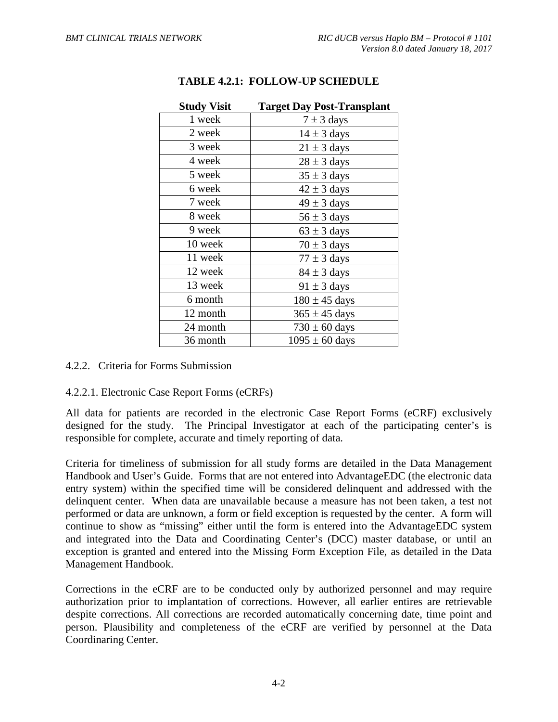| <b>Study Visit</b> | <b>Target Day Post-Transplant</b> |
|--------------------|-----------------------------------|
| 1 week             | $7 \pm 3$ days                    |
| 2 week             | $14 \pm 3$ days                   |
| 3 week             | $21 \pm 3$ days                   |
| 4 week             | $28 \pm 3$ days                   |
| 5 week             | $35 \pm 3$ days                   |
| 6 week             | $42 \pm 3$ days                   |
| 7 week             | $49 \pm 3$ days                   |
| 8 week             | $56 \pm 3$ days                   |
| 9 week             | $63 \pm 3$ days                   |
| 10 week            | $70 \pm 3$ days                   |
| 11 week            | $77 \pm 3$ days                   |
| 12 week            | $84 \pm 3$ days                   |
| 13 week            | $91 \pm 3$ days                   |
| 6 month            | $180 \pm 45$ days                 |
| 12 month           | $365 \pm 45$ days                 |
| 24 month           | $730 \pm 60$ days                 |
| 36 month           | $1095 \pm 60$ days                |

## **TABLE 4.2.1: FOLLOW-UP SCHEDULE**

#### 4.2.2. Criteria for Forms Submission

#### 4.2.2.1. Electronic Case Report Forms (eCRFs)

All data for patients are recorded in the electronic Case Report Forms (eCRF) exclusively designed for the study. The Principal Investigator at each of the participating center's is responsible for complete, accurate and timely reporting of data.

Criteria for timeliness of submission for all study forms are detailed in the Data Management Handbook and User's Guide. Forms that are not entered into AdvantageEDC (the electronic data entry system) within the specified time will be considered delinquent and addressed with the delinquent center. When data are unavailable because a measure has not been taken, a test not performed or data are unknown, a form or field exception is requested by the center. A form will continue to show as "missing" either until the form is entered into the AdvantageEDC system and integrated into the Data and Coordinating Center's (DCC) master database, or until an exception is granted and entered into the Missing Form Exception File, as detailed in the Data Management Handbook.

Corrections in the eCRF are to be conducted only by authorized personnel and may require authorization prior to implantation of corrections. However, all earlier entires are retrievable despite corrections. All corrections are recorded automatically concerning date, time point and person. Plausibility and completeness of the eCRF are verified by personnel at the Data Coordinaring Center.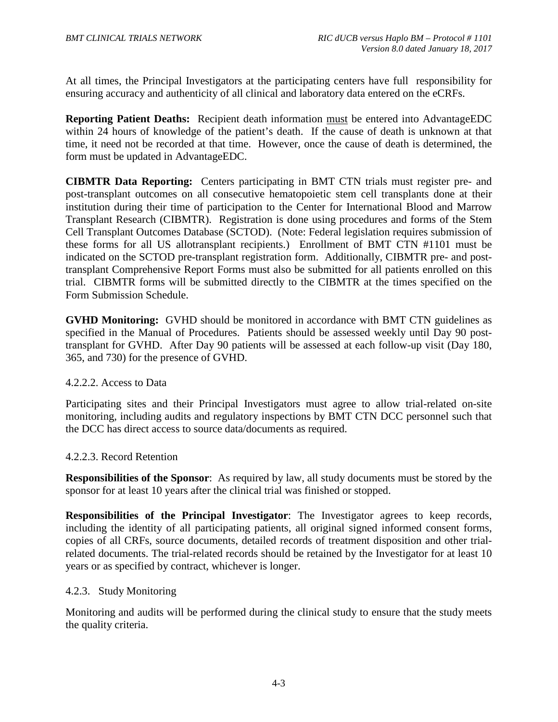At all times, the Principal Investigators at the participating centers have full responsibility for ensuring accuracy and authenticity of all clinical and laboratory data entered on the eCRFs.

**Reporting Patient Deaths:** Recipient death information must be entered into AdvantageEDC within 24 hours of knowledge of the patient's death. If the cause of death is unknown at that time, it need not be recorded at that time. However, once the cause of death is determined, the form must be updated in AdvantageEDC.

**CIBMTR Data Reporting:** Centers participating in BMT CTN trials must register pre- and post-transplant outcomes on all consecutive hematopoietic stem cell transplants done at their institution during their time of participation to the Center for International Blood and Marrow Transplant Research (CIBMTR). Registration is done using procedures and forms of the Stem Cell Transplant Outcomes Database (SCTOD). (Note: Federal legislation requires submission of these forms for all US allotransplant recipients.) Enrollment of BMT CTN #1101 must be indicated on the SCTOD pre-transplant registration form. Additionally, CIBMTR pre- and posttransplant Comprehensive Report Forms must also be submitted for all patients enrolled on this trial. CIBMTR forms will be submitted directly to the CIBMTR at the times specified on the Form Submission Schedule.

**GVHD Monitoring:** GVHD should be monitored in accordance with BMT CTN guidelines as specified in the Manual of Procedures. Patients should be assessed weekly until Day 90 posttransplant for GVHD. After Day 90 patients will be assessed at each follow-up visit (Day 180, 365, and 730) for the presence of GVHD.

#### 4.2.2.2. Access to Data

Participating sites and their Principal Investigators must agree to allow trial-related on-site monitoring, including audits and regulatory inspections by BMT CTN DCC personnel such that the DCC has direct access to source data/documents as required.

#### 4.2.2.3. Record Retention

**Responsibilities of the Sponsor**: As required by law, all study documents must be stored by the sponsor for at least 10 years after the clinical trial was finished or stopped.

**Responsibilities of the Principal Investigator**: The Investigator agrees to keep records, including the identity of all participating patients, all original signed informed consent forms, copies of all CRFs, source documents, detailed records of treatment disposition and other trialrelated documents. The trial-related records should be retained by the Investigator for at least 10 years or as specified by contract, whichever is longer.

#### 4.2.3. Study Monitoring

Monitoring and audits will be performed during the clinical study to ensure that the study meets the quality criteria.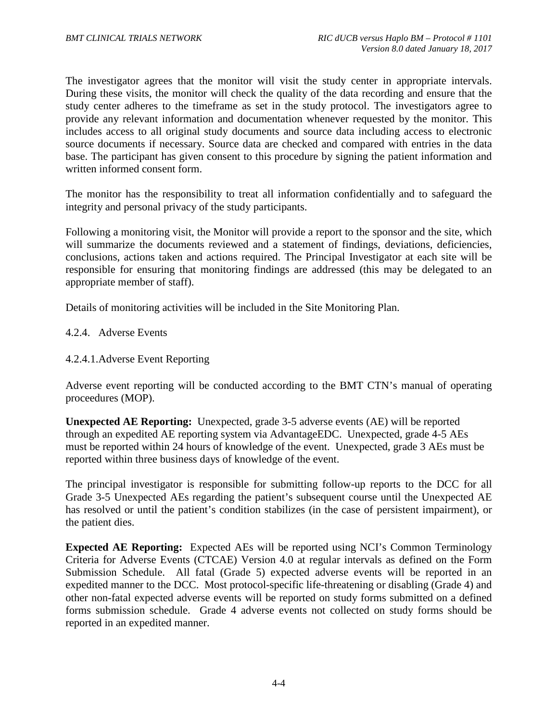The investigator agrees that the monitor will visit the study center in appropriate intervals. During these visits, the monitor will check the quality of the data recording and ensure that the study center adheres to the timeframe as set in the study protocol. The investigators agree to provide any relevant information and documentation whenever requested by the monitor. This includes access to all original study documents and source data including access to electronic source documents if necessary. Source data are checked and compared with entries in the data base. The participant has given consent to this procedure by signing the patient information and written informed consent form.

The monitor has the responsibility to treat all information confidentially and to safeguard the integrity and personal privacy of the study participants.

Following a monitoring visit, the Monitor will provide a report to the sponsor and the site, which will summarize the documents reviewed and a statement of findings, deviations, deficiencies, conclusions, actions taken and actions required. The Principal Investigator at each site will be responsible for ensuring that monitoring findings are addressed (this may be delegated to an appropriate member of staff).

Details of monitoring activities will be included in the Site Monitoring Plan.

#### 4.2.4. Adverse Events

#### 4.2.4.1.Adverse Event Reporting

Adverse event reporting will be conducted according to the BMT CTN's manual of operating proceedures (MOP).

**Unexpected AE Reporting:** Unexpected, grade 3-5 adverse events (AE) will be reported through an expedited AE reporting system via AdvantageEDC. Unexpected, grade 4-5 AEs must be reported within 24 hours of knowledge of the event. Unexpected, grade 3 AEs must be reported within three business days of knowledge of the event.

The principal investigator is responsible for submitting follow-up reports to the DCC for all Grade 3-5 Unexpected AEs regarding the patient's subsequent course until the Unexpected AE has resolved or until the patient's condition stabilizes (in the case of persistent impairment), or the patient dies.

**Expected AE Reporting:** Expected AEs will be reported using NCI's Common Terminology Criteria for Adverse Events (CTCAE) Version 4.0 at regular intervals as defined on the Form Submission Schedule. All fatal (Grade 5) expected adverse events will be reported in an expedited manner to the DCC. Most protocol-specific life-threatening or disabling (Grade 4) and other non-fatal expected adverse events will be reported on study forms submitted on a defined forms submission schedule. Grade 4 adverse events not collected on study forms should be reported in an expedited manner.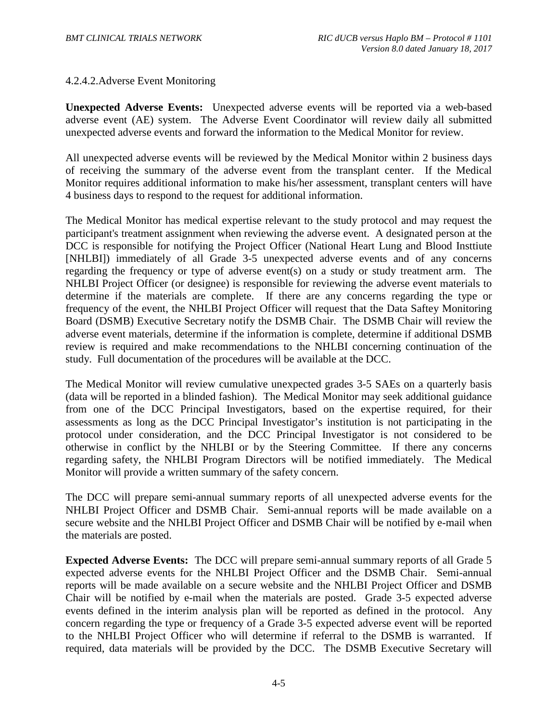## 4.2.4.2.Adverse Event Monitoring

**Unexpected Adverse Events:** Unexpected adverse events will be reported via a web-based adverse event (AE) system. The Adverse Event Coordinator will review daily all submitted unexpected adverse events and forward the information to the Medical Monitor for review.

All unexpected adverse events will be reviewed by the Medical Monitor within 2 business days of receiving the summary of the adverse event from the transplant center. If the Medical Monitor requires additional information to make his/her assessment, transplant centers will have 4 business days to respond to the request for additional information.

The Medical Monitor has medical expertise relevant to the study protocol and may request the participant's treatment assignment when reviewing the adverse event. A designated person at the DCC is responsible for notifying the Project Officer (National Heart Lung and Blood Insttiute [NHLBI]) immediately of all Grade 3-5 unexpected adverse events and of any concerns regarding the frequency or type of adverse event(s) on a study or study treatment arm. The NHLBI Project Officer (or designee) is responsible for reviewing the adverse event materials to determine if the materials are complete. If there are any concerns regarding the type or frequency of the event, the NHLBI Project Officer will request that the Data Saftey Monitoring Board (DSMB) Executive Secretary notify the DSMB Chair. The DSMB Chair will review the adverse event materials, determine if the information is complete, determine if additional DSMB review is required and make recommendations to the NHLBI concerning continuation of the study. Full documentation of the procedures will be available at the DCC.

The Medical Monitor will review cumulative unexpected grades 3-5 SAEs on a quarterly basis (data will be reported in a blinded fashion). The Medical Monitor may seek additional guidance from one of the DCC Principal Investigators, based on the expertise required, for their assessments as long as the DCC Principal Investigator's institution is not participating in the protocol under consideration, and the DCC Principal Investigator is not considered to be otherwise in conflict by the NHLBI or by the Steering Committee. If there any concerns regarding safety, the NHLBI Program Directors will be notified immediately. The Medical Monitor will provide a written summary of the safety concern.

The DCC will prepare semi-annual summary reports of all unexpected adverse events for the NHLBI Project Officer and DSMB Chair. Semi-annual reports will be made available on a secure website and the NHLBI Project Officer and DSMB Chair will be notified by e-mail when the materials are posted.

**Expected Adverse Events:** The DCC will prepare semi-annual summary reports of all Grade 5 expected adverse events for the NHLBI Project Officer and the DSMB Chair. Semi-annual reports will be made available on a secure website and the NHLBI Project Officer and DSMB Chair will be notified by e-mail when the materials are posted. Grade 3-5 expected adverse events defined in the interim analysis plan will be reported as defined in the protocol. Any concern regarding the type or frequency of a Grade 3-5 expected adverse event will be reported to the NHLBI Project Officer who will determine if referral to the DSMB is warranted. If required, data materials will be provided by the DCC. The DSMB Executive Secretary will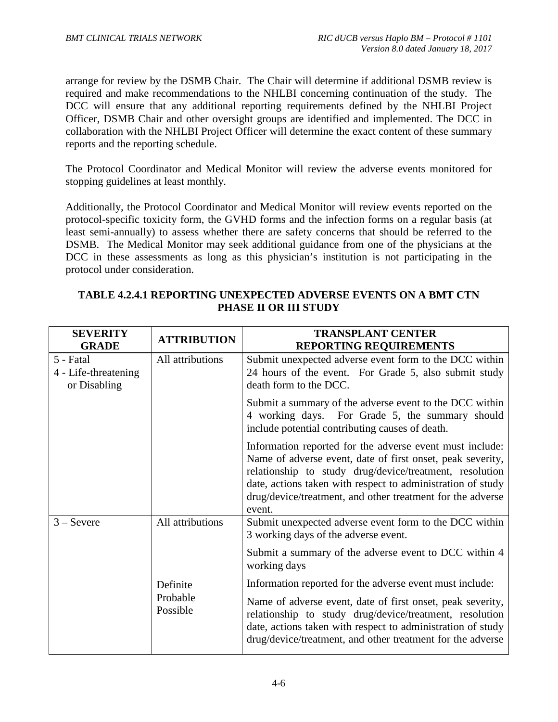arrange for review by the DSMB Chair. The Chair will determine if additional DSMB review is required and make recommendations to the NHLBI concerning continuation of the study. The DCC will ensure that any additional reporting requirements defined by the NHLBI Project Officer, DSMB Chair and other oversight groups are identified and implemented. The DCC in collaboration with the NHLBI Project Officer will determine the exact content of these summary reports and the reporting schedule.

The Protocol Coordinator and Medical Monitor will review the adverse events monitored for stopping guidelines at least monthly.

Additionally, the Protocol Coordinator and Medical Monitor will review events reported on the protocol-specific toxicity form, the GVHD forms and the infection forms on a regular basis (at least semi-annually) to assess whether there are safety concerns that should be referred to the DSMB. The Medical Monitor may seek additional guidance from one of the physicians at the DCC in these assessments as long as this physician's institution is not participating in the protocol under consideration.

| <b>SEVERITY</b><br><b>GRADE</b>                   | <b>ATTRIBUTION</b> | <b>TRANSPLANT CENTER</b><br><b>REPORTING REQUIREMENTS</b>                                                                                                                                                                                                                                                                |
|---------------------------------------------------|--------------------|--------------------------------------------------------------------------------------------------------------------------------------------------------------------------------------------------------------------------------------------------------------------------------------------------------------------------|
| 5 - Fatal<br>4 - Life-threatening<br>or Disabling | All attributions   | Submit unexpected adverse event form to the DCC within<br>24 hours of the event. For Grade 5, also submit study<br>death form to the DCC.                                                                                                                                                                                |
|                                                   |                    | Submit a summary of the adverse event to the DCC within<br>4 working days. For Grade 5, the summary should<br>include potential contributing causes of death.                                                                                                                                                            |
|                                                   |                    | Information reported for the adverse event must include:<br>Name of adverse event, date of first onset, peak severity,<br>relationship to study drug/device/treatment, resolution<br>date, actions taken with respect to administration of study<br>drug/device/treatment, and other treatment for the adverse<br>event. |
| $3 -$ Severe                                      | All attributions   | Submit unexpected adverse event form to the DCC within<br>3 working days of the adverse event.                                                                                                                                                                                                                           |
|                                                   |                    | Submit a summary of the adverse event to DCC within 4<br>working days                                                                                                                                                                                                                                                    |
|                                                   | Definite           | Information reported for the adverse event must include:                                                                                                                                                                                                                                                                 |
| Probable<br>Possible                              |                    | Name of adverse event, date of first onset, peak severity,<br>relationship to study drug/device/treatment, resolution<br>date, actions taken with respect to administration of study<br>drug/device/treatment, and other treatment for the adverse                                                                       |

## **TABLE 4.2.4.1 REPORTING UNEXPECTED ADVERSE EVENTS ON A BMT CTN PHASE II OR III STUDY**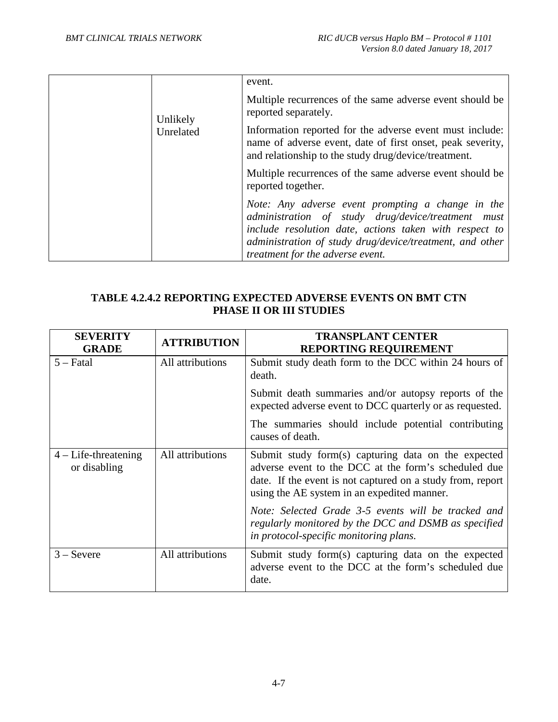|           | event.                                                                                                                                                                                                                                                            |
|-----------|-------------------------------------------------------------------------------------------------------------------------------------------------------------------------------------------------------------------------------------------------------------------|
| Unlikely  | Multiple recurrences of the same adverse event should be<br>reported separately.                                                                                                                                                                                  |
| Unrelated | Information reported for the adverse event must include:<br>name of adverse event, date of first onset, peak severity,<br>and relationship to the study drug/device/treatment.                                                                                    |
|           | Multiple recurrences of the same adverse event should be<br>reported together.                                                                                                                                                                                    |
|           | Note: Any adverse event prompting a change in the<br>administration of study drug/device/treatment must<br>include resolution date, actions taken with respect to<br>administration of study drug/device/treatment, and other<br>treatment for the adverse event. |

# **TABLE 4.2.4.2 REPORTING EXPECTED ADVERSE EVENTS ON BMT CTN PHASE II OR III STUDIES**

| <b>SEVERITY</b><br><b>GRADE</b>        | <b>ATTRIBUTION</b> | <b>TRANSPLANT CENTER</b><br><b>REPORTING REQUIREMENT</b>                                                                                                                                                                 |
|----------------------------------------|--------------------|--------------------------------------------------------------------------------------------------------------------------------------------------------------------------------------------------------------------------|
| $5 - \text{Fatal}$                     | All attributions   | Submit study death form to the DCC within 24 hours of<br>death.                                                                                                                                                          |
|                                        |                    | Submit death summaries and/or autopsy reports of the<br>expected adverse event to DCC quarterly or as requested.                                                                                                         |
|                                        |                    | The summaries should include potential contributing<br>causes of death.                                                                                                                                                  |
| $4$ – Life-threatening<br>or disabling | All attributions   | Submit study form(s) capturing data on the expected<br>adverse event to the DCC at the form's scheduled due<br>date. If the event is not captured on a study from, report<br>using the AE system in an expedited manner. |
|                                        |                    | Note: Selected Grade 3-5 events will be tracked and<br>regularly monitored by the DCC and DSMB as specified<br>in protocol-specific monitoring plans.                                                                    |
| $3 -$ Severe                           | All attributions   | Submit study form(s) capturing data on the expected<br>adverse event to the DCC at the form's scheduled due<br>date.                                                                                                     |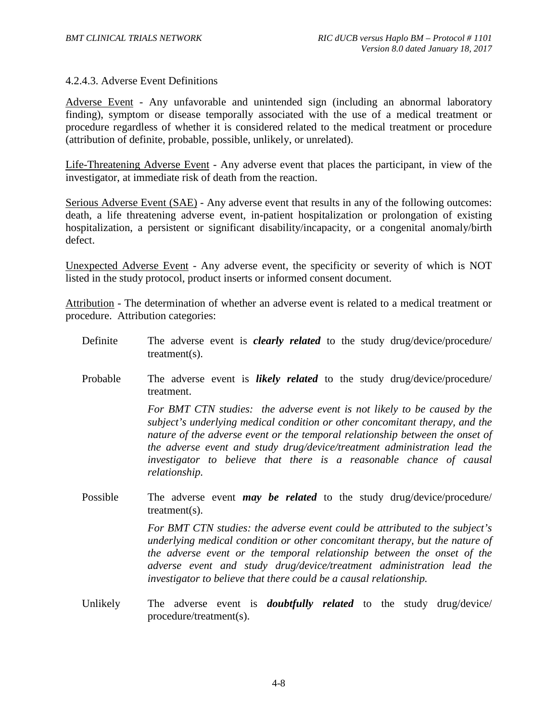#### 4.2.4.3. Adverse Event Definitions

Adverse Event - Any unfavorable and unintended sign (including an abnormal laboratory finding), symptom or disease temporally associated with the use of a medical treatment or procedure regardless of whether it is considered related to the medical treatment or procedure (attribution of definite, probable, possible, unlikely, or unrelated).

Life-Threatening Adverse Event - Any adverse event that places the participant, in view of the investigator, at immediate risk of death from the reaction.

Serious Adverse Event (SAE) - Any adverse event that results in any of the following outcomes: death, a life threatening adverse event, in-patient hospitalization or prolongation of existing hospitalization, a persistent or significant disability/incapacity, or a congenital anomaly/birth defect.

Unexpected Adverse Event - Any adverse event, the specificity or severity of which is NOT listed in the study protocol, product inserts or informed consent document.

Attribution - The determination of whether an adverse event is related to a medical treatment or procedure. Attribution categories:

- Definite The adverse event is *clearly related* to the study drug/device/procedure/ treatment(s).
- Probable The adverse event is *likely related* to the study drug/device/procedure/ treatment.

*For BMT CTN studies: the adverse event is not likely to be caused by the subject's underlying medical condition or other concomitant therapy, and the nature of the adverse event or the temporal relationship between the onset of the adverse event and study drug/device/treatment administration lead the investigator to believe that there is a reasonable chance of causal relationship.* 

Possible The adverse event *may be related* to the study drug/device/procedure/ treatment(s).

> *For BMT CTN studies: the adverse event could be attributed to the subject's underlying medical condition or other concomitant therapy, but the nature of the adverse event or the temporal relationship between the onset of the adverse event and study drug/device/treatment administration lead the investigator to believe that there could be a causal relationship.*

Unlikely The adverse event is *doubtfully related* to the study drug/device/ procedure/treatment(s).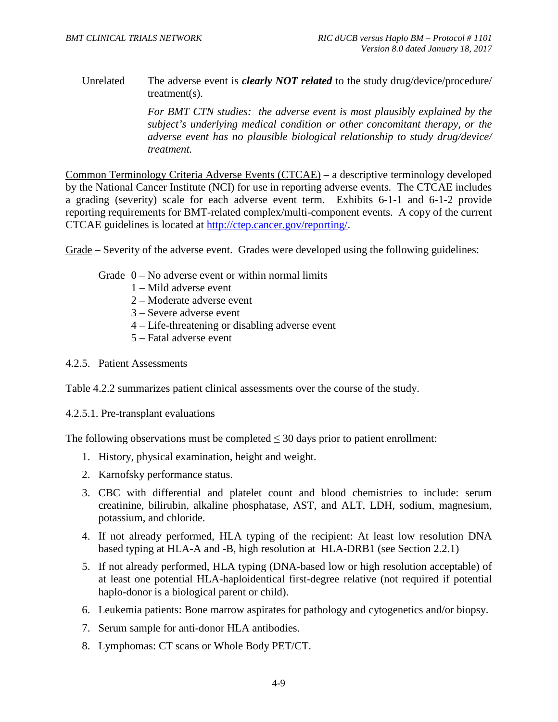Unrelated The adverse event is *clearly NOT related* to the study drug/device/procedure/ treatment(s).

> *For BMT CTN studies: the adverse event is most plausibly explained by the subject's underlying medical condition or other concomitant therapy, or the adverse event has no plausible biological relationship to study drug/device/ treatment.*

Common Terminology Criteria Adverse Events (CTCAE) – a descriptive terminology developed by the National Cancer Institute (NCI) for use in reporting adverse events. The CTCAE includes a grading (severity) scale for each adverse event term. Exhibits 6-1-1 and 6-1-2 provide reporting requirements for BMT-related complex/multi-component events. A copy of the current CTCAE guidelines is located at http://ctep.cancer.gov/reporting/.

Grade – Severity of the adverse event. Grades were developed using the following guidelines:

- Grade  $0 No$  adverse event or within normal limits
	- 1 Mild adverse event
	- 2 Moderate adverse event
	- 3 Severe adverse event
	- 4 Life-threatening or disabling adverse event
	- 5 Fatal adverse event

#### 4.2.5. Patient Assessments

Table 4.2.2 summarizes patient clinical assessments over the course of the study.

#### 4.2.5.1. Pre-transplant evaluations

The following observations must be completed  $\leq$  30 days prior to patient enrollment:

- 1. History, physical examination, height and weight.
- 2. Karnofsky performance status.
- 3. CBC with differential and platelet count and blood chemistries to include: serum creatinine, bilirubin, alkaline phosphatase, AST, and ALT, LDH, sodium, magnesium, potassium, and chloride.
- 4. If not already performed, HLA typing of the recipient: At least low resolution DNA based typing at HLA-A and -B, high resolution at HLA-DRB1 (see Section 2.2.1)
- 5. If not already performed, HLA typing (DNA-based low or high resolution acceptable) of at least one potential HLA-haploidentical first-degree relative (not required if potential haplo-donor is a biological parent or child).
- 6. Leukemia patients: Bone marrow aspirates for pathology and cytogenetics and/or biopsy.
- 7. Serum sample for anti-donor HLA antibodies.
- 8. Lymphomas: CT scans or Whole Body PET/CT.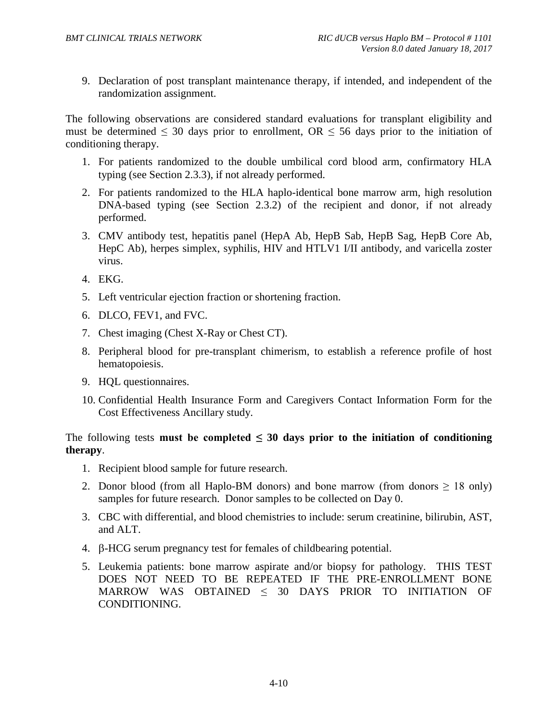9. Declaration of post transplant maintenance therapy, if intended, and independent of the randomization assignment.

The following observations are considered standard evaluations for transplant eligibility and must be determined  $\leq$  30 days prior to enrollment, OR  $\leq$  56 days prior to the initiation of conditioning therapy.

- 1. For patients randomized to the double umbilical cord blood arm, confirmatory HLA typing (see Section 2.3.3), if not already performed.
- 2. For patients randomized to the HLA haplo-identical bone marrow arm, high resolution DNA-based typing (see Section 2.3.2) of the recipient and donor, if not already performed.
- 3. CMV antibody test, hepatitis panel (HepA Ab, HepB Sab, HepB Sag, HepB Core Ab, HepC Ab), herpes simplex, syphilis, HIV and HTLV1 I/II antibody, and varicella zoster virus.
- 4. EKG.
- 5. Left ventricular ejection fraction or shortening fraction.
- 6. DLCO, FEV1, and FVC.
- 7. Chest imaging (Chest X-Ray or Chest CT).
- 8. Peripheral blood for pre-transplant chimerism, to establish a reference profile of host hematopoiesis.
- 9. HQL questionnaires.
- 10. Confidential Health Insurance Form and Caregivers Contact Information Form for the Cost Effectiveness Ancillary study.

# The following tests **must** be completed  $\leq 30$  days prior to the initiation of conditioning **therapy**.

- 1. Recipient blood sample for future research.
- 2. Donor blood (from all Haplo-BM donors) and bone marrow (from donors  $\geq 18$  only) samples for future research. Donor samples to be collected on Day 0.
- 3. CBC with differential, and blood chemistries to include: serum creatinine, bilirubin, AST, and ALT.
- 4. β-HCG serum pregnancy test for females of childbearing potential.
- 5. Leukemia patients: bone marrow aspirate and/or biopsy for pathology. THIS TEST DOES NOT NEED TO BE REPEATED IF THE PRE-ENROLLMENT BONE MARROW WAS OBTAINED  $\leq$  30 DAYS PRIOR TO INITIATION OF CONDITIONING.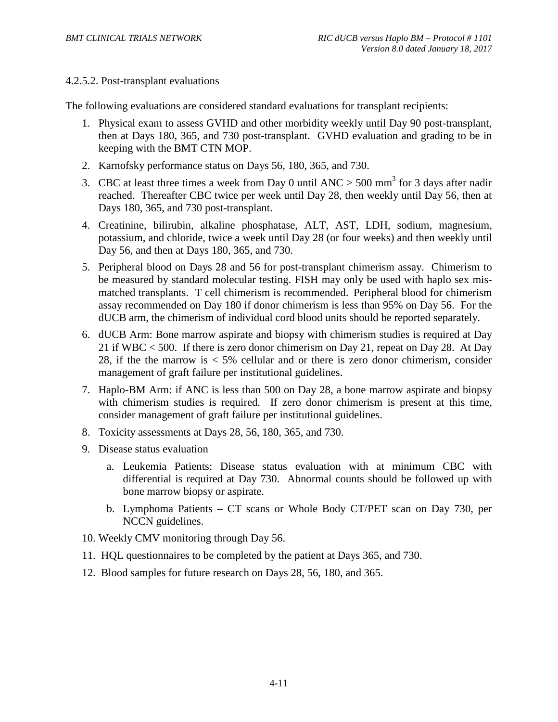#### 4.2.5.2. Post-transplant evaluations

The following evaluations are considered standard evaluations for transplant recipients:

- 1. Physical exam to assess GVHD and other morbidity weekly until Day 90 post-transplant, then at Days 180, 365, and 730 post-transplant. GVHD evaluation and grading to be in keeping with the BMT CTN MOP.
- 2. Karnofsky performance status on Days 56, 180, 365, and 730.
- 3. CBC at least three times a week from Day 0 until  $ANC > 500$  mm<sup>3</sup> for 3 days after nadir reached. Thereafter CBC twice per week until Day 28, then weekly until Day 56, then at Days 180, 365, and 730 post-transplant.
- 4. Creatinine, bilirubin, alkaline phosphatase, ALT, AST, LDH, sodium, magnesium, potassium, and chloride, twice a week until Day 28 (or four weeks) and then weekly until Day 56, and then at Days 180, 365, and 730.
- 5. Peripheral blood on Days 28 and 56 for post-transplant chimerism assay. Chimerism to be measured by standard molecular testing. FISH may only be used with haplo sex mismatched transplants. T cell chimerism is recommended. Peripheral blood for chimerism assay recommended on Day 180 if donor chimerism is less than 95% on Day 56. For the dUCB arm, the chimerism of individual cord blood units should be reported separately.
- 6. dUCB Arm: Bone marrow aspirate and biopsy with chimerism studies is required at Day 21 if WBC < 500. If there is zero donor chimerism on Day 21, repeat on Day 28. At Day 28, if the the marrow is < 5% cellular and or there is zero donor chimerism, consider management of graft failure per institutional guidelines.
- 7. Haplo-BM Arm: if ANC is less than 500 on Day 28, a bone marrow aspirate and biopsy with chimerism studies is required. If zero donor chimerism is present at this time, consider management of graft failure per institutional guidelines.
- 8. Toxicity assessments at Days 28, 56, 180, 365, and 730.
- 9. Disease status evaluation
	- a. Leukemia Patients: Disease status evaluation with at minimum CBC with differential is required at Day 730. Abnormal counts should be followed up with bone marrow biopsy or aspirate.
	- b. Lymphoma Patients CT scans or Whole Body CT/PET scan on Day 730, per NCCN guidelines.
- 10. Weekly CMV monitoring through Day 56.
- 11. HQL questionnaires to be completed by the patient at Days 365, and 730.
- 12. Blood samples for future research on Days 28, 56, 180, and 365.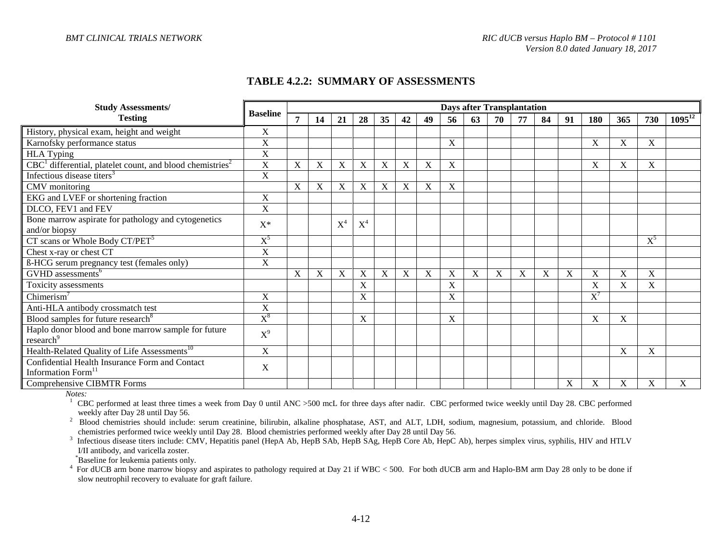#### **TABLE 4.2.2: SUMMARY OF ASSESSMENTS**

| <b>Study Assessments/</b>                                               |                           | <b>Days after Transplantation</b> |             |             |       |    |             |                           |             |    |    |    |    |    |       |             |       |             |
|-------------------------------------------------------------------------|---------------------------|-----------------------------------|-------------|-------------|-------|----|-------------|---------------------------|-------------|----|----|----|----|----|-------|-------------|-------|-------------|
| <b>Testing</b>                                                          | <b>Baseline</b>           | $\overline{7}$                    | 14          | 21          | 28    | 35 | 42          | 49                        | 56          | 63 | 70 | 77 | 84 | 91 | 180   | 365         | 730   | $1095^{12}$ |
| History, physical exam, height and weight                               | X                         |                                   |             |             |       |    |             |                           |             |    |    |    |    |    |       |             |       |             |
| Karnofsky performance status                                            | $\boldsymbol{\mathrm{X}}$ |                                   |             |             |       |    |             |                           | X           |    |    |    |    |    | X     | X           | X     |             |
| <b>HLA Typing</b>                                                       | X                         |                                   |             |             |       |    |             |                           |             |    |    |    |    |    |       |             |       |             |
| $CBC1$ differential, platelet count, and blood chemistries <sup>2</sup> | $\boldsymbol{\mathrm{X}}$ | $\mathbf X$                       | X           | X           | X     | X  | X           | X                         | X           |    |    |    |    |    | X     | X           | X     |             |
| Infectious disease titers <sup>3</sup>                                  | $\mathbf X$               |                                   |             |             |       |    |             |                           |             |    |    |    |    |    |       |             |       |             |
| CMV monitoring                                                          |                           | $\mathbf X$                       | $\mathbf X$ | $\mathbf X$ | X     | X  | $\mathbf X$ | $\boldsymbol{\mathrm{X}}$ | $\mathbf X$ |    |    |    |    |    |       |             |       |             |
| EKG and LVEF or shortening fraction                                     | X                         |                                   |             |             |       |    |             |                           |             |    |    |    |    |    |       |             |       |             |
| DLCO, FEV1 and FEV                                                      | X                         |                                   |             |             |       |    |             |                           |             |    |    |    |    |    |       |             |       |             |
| Bone marrow aspirate for pathology and cytogenetics                     | $X^*$                     |                                   |             | $X^4$       | $X^4$ |    |             |                           |             |    |    |    |    |    |       |             |       |             |
| and/or biopsy                                                           |                           |                                   |             |             |       |    |             |                           |             |    |    |    |    |    |       |             |       |             |
| CT scans or Whole Body CT/PET <sup>5</sup>                              | $\overline{X}^5$          |                                   |             |             |       |    |             |                           |             |    |    |    |    |    |       |             | $X^5$ |             |
| Chest x-ray or chest CT                                                 | X                         |                                   |             |             |       |    |             |                           |             |    |    |    |    |    |       |             |       |             |
| <b>ß-HCG</b> serum pregnancy test (females only)                        | X                         |                                   |             |             |       |    |             |                           |             |    |    |    |    |    |       |             |       |             |
| GVHD assessments <sup>6</sup>                                           |                           | X                                 | $\mathbf X$ | X           | X     | X  | X           | X                         | X           | X  | X  | X  | X  | X  | X     | X           | X     |             |
| Toxicity assessments                                                    |                           |                                   |             |             | X     |    |             |                           | X           |    |    |    |    |    | X     | X           | X     |             |
| Chimerism $\overline{a}$                                                | $\boldsymbol{\mathrm{X}}$ |                                   |             |             | X     |    |             |                           | X           |    |    |    |    |    | $X^7$ |             |       |             |
| Anti-HLA antibody crossmatch test                                       | X                         |                                   |             |             |       |    |             |                           |             |    |    |    |    |    |       |             |       |             |
| Blood samples for future research <sup>8</sup>                          | $\mathrm{X}^8$            |                                   |             |             | X     |    |             |                           | X           |    |    |    |    |    | X     | X           |       |             |
| Haplo donor blood and bone marrow sample for future                     | $X^9$                     |                                   |             |             |       |    |             |                           |             |    |    |    |    |    |       |             |       |             |
| research <sup>9</sup>                                                   |                           |                                   |             |             |       |    |             |                           |             |    |    |    |    |    |       |             |       |             |
| Health-Related Quality of Life Assessments <sup>10</sup>                | $\mathbf X$               |                                   |             |             |       |    |             |                           |             |    |    |    |    |    |       | $\mathbf X$ | X     |             |
| Confidential Health Insurance Form and Contact                          | X                         |                                   |             |             |       |    |             |                           |             |    |    |    |    |    |       |             |       |             |
| Information Form <sup>11</sup>                                          |                           |                                   |             |             |       |    |             |                           |             |    |    |    |    |    |       |             |       |             |
| Comprehensive CIBMTR Forms                                              |                           |                                   |             |             |       |    |             |                           |             |    |    |    |    | X  | X     | X           | X     | X           |

*Notes:*

1 CBC performed at least three times a week from Day 0 until ANC >500 mcL for three days after nadir. CBC performed twice weekly until Day 28. CBC performed weekly after Day 28 until Day 56.<br><sup>2</sup> Blood chemistries should include

 Blood chemistries should include: serum creatinine, bilirubin, alkaline phosphatase, AST, and ALT, LDH, sodium, magnesium, potassium, and chloride. Blood chemistries performed twice weekly until Day 28. Blood chemistries performed weekly after Day 28 until Day 56.

 Infectious disease titers include: CMV, Hepatitis panel (HepA Ab, HepB SAb, HepB SAg, HepB Core Ab, HepC Ab), herpes simplex virus, syphilis, HIV and HTLV I/II antibody, and varicella zoster.<br>\*Baseline for leukemia patients only.

<sup>4</sup> For dUCB arm bone marrow biopsy and aspirates to pathology required at Day 21 if WBC < 500. For both dUCB arm and Haplo-BM arm Day 28 only to be done if slow neutrophil recovery to evaluate for graft failure.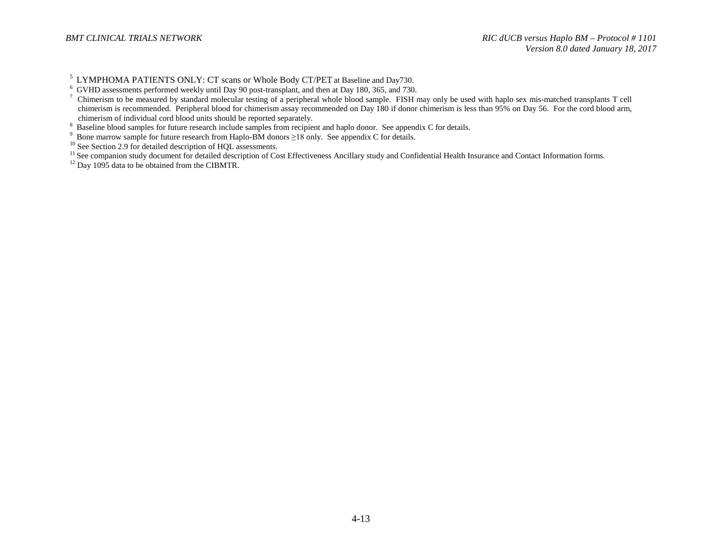<sup>5</sup> LYMPHOMA PATIENTS ONLY: CT scans or Whole Body CT/PET at Baseline and Day730.

Baseline blood samples for future research include samples from recipient and haplo donor. See appendix C for details.<br>
<sup>8</sup> Baseline blood samples for future research include samples from recipient and haplo donor. See ap

 $^{\circ}$  GVHD assessments performed weekly until Day 90 post-transplant, and then at Day 180, 365, and 730.<br>7 Chimerism to be measured by standard molecular testing of a peripheral whole blood sample. FISH may only be used chimerism is recommended. Peripheral blood for chimerism assay recommended on Day 180 if donor chimerism is less than 95% on Day 56. For the cord blood arm, chimerism of individual cord blood units should be reported separ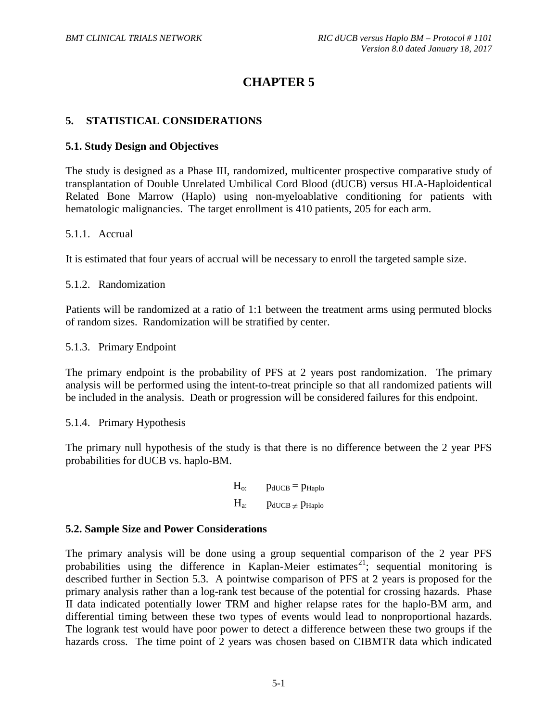# **CHAPTER 5**

### **5. STATISTICAL CONSIDERATIONS**

#### **5.1. Study Design and Objectives**

The study is designed as a Phase III, randomized, multicenter prospective comparative study of transplantation of Double Unrelated Umbilical Cord Blood (dUCB) versus HLA-Haploidentical Related Bone Marrow (Haplo) using non-myeloablative conditioning for patients with hematologic malignancies. The target enrollment is 410 patients, 205 for each arm.

#### 5.1.1. Accrual

It is estimated that four years of accrual will be necessary to enroll the targeted sample size.

5.1.2. Randomization

Patients will be randomized at a ratio of 1:1 between the treatment arms using permuted blocks of random sizes. Randomization will be stratified by center.

#### 5.1.3. Primary Endpoint

The primary endpoint is the probability of PFS at 2 years post randomization. The primary analysis will be performed using the intent-to-treat principle so that all randomized patients will be included in the analysis. Death or progression will be considered failures for this endpoint.

#### 5.1.4. Primary Hypothesis

The primary null hypothesis of the study is that there is no difference between the 2 year PFS probabilities for dUCB vs. haplo-BM.

$$
H_{o:} \t p_{dUCB} = p_{Haplo}
$$
  

$$
H_{a:} \t p_{dUCB \neq p_{Haplo}}
$$

#### **5.2. Sample Size and Power Considerations**

The primary analysis will be done using a group sequential comparison of the 2 year PFS probabilities using the difference in Kaplan-Meier estimates<sup>21</sup>; sequential monitoring is described further in Section 5.3. A pointwise comparison of PFS at 2 years is proposed for the primary analysis rather than a log-rank test because of the potential for crossing hazards. Phase II data indicated potentially lower TRM and higher relapse rates for the haplo-BM arm, and differential timing between these two types of events would lead to nonproportional hazards. The logrank test would have poor power to detect a difference between these two groups if the hazards cross. The time point of 2 years was chosen based on CIBMTR data which indicated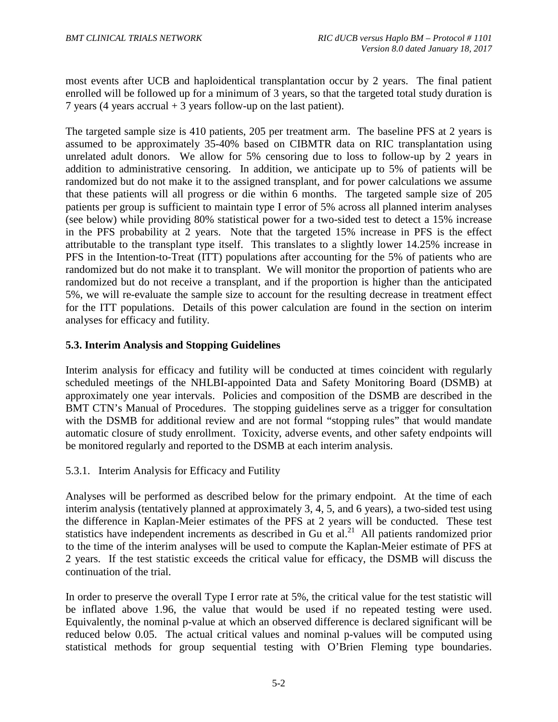most events after UCB and haploidentical transplantation occur by 2 years. The final patient enrolled will be followed up for a minimum of 3 years, so that the targeted total study duration is 7 years (4 years accrual  $+3$  years follow-up on the last patient).

The targeted sample size is 410 patients, 205 per treatment arm. The baseline PFS at 2 years is assumed to be approximately 35-40% based on CIBMTR data on RIC transplantation using unrelated adult donors. We allow for 5% censoring due to loss to follow-up by 2 years in addition to administrative censoring. In addition, we anticipate up to 5% of patients will be randomized but do not make it to the assigned transplant, and for power calculations we assume that these patients will all progress or die within 6 months. The targeted sample size of 205 patients per group is sufficient to maintain type I error of 5% across all planned interim analyses (see below) while providing 80% statistical power for a two-sided test to detect a 15% increase in the PFS probability at 2 years. Note that the targeted 15% increase in PFS is the effect attributable to the transplant type itself. This translates to a slightly lower 14.25% increase in PFS in the Intention-to-Treat (ITT) populations after accounting for the 5% of patients who are randomized but do not make it to transplant. We will monitor the proportion of patients who are randomized but do not receive a transplant, and if the proportion is higher than the anticipated 5%, we will re-evaluate the sample size to account for the resulting decrease in treatment effect for the ITT populations. Details of this power calculation are found in the section on interim analyses for efficacy and futility.

### **5.3. Interim Analysis and Stopping Guidelines**

Interim analysis for efficacy and futility will be conducted at times coincident with regularly scheduled meetings of the NHLBI-appointed Data and Safety Monitoring Board (DSMB) at approximately one year intervals. Policies and composition of the DSMB are described in the BMT CTN's Manual of Procedures. The stopping guidelines serve as a trigger for consultation with the DSMB for additional review and are not formal "stopping rules" that would mandate automatic closure of study enrollment. Toxicity, adverse events, and other safety endpoints will be monitored regularly and reported to the DSMB at each interim analysis.

#### 5.3.1. Interim Analysis for Efficacy and Futility

Analyses will be performed as described below for the primary endpoint. At the time of each interim analysis (tentatively planned at approximately 3, 4, 5, and 6 years), a two-sided test using the difference in Kaplan-Meier estimates of the PFS at 2 years will be conducted. These test statistics have independent increments as described in Gu et al. $^{21}$  All patients randomized prior to the time of the interim analyses will be used to compute the Kaplan-Meier estimate of PFS at 2 years. If the test statistic exceeds the critical value for efficacy, the DSMB will discuss the continuation of the trial.

In order to preserve the overall Type I error rate at 5%, the critical value for the test statistic will be inflated above 1.96, the value that would be used if no repeated testing were used. Equivalently, the nominal p-value at which an observed difference is declared significant will be reduced below 0.05. The actual critical values and nominal p-values will be computed using statistical methods for group sequential testing with O'Brien Fleming type boundaries.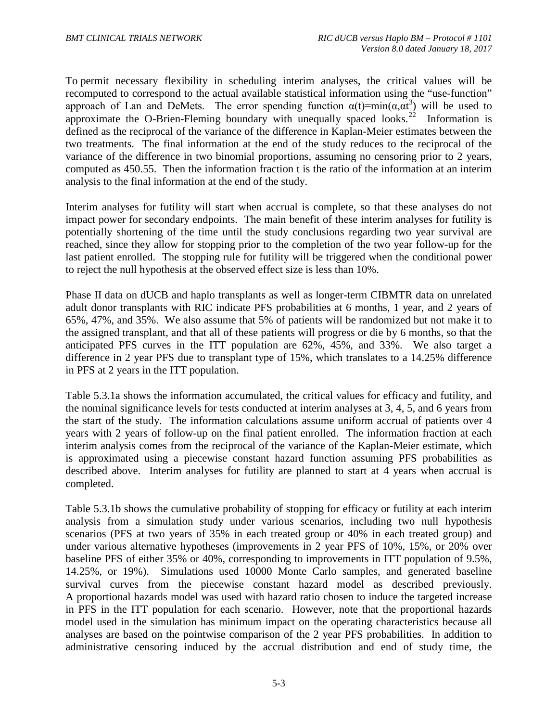To permit necessary flexibility in scheduling interim analyses, the critical values will be recomputed to correspond to the actual available statistical information using the "use-function" approach of Lan and DeMets. The error spending function  $\alpha(t) = min(\alpha, \alpha t^3)$  will be used to approximate the O-Brien-Fleming boundary with unequally spaced looks.<sup>22</sup> Information is defined as the reciprocal of the variance of the difference in Kaplan-Meier estimates between the two treatments. The final information at the end of the study reduces to the reciprocal of the variance of the difference in two binomial proportions, assuming no censoring prior to 2 years, computed as 450.55. Then the information fraction t is the ratio of the information at an interim analysis to the final information at the end of the study.

Interim analyses for futility will start when accrual is complete, so that these analyses do not impact power for secondary endpoints. The main benefit of these interim analyses for futility is potentially shortening of the time until the study conclusions regarding two year survival are reached, since they allow for stopping prior to the completion of the two year follow-up for the last patient enrolled. The stopping rule for futility will be triggered when the conditional power to reject the null hypothesis at the observed effect size is less than 10%.

Phase II data on dUCB and haplo transplants as well as longer-term CIBMTR data on unrelated adult donor transplants with RIC indicate PFS probabilities at 6 months, 1 year, and 2 years of 65%, 47%, and 35%. We also assume that 5% of patients will be randomized but not make it to the assigned transplant, and that all of these patients will progress or die by 6 months, so that the anticipated PFS curves in the ITT population are 62%, 45%, and 33%. We also target a difference in 2 year PFS due to transplant type of 15%, which translates to a 14.25% difference in PFS at 2 years in the ITT population.

Table 5.3.1a shows the information accumulated, the critical values for efficacy and futility, and the nominal significance levels for tests conducted at interim analyses at 3, 4, 5, and 6 years from the start of the study. The information calculations assume uniform accrual of patients over 4 years with 2 years of follow-up on the final patient enrolled. The information fraction at each interim analysis comes from the reciprocal of the variance of the Kaplan-Meier estimate, which is approximated using a piecewise constant hazard function assuming PFS probabilities as described above. Interim analyses for futility are planned to start at 4 years when accrual is completed.

Table 5.3.1b shows the cumulative probability of stopping for efficacy or futility at each interim analysis from a simulation study under various scenarios, including two null hypothesis scenarios (PFS at two years of 35% in each treated group or 40% in each treated group) and under various alternative hypotheses (improvements in 2 year PFS of 10%, 15%, or 20% over baseline PFS of either 35% or 40%, corresponding to improvements in ITT population of 9.5%, 14.25%, or 19%). Simulations used 10000 Monte Carlo samples, and generated baseline survival curves from the piecewise constant hazard model as described previously. A proportional hazards model was used with hazard ratio chosen to induce the targeted increase in PFS in the ITT population for each scenario. However, note that the proportional hazards model used in the simulation has minimum impact on the operating characteristics because all analyses are based on the pointwise comparison of the 2 year PFS probabilities. In addition to administrative censoring induced by the accrual distribution and end of study time, the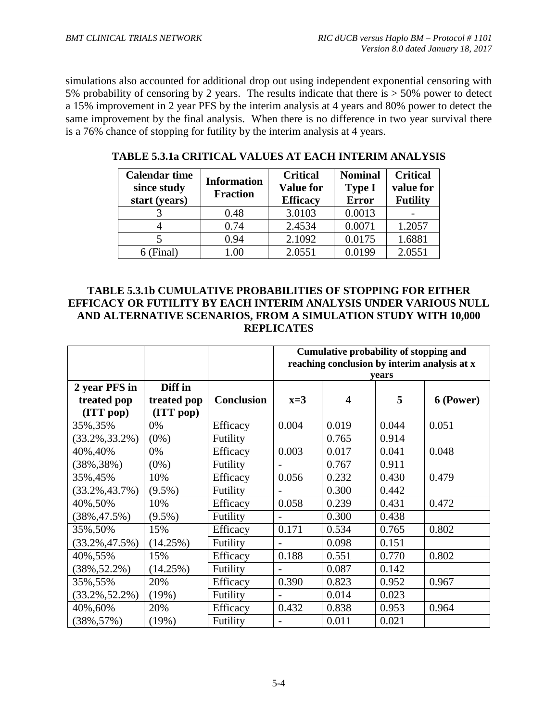simulations also accounted for additional drop out using independent exponential censoring with 5% probability of censoring by 2 years. The results indicate that there is > 50% power to detect a 15% improvement in 2 year PFS by the interim analysis at 4 years and 80% power to detect the same improvement by the final analysis. When there is no difference in two year survival there is a 76% chance of stopping for futility by the interim analysis at 4 years.

| <b>Calendar time</b><br>since study<br>start (years) | <b>Information</b><br><b>Fraction</b> | <b>Critical</b><br><b>Value for</b><br><b>Efficacy</b> | <b>Nominal</b><br><b>Type I</b><br>Error | <b>Critical</b><br>value for<br><b>Futility</b> |
|------------------------------------------------------|---------------------------------------|--------------------------------------------------------|------------------------------------------|-------------------------------------------------|
|                                                      | 0.48                                  | 3.0103                                                 | 0.0013                                   |                                                 |
|                                                      | 0.74                                  | 2.4534                                                 | 0.0071                                   | 1.2057                                          |
|                                                      | 0.94                                  | 2.1092                                                 | 0.0175                                   | 1.6881                                          |
| 6 (Final)                                            | 1.00                                  | 2.0551                                                 | 0.0199                                   | 2.0551                                          |

**TABLE 5.3.1a CRITICAL VALUES AT EACH INTERIM ANALYSIS**

## **TABLE 5.3.1b CUMULATIVE PROBABILITIES OF STOPPING FOR EITHER EFFICACY OR FUTILITY BY EACH INTERIM ANALYSIS UNDER VARIOUS NULL AND ALTERNATIVE SCENARIOS, FROM A SIMULATION STUDY WITH 10,000 REPLICATES**

|                    |             |                   | Cumulative probability of stopping and<br>reaching conclusion by interim analysis at x |       |       |           |  |  |  |  |  |  |
|--------------------|-------------|-------------------|----------------------------------------------------------------------------------------|-------|-------|-----------|--|--|--|--|--|--|
|                    |             |                   | vears                                                                                  |       |       |           |  |  |  |  |  |  |
| 2 year PFS in      | Diff in     |                   |                                                                                        |       |       |           |  |  |  |  |  |  |
| treated pop        | treated pop | <b>Conclusion</b> | $x=3$                                                                                  | 4     | 5     | 6 (Power) |  |  |  |  |  |  |
| (ITT pop)          | (ITT pop)   |                   |                                                                                        |       |       |           |  |  |  |  |  |  |
| 35%, 35%           | 0%          | Efficacy          | 0.004                                                                                  | 0.019 | 0.044 | 0.051     |  |  |  |  |  |  |
| $(33.2\%, 33.2\%)$ | $(0\%)$     | Futility          |                                                                                        | 0.765 | 0.914 |           |  |  |  |  |  |  |
| 40%,40%            | 0%          | Efficacy          | 0.003                                                                                  | 0.017 | 0.041 | 0.048     |  |  |  |  |  |  |
| $(38\%, 38\%)$     | $(0\%)$     | Futility          |                                                                                        | 0.767 | 0.911 |           |  |  |  |  |  |  |
| 35%, 45%           | 10%         | Efficacy          | 0.056                                                                                  | 0.232 | 0.430 | 0.479     |  |  |  |  |  |  |
| $(33.2\%, 43.7\%)$ | $(9.5\%)$   | Futility          | $\overline{\phantom{0}}$                                                               | 0.300 | 0.442 |           |  |  |  |  |  |  |
| 40%,50%            | 10%         | Efficacy          | 0.058                                                                                  | 0.239 | 0.431 | 0.472     |  |  |  |  |  |  |
| $(38\%, 47.5\%)$   | $(9.5\%)$   | Futility          |                                                                                        | 0.300 | 0.438 |           |  |  |  |  |  |  |
| 35%, 50%           | 15%         | Efficacy          | 0.171                                                                                  | 0.534 | 0.765 | 0.802     |  |  |  |  |  |  |
| $(33.2\%, 47.5\%)$ | (14.25%)    | Futility          |                                                                                        | 0.098 | 0.151 |           |  |  |  |  |  |  |
| 40%,55%            | 15%         | Efficacy          | 0.188                                                                                  | 0.551 | 0.770 | 0.802     |  |  |  |  |  |  |
| $(38\%, 52.2\%)$   | (14.25%)    | Futility          |                                                                                        | 0.087 | 0.142 |           |  |  |  |  |  |  |
| 35%, 55%           | 20%         | Efficacy          | 0.390                                                                                  | 0.823 | 0.952 | 0.967     |  |  |  |  |  |  |
| $(33.2\%, 52.2\%)$ | (19%)       | Futility          |                                                                                        | 0.014 | 0.023 |           |  |  |  |  |  |  |
| 40%,60%            | 20%         | Efficacy          | 0.432                                                                                  | 0.838 | 0.953 | 0.964     |  |  |  |  |  |  |
| $(38\%, 57\%)$     | (19%)       | Futility          |                                                                                        | 0.011 | 0.021 |           |  |  |  |  |  |  |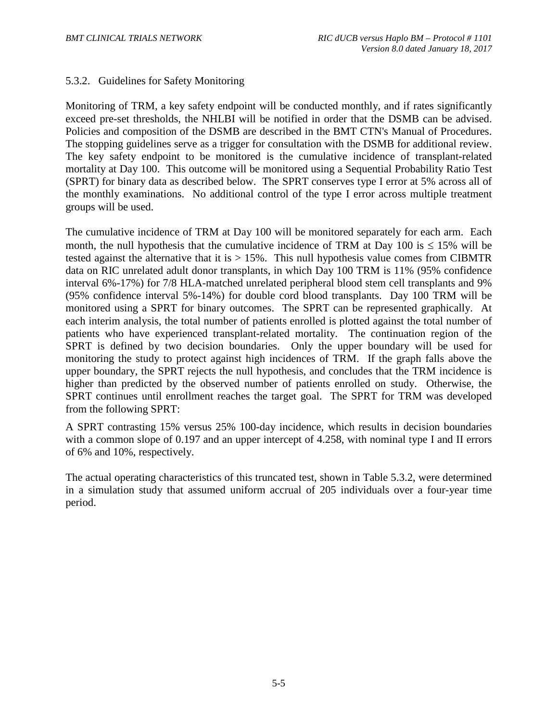#### 5.3.2. Guidelines for Safety Monitoring

Monitoring of TRM, a key safety endpoint will be conducted monthly, and if rates significantly exceed pre-set thresholds, the NHLBI will be notified in order that the DSMB can be advised. Policies and composition of the DSMB are described in the BMT CTN's Manual of Procedures. The stopping guidelines serve as a trigger for consultation with the DSMB for additional review. The key safety endpoint to be monitored is the cumulative incidence of transplant-related mortality at Day 100. This outcome will be monitored using a Sequential Probability Ratio Test (SPRT) for binary data as described below. The SPRT conserves type I error at 5% across all of the monthly examinations. No additional control of the type I error across multiple treatment groups will be used.

The cumulative incidence of TRM at Day 100 will be monitored separately for each arm. Each month, the null hypothesis that the cumulative incidence of TRM at Day 100 is  $\leq 15\%$  will be tested against the alternative that it is  $> 15\%$ . This null hypothesis value comes from CIBMTR data on RIC unrelated adult donor transplants, in which Day 100 TRM is 11% (95% confidence interval 6%-17%) for 7/8 HLA-matched unrelated peripheral blood stem cell transplants and 9% (95% confidence interval 5%-14%) for double cord blood transplants. Day 100 TRM will be monitored using a SPRT for binary outcomes. The SPRT can be represented graphically. At each interim analysis, the total number of patients enrolled is plotted against the total number of patients who have experienced transplant-related mortality. The continuation region of the SPRT is defined by two decision boundaries. Only the upper boundary will be used for monitoring the study to protect against high incidences of TRM. If the graph falls above the upper boundary, the SPRT rejects the null hypothesis, and concludes that the TRM incidence is higher than predicted by the observed number of patients enrolled on study. Otherwise, the SPRT continues until enrollment reaches the target goal. The SPRT for TRM was developed from the following SPRT:

A SPRT contrasting 15% versus 25% 100-day incidence, which results in decision boundaries with a common slope of 0.197 and an upper intercept of 4.258, with nominal type I and II errors of 6% and 10%, respectively.

The actual operating characteristics of this truncated test, shown in Table 5.3.2, were determined in a simulation study that assumed uniform accrual of 205 individuals over a four-year time period.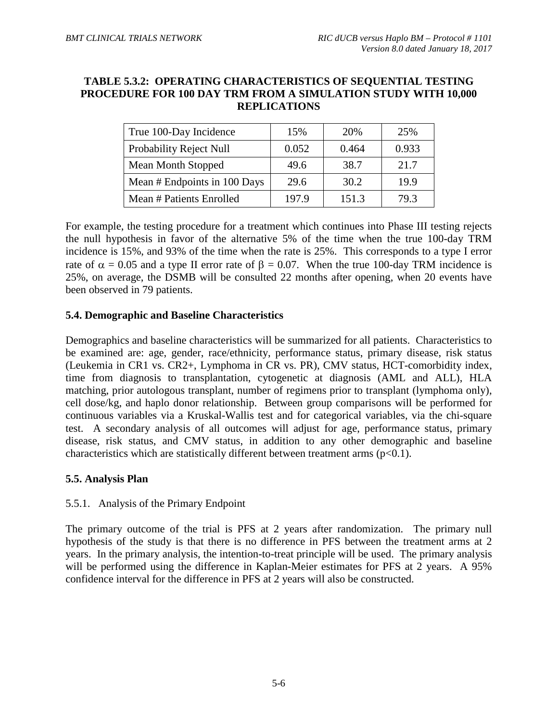#### **TABLE 5.3.2: OPERATING CHARACTERISTICS OF SEQUENTIAL TESTING PROCEDURE FOR 100 DAY TRM FROM A SIMULATION STUDY WITH 10,000 REPLICATIONS**

| True 100-Day Incidence         | 15%   | 20%   | 25%   |
|--------------------------------|-------|-------|-------|
| <b>Probability Reject Null</b> | 0.052 | 0.464 | 0.933 |
| <b>Mean Month Stopped</b>      | 49.6  | 38.7  | 21.7  |
| Mean # Endpoints in 100 Days   | 29.6  | 30.2  | 19.9  |
| Mean # Patients Enrolled       | 197.9 | 151.3 | 79.3  |

For example, the testing procedure for a treatment which continues into Phase III testing rejects the null hypothesis in favor of the alternative 5% of the time when the true 100-day TRM incidence is 15%, and 93% of the time when the rate is 25%. This corresponds to a type I error rate of  $\alpha = 0.05$  and a type II error rate of  $\beta = 0.07$ . When the true 100-day TRM incidence is 25%, on average, the DSMB will be consulted 22 months after opening, when 20 events have been observed in 79 patients.

#### **5.4. Demographic and Baseline Characteristics**

Demographics and baseline characteristics will be summarized for all patients. Characteristics to be examined are: age, gender, race/ethnicity, performance status, primary disease, risk status (Leukemia in CR1 vs. CR2+, Lymphoma in CR vs. PR), CMV status, HCT-comorbidity index, time from diagnosis to transplantation, cytogenetic at diagnosis (AML and ALL), HLA matching, prior autologous transplant, number of regimens prior to transplant (lymphoma only), cell dose/kg, and haplo donor relationship. Between group comparisons will be performed for continuous variables via a Kruskal-Wallis test and for categorical variables, via the chi-square test. A secondary analysis of all outcomes will adjust for age, performance status, primary disease, risk status, and CMV status, in addition to any other demographic and baseline characteristics which are statistically different between treatment arms  $(p<0.1)$ .

#### **5.5. Analysis Plan**

#### 5.5.1. Analysis of the Primary Endpoint

The primary outcome of the trial is PFS at 2 years after randomization. The primary null hypothesis of the study is that there is no difference in PFS between the treatment arms at 2 years. In the primary analysis, the intention-to-treat principle will be used. The primary analysis will be performed using the difference in Kaplan-Meier estimates for PFS at 2 years. A 95% confidence interval for the difference in PFS at 2 years will also be constructed.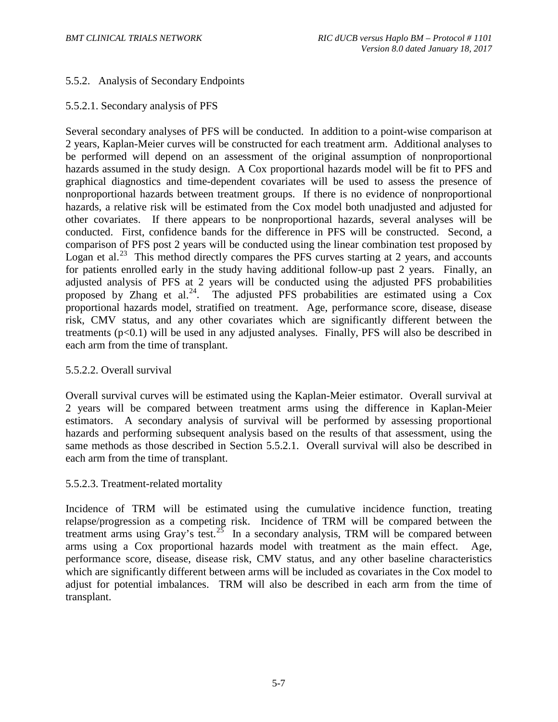# 5.5.2. Analysis of Secondary Endpoints

## 5.5.2.1. Secondary analysis of PFS

Several secondary analyses of PFS will be conducted. In addition to a point-wise comparison at 2 years, Kaplan-Meier curves will be constructed for each treatment arm. Additional analyses to be performed will depend on an assessment of the original assumption of nonproportional hazards assumed in the study design. A Cox proportional hazards model will be fit to PFS and graphical diagnostics and time-dependent covariates will be used to assess the presence of nonproportional hazards between treatment groups. If there is no evidence of nonproportional hazards, a relative risk will be estimated from the Cox model both unadjusted and adjusted for other covariates. If there appears to be nonproportional hazards, several analyses will be conducted. First, confidence bands for the difference in PFS will be constructed. Second, a comparison of PFS post 2 years will be conducted using the linear combination test proposed by Logan et al.<sup>23</sup> This method directly compares the PFS curves starting at 2 years, and accounts for patients enrolled early in the study having additional follow-up past 2 years. Finally, an adjusted analysis of PFS at 2 years will be conducted using the adjusted PFS probabilities proposed by Zhang et al.<sup>24</sup>. The adjusted PFS probabilities are estimated using a Cox proportional hazards model, stratified on treatment. Age, performance score, disease, disease risk, CMV status, and any other covariates which are significantly different between the treatments (p<0.1) will be used in any adjusted analyses. Finally, PFS will also be described in each arm from the time of transplant.

# 5.5.2.2. Overall survival

Overall survival curves will be estimated using the Kaplan-Meier estimator. Overall survival at 2 years will be compared between treatment arms using the difference in Kaplan-Meier estimators. A secondary analysis of survival will be performed by assessing proportional hazards and performing subsequent analysis based on the results of that assessment, using the same methods as those described in Section 5.5.2.1. Overall survival will also be described in each arm from the time of transplant.

#### 5.5.2.3. Treatment-related mortality

Incidence of TRM will be estimated using the cumulative incidence function, treating relapse/progression as a competing risk. Incidence of TRM will be compared between the treatment arms using Gray's test.<sup>25</sup> In a secondary analysis, TRM will be compared between arms using a Cox proportional hazards model with treatment as the main effect. Age, performance score, disease, disease risk, CMV status, and any other baseline characteristics which are significantly different between arms will be included as covariates in the Cox model to adjust for potential imbalances. TRM will also be described in each arm from the time of transplant.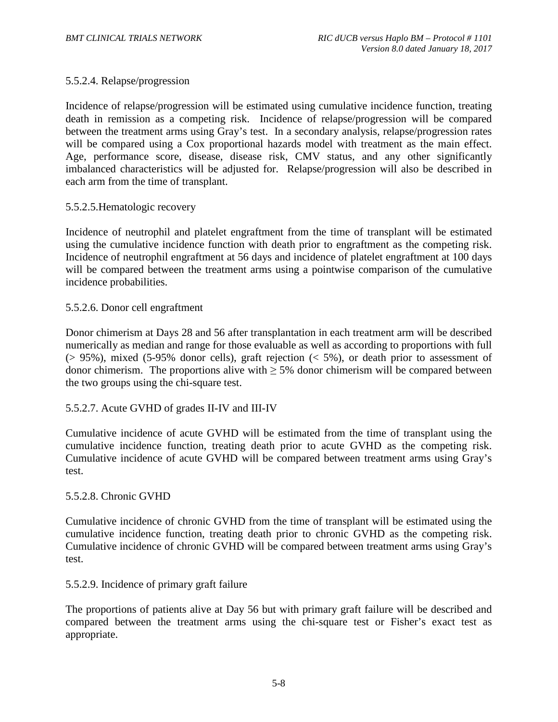## 5.5.2.4. Relapse/progression

Incidence of relapse/progression will be estimated using cumulative incidence function, treating death in remission as a competing risk. Incidence of relapse/progression will be compared between the treatment arms using Gray's test. In a secondary analysis, relapse/progression rates will be compared using a Cox proportional hazards model with treatment as the main effect. Age, performance score, disease, disease risk, CMV status, and any other significantly imbalanced characteristics will be adjusted for. Relapse/progression will also be described in each arm from the time of transplant.

#### 5.5.2.5.Hematologic recovery

Incidence of neutrophil and platelet engraftment from the time of transplant will be estimated using the cumulative incidence function with death prior to engraftment as the competing risk. Incidence of neutrophil engraftment at 56 days and incidence of platelet engraftment at 100 days will be compared between the treatment arms using a pointwise comparison of the cumulative incidence probabilities.

#### 5.5.2.6. Donor cell engraftment

Donor chimerism at Days 28 and 56 after transplantation in each treatment arm will be described numerically as median and range for those evaluable as well as according to proportions with full ( $> 95\%$ ), mixed (5-95% donor cells), graft rejection ( $< 5\%$ ), or death prior to assessment of donor chimerism. The proportions alive with  $\geq$  5% donor chimerism will be compared between the two groups using the chi-square test.

#### 5.5.2.7. Acute GVHD of grades II-IV and III-IV

Cumulative incidence of acute GVHD will be estimated from the time of transplant using the cumulative incidence function, treating death prior to acute GVHD as the competing risk. Cumulative incidence of acute GVHD will be compared between treatment arms using Gray's test.

#### 5.5.2.8. Chronic GVHD

Cumulative incidence of chronic GVHD from the time of transplant will be estimated using the cumulative incidence function, treating death prior to chronic GVHD as the competing risk. Cumulative incidence of chronic GVHD will be compared between treatment arms using Gray's test.

#### 5.5.2.9. Incidence of primary graft failure

The proportions of patients alive at Day 56 but with primary graft failure will be described and compared between the treatment arms using the chi-square test or Fisher's exact test as appropriate.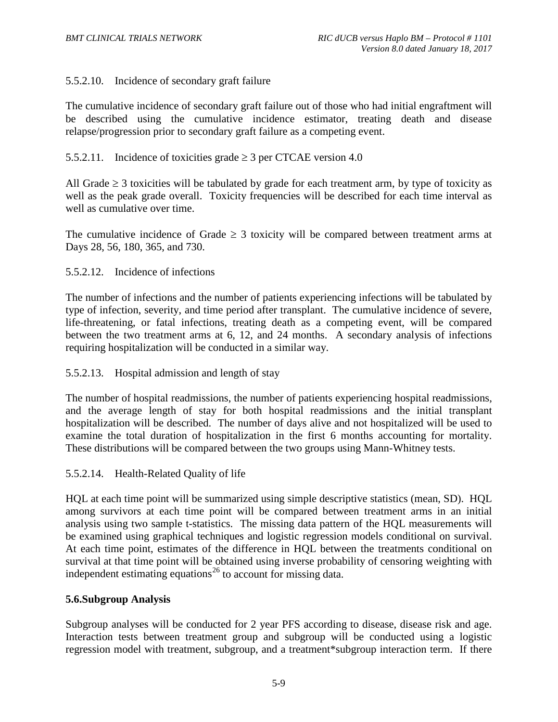## 5.5.2.10. Incidence of secondary graft failure

The cumulative incidence of secondary graft failure out of those who had initial engraftment will be described using the cumulative incidence estimator, treating death and disease relapse/progression prior to secondary graft failure as a competing event.

#### 5.5.2.11. Incidence of toxicities grade  $\geq$  3 per CTCAE version 4.0

All Grade  $\geq$  3 toxicities will be tabulated by grade for each treatment arm, by type of toxicity as well as the peak grade overall. Toxicity frequencies will be described for each time interval as well as cumulative over time.

The cumulative incidence of Grade  $\geq 3$  toxicity will be compared between treatment arms at Days 28, 56, 180, 365, and 730.

#### 5.5.2.12. Incidence of infections

The number of infections and the number of patients experiencing infections will be tabulated by type of infection, severity, and time period after transplant. The cumulative incidence of severe, life-threatening, or fatal infections, treating death as a competing event, will be compared between the two treatment arms at 6, 12, and 24 months. A secondary analysis of infections requiring hospitalization will be conducted in a similar way.

5.5.2.13. Hospital admission and length of stay

The number of hospital readmissions, the number of patients experiencing hospital readmissions, and the average length of stay for both hospital readmissions and the initial transplant hospitalization will be described. The number of days alive and not hospitalized will be used to examine the total duration of hospitalization in the first 6 months accounting for mortality. These distributions will be compared between the two groups using Mann-Whitney tests.

5.5.2.14. Health-Related Quality of life

HQL at each time point will be summarized using simple descriptive statistics (mean, SD). HQL among survivors at each time point will be compared between treatment arms in an initial analysis using two sample t-statistics. The missing data pattern of the HQL measurements will be examined using graphical techniques and logistic regression models conditional on survival. At each time point, estimates of the difference in HQL between the treatments conditional on survival at that time point will be obtained using inverse probability of censoring weighting with independent estimating equations<sup>26</sup> to account for missing data.

#### **5.6.Subgroup Analysis**

Subgroup analyses will be conducted for 2 year PFS according to disease, disease risk and age. Interaction tests between treatment group and subgroup will be conducted using a logistic regression model with treatment, subgroup, and a treatment\*subgroup interaction term. If there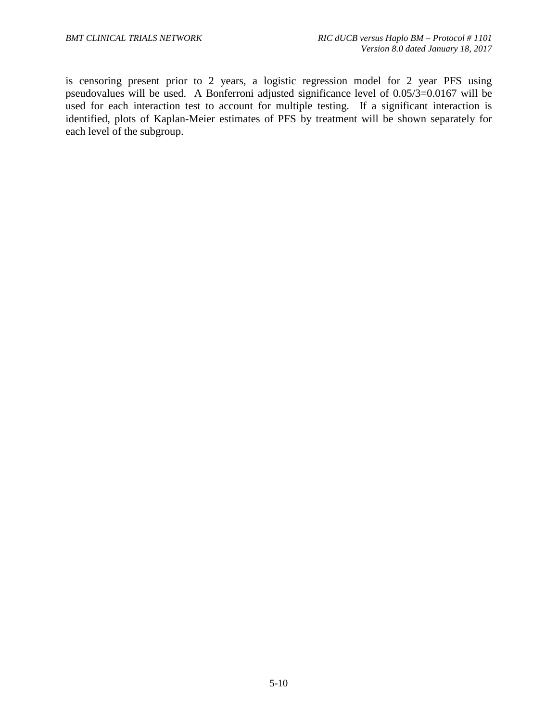is censoring present prior to 2 years, a logistic regression model for 2 year PFS using pseudovalues will be used. A Bonferroni adjusted significance level of 0.05/3=0.0167 will be used for each interaction test to account for multiple testing. If a significant interaction is identified, plots of Kaplan-Meier estimates of PFS by treatment will be shown separately for each level of the subgroup.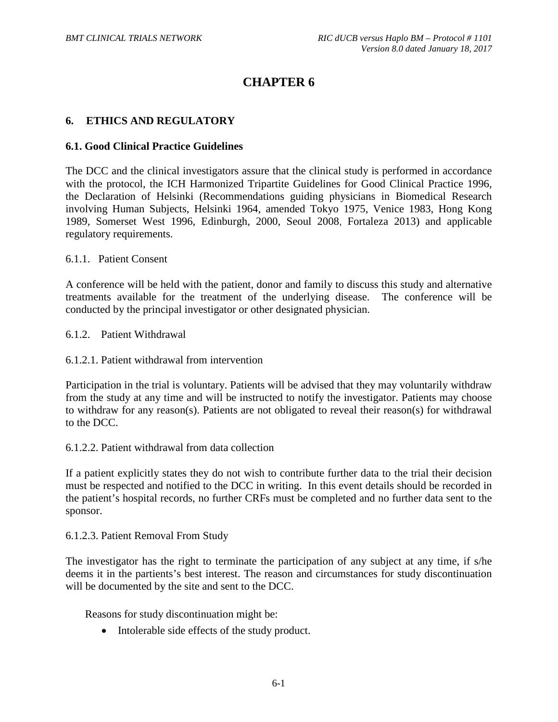# **CHAPTER 6**

#### **6. ETHICS AND REGULATORY**

#### **6.1. Good Clinical Practice Guidelines**

The DCC and the clinical investigators assure that the clinical study is performed in accordance with the protocol, the ICH Harmonized Tripartite Guidelines for Good Clinical Practice 1996, the Declaration of Helsinki (Recommendations guiding physicians in Biomedical Research involving Human Subjects, Helsinki 1964, amended Tokyo 1975, Venice 1983, Hong Kong 1989, Somerset West 1996, Edinburgh, 2000, Seoul 2008, Fortaleza 2013) and applicable regulatory requirements.

#### 6.1.1. Patient Consent

A conference will be held with the patient, donor and family to discuss this study and alternative treatments available for the treatment of the underlying disease. The conference will be conducted by the principal investigator or other designated physician.

6.1.2. Patient Withdrawal

#### 6.1.2.1. Patient withdrawal from intervention

Participation in the trial is voluntary. Patients will be advised that they may voluntarily withdraw from the study at any time and will be instructed to notify the investigator. Patients may choose to withdraw for any reason(s). Patients are not obligated to reveal their reason(s) for withdrawal to the DCC.

#### 6.1.2.2. Patient withdrawal from data collection

If a patient explicitly states they do not wish to contribute further data to the trial their decision must be respected and notified to the DCC in writing. In this event details should be recorded in the patient's hospital records, no further CRFs must be completed and no further data sent to the sponsor.

#### 6.1.2.3. Patient Removal From Study

The investigator has the right to terminate the participation of any subject at any time, if s/he deems it in the partients's best interest. The reason and circumstances for study discontinuation will be documented by the site and sent to the DCC.

Reasons for study discontinuation might be:

• Intolerable side effects of the study product.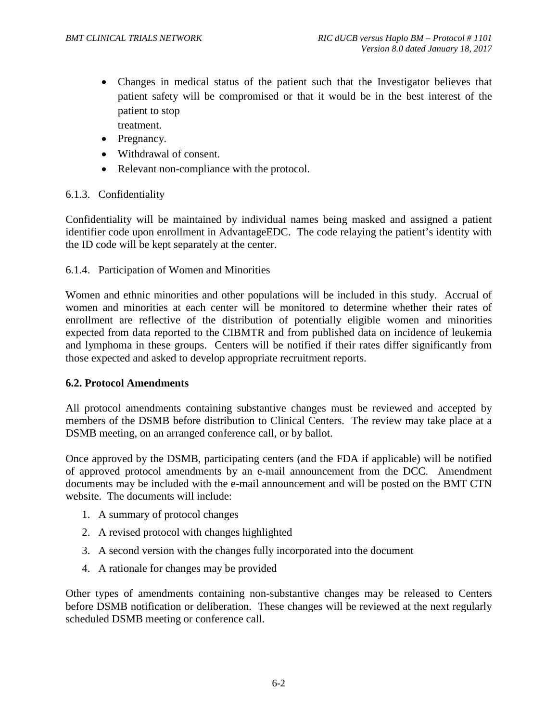- Changes in medical status of the patient such that the Investigator believes that patient safety will be compromised or that it would be in the best interest of the patient to stop treatment.
- Pregnancy.
- Withdrawal of consent.
- Relevant non-compliance with the protocol.

# 6.1.3. Confidentiality

Confidentiality will be maintained by individual names being masked and assigned a patient identifier code upon enrollment in AdvantageEDC. The code relaying the patient's identity with the ID code will be kept separately at the center.

#### 6.1.4. Participation of Women and Minorities

Women and ethnic minorities and other populations will be included in this study. Accrual of women and minorities at each center will be monitored to determine whether their rates of enrollment are reflective of the distribution of potentially eligible women and minorities expected from data reported to the CIBMTR and from published data on incidence of leukemia and lymphoma in these groups. Centers will be notified if their rates differ significantly from those expected and asked to develop appropriate recruitment reports.

#### **6.2. Protocol Amendments**

All protocol amendments containing substantive changes must be reviewed and accepted by members of the DSMB before distribution to Clinical Centers. The review may take place at a DSMB meeting, on an arranged conference call, or by ballot.

Once approved by the DSMB, participating centers (and the FDA if applicable) will be notified of approved protocol amendments by an e-mail announcement from the DCC. Amendment documents may be included with the e-mail announcement and will be posted on the BMT CTN website. The documents will include:

- 1. A summary of protocol changes
- 2. A revised protocol with changes highlighted
- 3. A second version with the changes fully incorporated into the document
- 4. A rationale for changes may be provided

Other types of amendments containing non-substantive changes may be released to Centers before DSMB notification or deliberation. These changes will be reviewed at the next regularly scheduled DSMB meeting or conference call.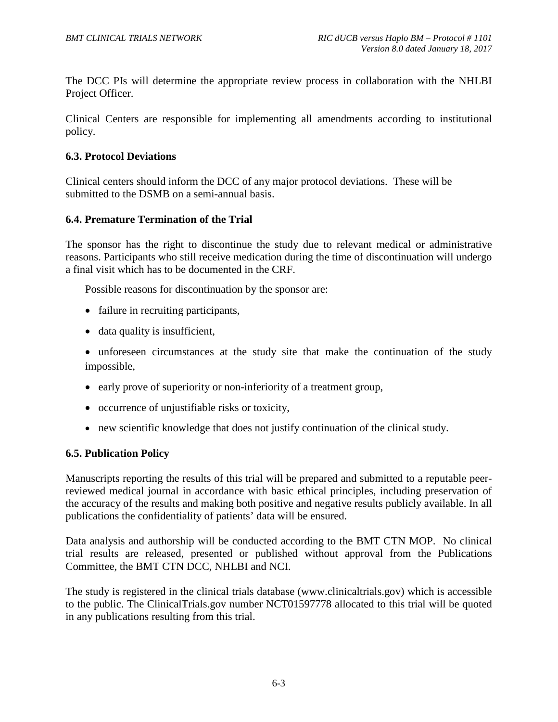The DCC PIs will determine the appropriate review process in collaboration with the NHLBI Project Officer.

Clinical Centers are responsible for implementing all amendments according to institutional policy.

#### **6.3. Protocol Deviations**

Clinical centers should inform the DCC of any major protocol deviations. These will be submitted to the DSMB on a semi-annual basis.

### **6.4. Premature Termination of the Trial**

The sponsor has the right to discontinue the study due to relevant medical or administrative reasons. Participants who still receive medication during the time of discontinuation will undergo a final visit which has to be documented in the CRF.

Possible reasons for discontinuation by the sponsor are:

- failure in recruiting participants,
- data quality is insufficient,
- unforeseen circumstances at the study site that make the continuation of the study impossible,
- early prove of superiority or non-inferiority of a treatment group,
- occurrence of unjustifiable risks or toxicity,
- new scientific knowledge that does not justify continuation of the clinical study.

#### **6.5. Publication Policy**

Manuscripts reporting the results of this trial will be prepared and submitted to a reputable peerreviewed medical journal in accordance with basic ethical principles, including preservation of the accuracy of the results and making both positive and negative results publicly available. In all publications the confidentiality of patients' data will be ensured.

Data analysis and authorship will be conducted according to the BMT CTN MOP. No clinical trial results are released, presented or published without approval from the Publications Committee, the BMT CTN DCC, NHLBI and NCI.

The study is registered in the clinical trials database (www.clinicaltrials.gov) which is accessible to the public. The ClinicalTrials.gov number NCT01597778 allocated to this trial will be quoted in any publications resulting from this trial.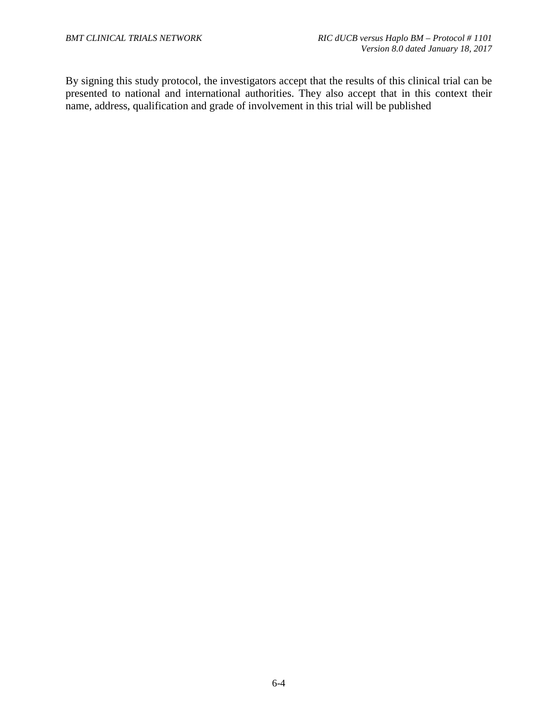By signing this study protocol, the investigators accept that the results of this clinical trial can be presented to national and international authorities. They also accept that in this context their name, address, qualification and grade of involvement in this trial will be published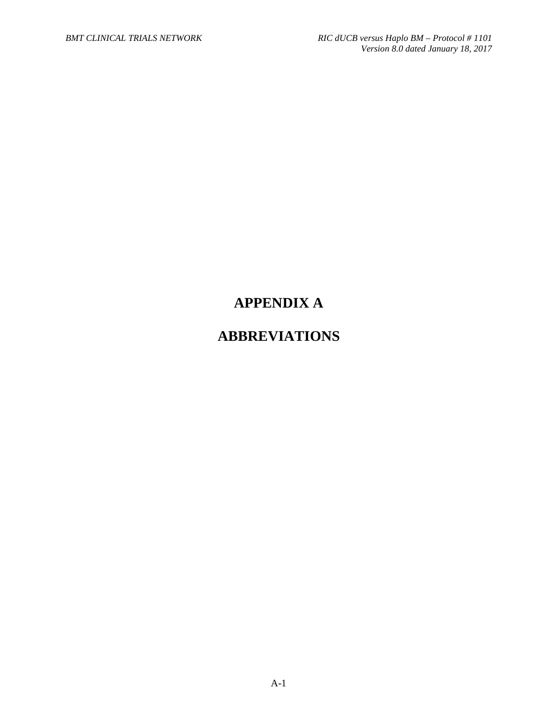# **APPENDIX A**

# **ABBREVIATIONS**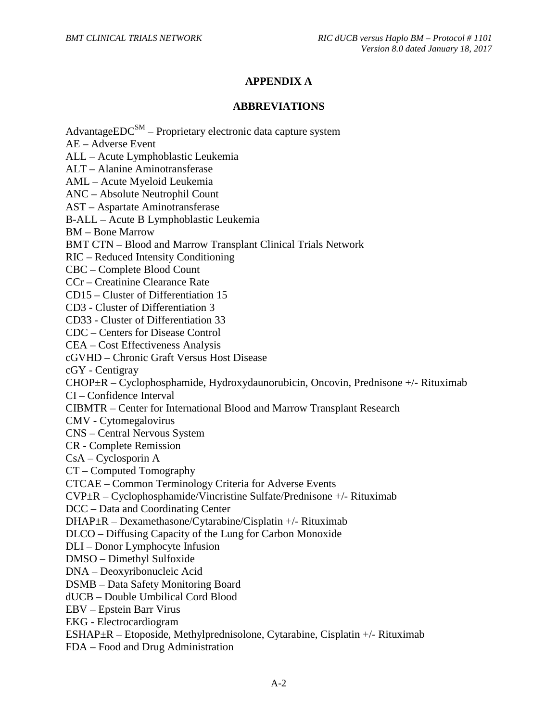### **APPENDIX A**

#### **ABBREVIATIONS**

Advantage $EDC^{SM}$  – Proprietary electronic data capture system

AE – Adverse Event

ALL – Acute Lymphoblastic Leukemia

ALT – Alanine Aminotransferase

AML – Acute Myeloid Leukemia

ANC – Absolute Neutrophil Count

AST – Aspartate Aminotransferase

B-ALL – Acute B Lymphoblastic Leukemia

BM – Bone Marrow

BMT CTN – Blood and Marrow Transplant Clinical Trials Network

RIC – Reduced Intensity Conditioning

CBC – Complete Blood Count

CCr – Creatinine Clearance Rate

CD15 – Cluster of Differentiation 15

CD3 - Cluster of Differentiation 3

CD33 - Cluster of Differentiation 33

CDC – Centers for Disease Control

CEA – Cost Effectiveness Analysis

cGVHD – Chronic Graft Versus Host Disease

cGY - Centigray

CHOP±R – Cyclophosphamide, Hydroxydaunorubicin, Oncovin, Prednisone +/- Rituximab

CI – Confidence Interval

CIBMTR – Center for International Blood and Marrow Transplant Research

CMV - Cytomegalovirus

CNS – Central Nervous System

CR - Complete Remission

CsA – Cyclosporin A

CT – Computed Tomography

CTCAE – Common Terminology Criteria for Adverse Events

CVP±R – Cyclophosphamide/Vincristine Sulfate/Prednisone +/- Rituximab

DCC – Data and Coordinating Center

DHAP±R – Dexamethasone/Cytarabine/Cisplatin +/- Rituximab

DLCO – Diffusing Capacity of the Lung for Carbon Monoxide

DLI – Donor Lymphocyte Infusion

DMSO – Dimethyl Sulfoxide

DNA – Deoxyribonucleic Acid

DSMB – Data Safety Monitoring Board

dUCB – Double Umbilical Cord Blood

EBV – Epstein Barr Virus

EKG - Electrocardiogram

ESHAP±R – Etoposide, Methylprednisolone, Cytarabine, Cisplatin +/- Rituximab

FDA – Food and Drug Administration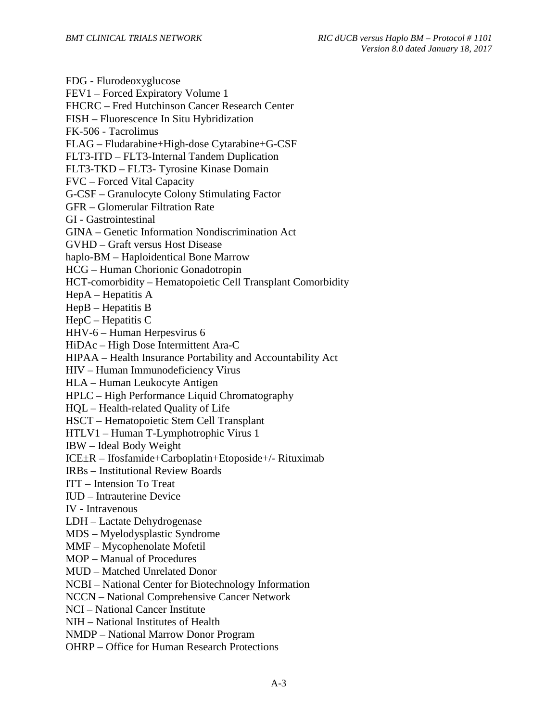FDG - Flurodeoxyglucose FEV1 – Forced Expiratory Volume 1 FHCRC – Fred Hutchinson Cancer Research Center FISH – Fluorescence In Situ Hybridization FK-506 - Tacrolimus FLAG – Fludarabine+High-dose Cytarabine+G-CSF FLT3-ITD – FLT3-Internal Tandem Duplication FLT3-TKD – FLT3- Tyrosine Kinase Domain FVC – Forced Vital Capacity G-CSF – Granulocyte Colony Stimulating Factor GFR – Glomerular Filtration Rate GI - Gastrointestinal GINA – Genetic Information Nondiscrimination Act GVHD – Graft versus Host Disease haplo-BM – Haploidentical Bone Marrow HCG – Human Chorionic Gonadotropin HCT-comorbidity – Hematopoietic Cell Transplant Comorbidity HepA – Hepatitis A HepB – Hepatitis B HepC – Hepatitis C HHV-6 – Human Herpesvirus 6 HiDAc – High Dose Intermittent Ara-C HIPAA – Health Insurance Portability and Accountability Act HIV – Human Immunodeficiency Virus HLA – Human Leukocyte Antigen HPLC – High Performance Liquid Chromatography HQL – Health-related Quality of Life HSCT – Hematopoietic Stem Cell Transplant HTLV1 – Human T-Lymphotrophic Virus 1 IBW – Ideal Body Weight ICE±R – Ifosfamide+Carboplatin+Etoposide+/- Rituximab IRBs – Institutional Review Boards ITT – Intension To Treat IUD – Intrauterine Device IV - Intravenous LDH – Lactate Dehydrogenase MDS – Myelodysplastic Syndrome MMF – Mycophenolate Mofetil MOP – Manual of Procedures MUD – Matched Unrelated Donor NCBI – National Center for Biotechnology Information NCCN – National Comprehensive Cancer Network NCI – National Cancer Institute NIH – National Institutes of Health NMDP – National Marrow Donor Program OHRP – Office for Human Research Protections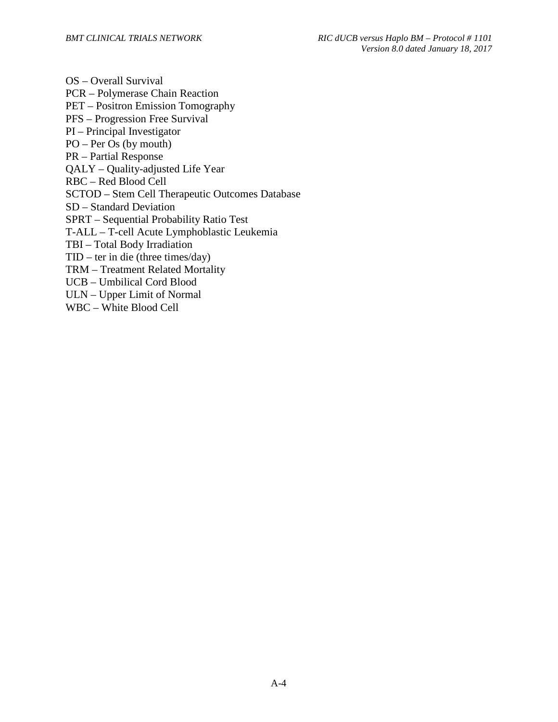OS – Overall Survival PCR – Polymerase Chain Reaction PET – Positron Emission Tomography PFS – Progression Free Survival PI – Principal Investigator PO – Per Os (by mouth) PR – Partial Response QALY – Quality-adjusted Life Year RBC – Red Blood Cell SCTOD – Stem Cell Therapeutic Outcomes Database SD – Standard Deviation SPRT – Sequential Probability Ratio Test T-ALL – T-cell Acute Lymphoblastic Leukemia TBI – Total Body Irradiation TID – ter in die (three times/day) TRM – Treatment Related Mortality UCB – Umbilical Cord Blood ULN – Upper Limit of Normal WBC – White Blood Cell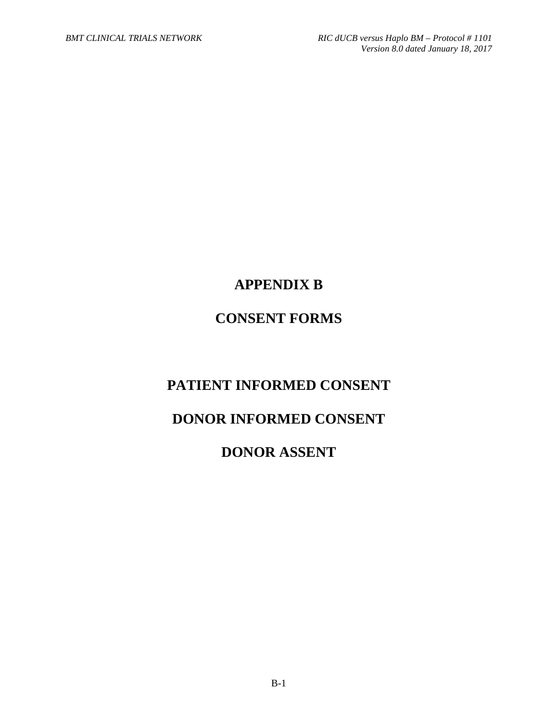# **APPENDIX B**

# **CONSENT FORMS**

# **PATIENT INFORMED CONSENT**

# **DONOR INFORMED CONSENT**

# **DONOR ASSENT**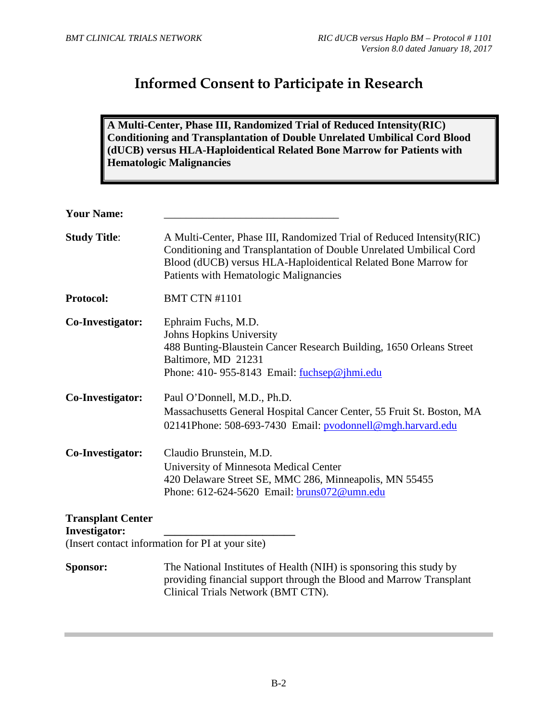# **Informed Consent to Participate in Research**

**A Multi-Center, Phase III, Randomized Trial of Reduced Intensity(RIC) Conditioning and Transplantation of Double Unrelated Umbilical Cord Blood (dUCB) versus HLA-Haploidentical Related Bone Marrow for Patients with Hematologic Malignancies** 

| <b>Your Name:</b>                                |                                                                                                                                                                                                                                                           |
|--------------------------------------------------|-----------------------------------------------------------------------------------------------------------------------------------------------------------------------------------------------------------------------------------------------------------|
| <b>Study Title:</b>                              | A Multi-Center, Phase III, Randomized Trial of Reduced Intensity (RIC)<br>Conditioning and Transplantation of Double Unrelated Umbilical Cord<br>Blood (dUCB) versus HLA-Haploidentical Related Bone Marrow for<br>Patients with Hematologic Malignancies |
| Protocol:                                        | <b>BMT CTN #1101</b>                                                                                                                                                                                                                                      |
| Co-Investigator:                                 | Ephraim Fuchs, M.D.<br>Johns Hopkins University<br>488 Bunting-Blaustein Cancer Research Building, 1650 Orleans Street<br>Baltimore, MD 21231<br>Phone: 410-955-8143 Email: fuchsep@jhmi.edu                                                              |
| Co-Investigator:                                 | Paul O'Donnell, M.D., Ph.D.<br>Massachusetts General Hospital Cancer Center, 55 Fruit St. Boston, MA<br>02141Phone: 508-693-7430 Email: pvodonnell@mgh.harvard.edu                                                                                        |
| Co-Investigator:                                 | Claudio Brunstein, M.D.<br>University of Minnesota Medical Center<br>420 Delaware Street SE, MMC 286, Minneapolis, MN 55455<br>Phone: 612-624-5620 Email: bruns072@umn.edu                                                                                |
| <b>Transplant Center</b><br><b>Investigator:</b> | (Insert contact information for PI at your site)                                                                                                                                                                                                          |
| Sponsor:                                         | The National Institutes of Health (NIH) is sponsoring this study by<br>providing financial support through the Blood and Marrow Transplant<br>Clinical Trials Network (BMT CTN).                                                                          |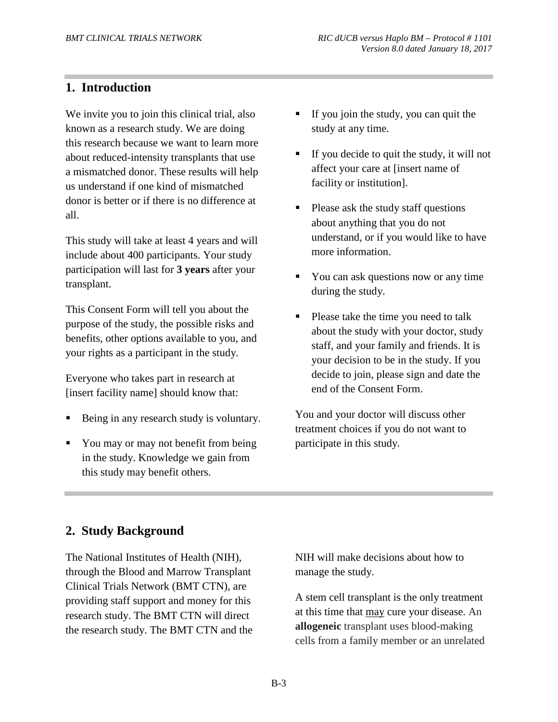# **1. Introduction**

We invite you to join this clinical trial, also known as a research study. We are doing this research because we want to learn more about reduced-intensity transplants that use a mismatched donor. These results will help us understand if one kind of mismatched donor is better or if there is no difference at all.

This study will take at least 4 years and will include about 400 participants. Your study participation will last for **3 years** after your transplant.

This Consent Form will tell you about the purpose of the study, the possible risks and benefits, other options available to you, and your rights as a participant in the study.

Everyone who takes part in research at [insert facility name] should know that:

- Being in any research study is voluntary.
- You may or may not benefit from being in the study. Knowledge we gain from this study may benefit others.
- If you join the study, you can quit the study at any time.
- If you decide to quit the study, it will not affect your care at [insert name of facility or institution].
- Please ask the study staff questions about anything that you do not understand, or if you would like to have more information.
- You can ask questions now or any time during the study.
- Please take the time you need to talk about the study with your doctor, study staff, and your family and friends. It is your decision to be in the study. If you decide to join, please sign and date the end of the Consent Form.

You and your doctor will discuss other treatment choices if you do not want to participate in this study*.*

# **2. Study Background**

The National Institutes of Health (NIH), through the Blood and Marrow Transplant Clinical Trials Network (BMT CTN), are providing staff support and money for this research study. The BMT CTN will direct the research study. The BMT CTN and the NIH will make decisions about how to manage the study.

A stem cell transplant is the only treatment at this time that may cure your disease. An **allogeneic** transplant uses blood-making cells from a family member or an unrelated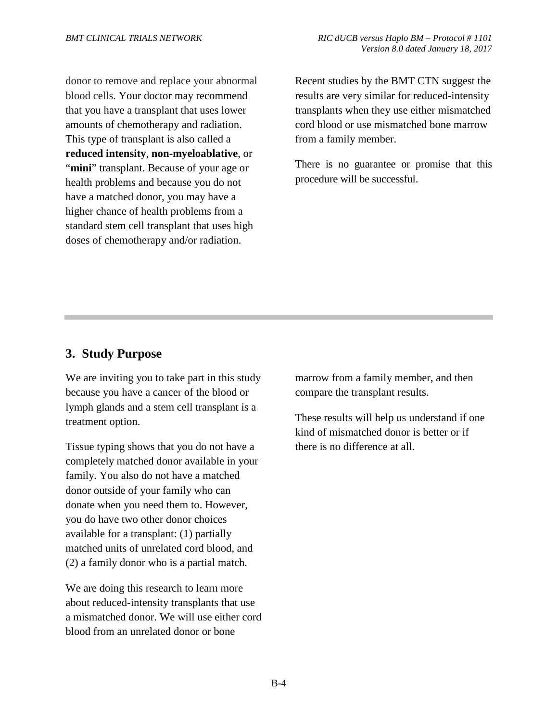donor to remove and replace your abnormal blood cells. Your doctor may recommend that you have a transplant that uses lower amounts of chemotherapy and radiation. This type of transplant is also called a **reduced intensity**, **non-myeloablative**, or "mini" transplant. Because of your age or health problems and because you do not have a matched donor, you may have a higher chance of health problems from a standard stem cell transplant that uses high doses of chemotherapy and/or radiation.

Recent studies by the BMT CTN suggest the results are very similar for reduced-intensity transplants when they use either mismatched cord blood or use mismatched bone marrow from a family member.

There is no guarantee or promise that this procedure will be successful.

# **3. Study Purpose**

We are inviting you to take part in this study because you have a cancer of the blood or lymph glands and a stem cell transplant is a treatment option.

Tissue typing shows that you do not have a completely matched donor available in your family. You also do not have a matched donor outside of your family who can donate when you need them to. However, you do have two other donor choices available for a transplant: (1) partially matched units of unrelated cord blood, and (2) a family donor who is a partial match.

We are doing this research to learn more about reduced-intensity transplants that use a mismatched donor. We will use either cord blood from an unrelated donor or bone

marrow from a family member, and then compare the transplant results.

These results will help us understand if one kind of mismatched donor is better or if there is no difference at all.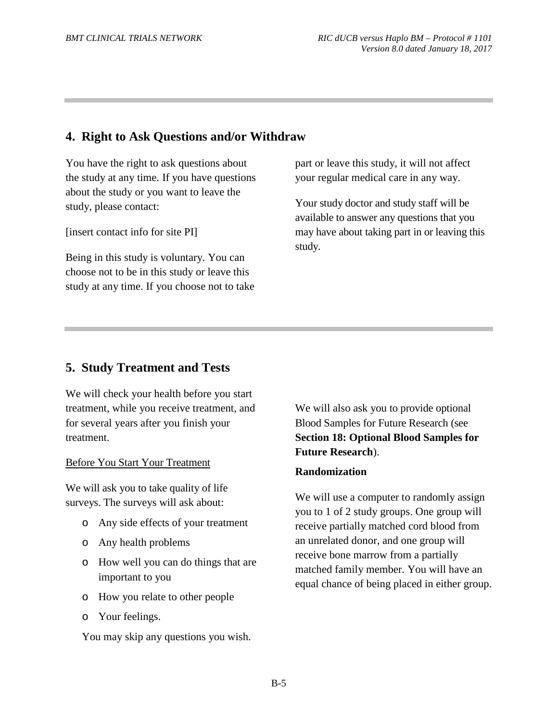## **4. Right to Ask Questions and/or Withdraw**

You have the right to ask questions about the study at any time. If you have questions about the study or you want to leave the study, please contact:

[insert contact info for site PI]

Being in this study is voluntary. You can choose not to be in this study or leave this study at any time. If you choose not to take part or leave this study, it will not affect your regular medical care in any way.

Your study doctor and study staff will be available to answer any questions that you may have about taking part in or leaving this study.

## **5. Study Treatment and Tests**

We will check your health before you start treatment, while you receive treatment, and for several years after you finish your treatment.

#### Before You Start Your Treatment

We will ask you to take quality of life surveys. The surveys will ask about:

- o Any side effects of your treatment
- o Any health problems
- o How well you can do things that are important to you
- o How you relate to other people
- o Your feelings.

You may skip any questions you wish.

We will also ask you to provide optional Blood Samples for Future Research (see **Section 18: Optional Blood Samples for Future Research**).

#### **Randomization**

We will use a computer to randomly assign you to 1 of 2 study groups. One group will receive partially matched cord blood from an unrelated donor, and one group will receive bone marrow from a partially matched family member. You will have an equal chance of being placed in either group.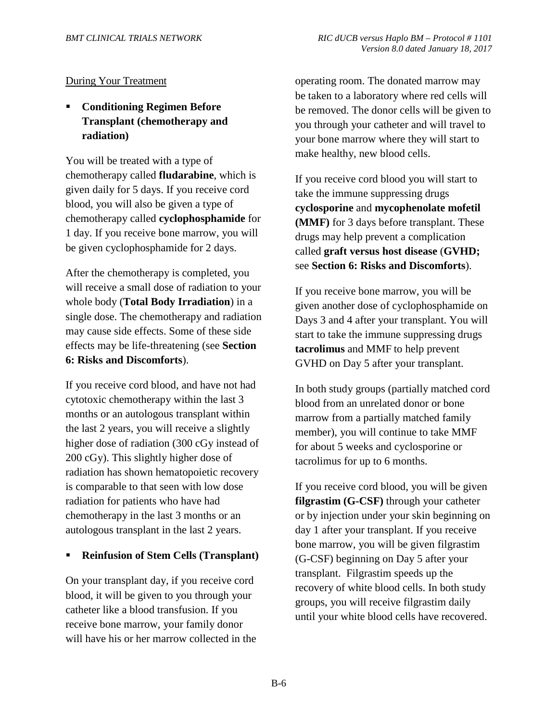### During Your Treatment

## **Conditioning Regimen Before Transplant (chemotherapy and radiation)**

You will be treated with a type of chemotherapy called **fludarabine**, which is given daily for 5 days. If you receive cord blood, you will also be given a type of chemotherapy called **cyclophosphamide** for 1 day. If you receive bone marrow, you will be given cyclophosphamide for 2 days.

After the chemotherapy is completed, you will receive a small dose of radiation to your whole body (**Total Body Irradiation**) in a single dose. The chemotherapy and radiation may cause side effects. Some of these side effects may be life-threatening (see **Section 6: Risks and Discomforts**).

If you receive cord blood, and have not had cytotoxic chemotherapy within the last 3 months or an autologous transplant within the last 2 years, you will receive a slightly higher dose of radiation (300 cGy instead of 200 cGy). This slightly higher dose of radiation has shown hematopoietic recovery is comparable to that seen with low dose radiation for patients who have had chemotherapy in the last 3 months or an autologous transplant in the last 2 years.

### **Reinfusion of Stem Cells (Transplant)**

On your transplant day, if you receive cord blood, it will be given to you through your catheter like a blood transfusion. If you receive bone marrow, your family donor will have his or her marrow collected in the

operating room. The donated marrow may be taken to a laboratory where red cells will be removed. The donor cells will be given to you through your catheter and will travel to your bone marrow where they will start to make healthy, new blood cells.

If you receive cord blood you will start to take the immune suppressing drugs **cyclosporine** and **mycophenolate mofetil (MMF)** for 3 days before transplant. These drugs may help prevent a complication called **graft versus host disease** (**GVHD;**  see **Section 6: Risks and Discomforts**).

If you receive bone marrow, you will be given another dose of cyclophosphamide on Days 3 and 4 after your transplant. You will start to take the immune suppressing drugs **tacrolimus** and MMF to help prevent GVHD on Day 5 after your transplant.

In both study groups (partially matched cord blood from an unrelated donor or bone marrow from a partially matched family member), you will continue to take MMF for about 5 weeks and cyclosporine or tacrolimus for up to 6 months.

If you receive cord blood, you will be given **filgrastim (G-CSF)** through your catheter or by injection under your skin beginning on day 1 after your transplant. If you receive bone marrow, you will be given filgrastim (G-CSF) beginning on Day 5 after your transplant. Filgrastim speeds up the recovery of white blood cells. In both study groups, you will receive filgrastim daily until your white blood cells have recovered.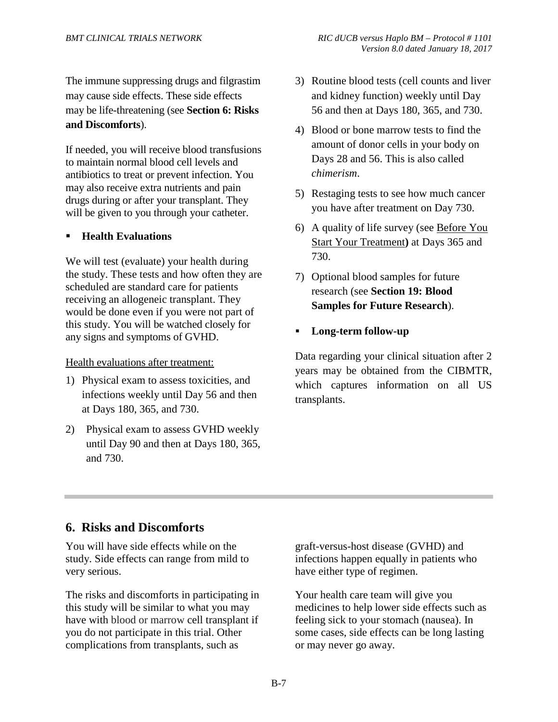The immune suppressing drugs and filgrastim may cause side effects. These side effects may be life-threatening (see **Section 6: Risks and Discomforts**).

If needed, you will receive blood transfusions to maintain normal blood cell levels and antibiotics to treat or prevent infection. You may also receive extra nutrients and pain drugs during or after your transplant. They will be given to you through your catheter.

### **Health Evaluations**

We will test (evaluate) your health during the study. These tests and how often they are scheduled are standard care for patients receiving an allogeneic transplant. They would be done even if you were not part of this study. You will be watched closely for any signs and symptoms of GVHD.

#### Health evaluations after treatment:

- 1) Physical exam to assess toxicities, and infections weekly until Day 56 and then at Days 180, 365, and 730.
- 2) Physical exam to assess GVHD weekly until Day 90 and then at Days 180, 365, and 730.
- 3) Routine blood tests (cell counts and liver and kidney function) weekly until Day 56 and then at Days 180, 365, and 730.
- 4) Blood or bone marrow tests to find the amount of donor cells in your body on Days 28 and 56. This is also called *chimerism*.
- 5) Restaging tests to see how much cancer you have after treatment on Day 730.
- 6) A quality of life survey (see Before You Start Your Treatment**)** at Days 365 and 730.
- 7) Optional blood samples for future research (see **Section 19: Blood Samples for Future Research**).
- **Long-term follow-up**

Data regarding your clinical situation after 2 years may be obtained from the CIBMTR, which captures information on all US transplants.

## **6. Risks and Discomforts**

You will have side effects while on the study. Side effects can range from mild to very serious.

The risks and discomforts in participating in this study will be similar to what you may have with blood or marrow cell transplant if you do not participate in this trial. Other complications from transplants, such as

graft-versus-host disease (GVHD) and infections happen equally in patients who have either type of regimen.

Your health care team will give you medicines to help lower side effects such as feeling sick to your stomach (nausea). In some cases, side effects can be long lasting or may never go away.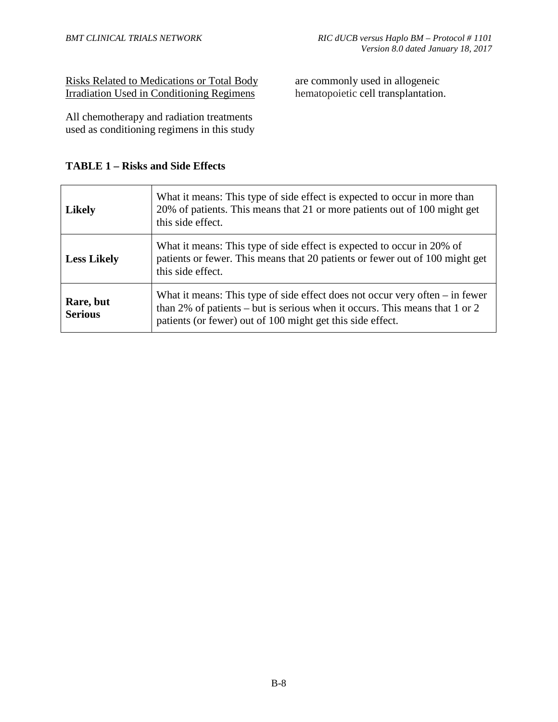Risks Related to Medications or Total Body Irradiation Used in Conditioning Regimens

All chemotherapy and radiation treatments used as conditioning regimens in this study

#### **TABLE 1 – Risks and Side Effects**

| <b>Likely</b>               | What it means: This type of side effect is expected to occur in more than<br>20% of patients. This means that 21 or more patients out of 100 might get<br>this side effect.                                                 |
|-----------------------------|-----------------------------------------------------------------------------------------------------------------------------------------------------------------------------------------------------------------------------|
| <b>Less Likely</b>          | What it means: This type of side effect is expected to occur in 20% of<br>patients or fewer. This means that 20 patients or fewer out of 100 might get<br>this side effect.                                                 |
| Rare, but<br><b>Serious</b> | What it means: This type of side effect does not occur very often $-$ in fewer<br>than 2% of patients – but is serious when it occurs. This means that 1 or 2<br>patients (or fewer) out of 100 might get this side effect. |

B-8

are commonly used in allogeneic hematopoietic cell transplantation.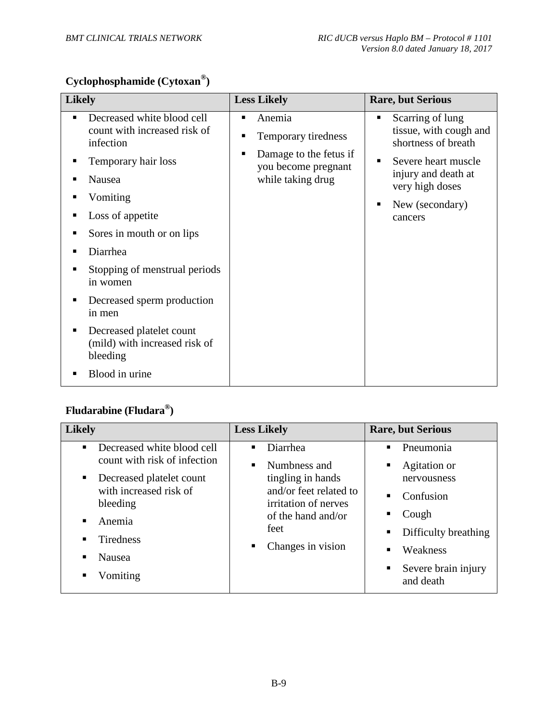# **Cyclophosphamide (Cytoxan®)**

| <b>Likely</b>                                                                                                                                                                                                                                                                                                                                                               | <b>Less Likely</b>                                                                                       | <b>Rare, but Serious</b>                                                                                                                                                   |
|-----------------------------------------------------------------------------------------------------------------------------------------------------------------------------------------------------------------------------------------------------------------------------------------------------------------------------------------------------------------------------|----------------------------------------------------------------------------------------------------------|----------------------------------------------------------------------------------------------------------------------------------------------------------------------------|
| Decreased white blood cell<br>٠<br>count with increased risk of<br>infection<br>Temporary hair loss<br>Nausea<br>Vomiting<br>Loss of appetite<br>Sores in mouth or on lips<br>Diarrhea<br>Stopping of menstrual periods<br>in women<br>Decreased sperm production<br>п<br>in men<br>Decreased platelet count<br>(mild) with increased risk of<br>bleeding<br>Blood in urine | Anemia<br>٠<br>Temporary tiredness<br>Damage to the fetus if<br>you become pregnant<br>while taking drug | Scarring of lung<br>٠<br>tissue, with cough and<br>shortness of breath<br>Severe heart muscle<br>injury and death at<br>very high doses<br>New (secondary)<br>п<br>cancers |

# **Fludarabine (Fludara®)**

| <b>Likely</b>                                                                                                                                                                                            | <b>Less Likely</b>                                                                                                                                      | <b>Rare, but Serious</b>                                                                                                               |
|----------------------------------------------------------------------------------------------------------------------------------------------------------------------------------------------------------|---------------------------------------------------------------------------------------------------------------------------------------------------------|----------------------------------------------------------------------------------------------------------------------------------------|
| Decreased white blood cell<br>٠.<br>count with risk of infection<br>Decreased platelet count<br>п.<br>with increased risk of<br>bleeding<br>Anemia<br>٠<br><b>Tiredness</b><br><b>Nausea</b><br>Vomiting | Diarrhea<br>٠<br>Numbness and<br>tingling in hands<br>and/or feet related to<br>irritation of nerves<br>of the hand and/or<br>feet<br>Changes in vision | Pneumonia<br>Agitation or<br>nervousness<br>Confusion<br>Cough<br>Difficulty breathing<br>Weakness<br>Severe brain injury<br>and death |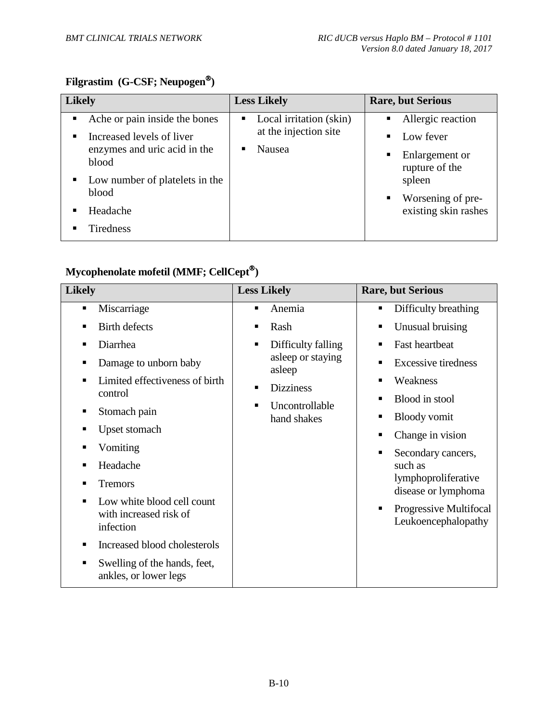# **Filgrastim (G-CSF; Neupogen)**

| <b>Likely</b>  |                                       | <b>Less Likely</b>                                     | <b>Rare, but Serious</b>         |
|----------------|---------------------------------------|--------------------------------------------------------|----------------------------------|
| $\blacksquare$ | Ache or pain inside the bones         | Local irritation (skin)<br>п.<br>at the injection site | Allergic reaction<br>٠           |
|                | Increased levels of liver             | Nausea                                                 | Low fever                        |
|                | enzymes and uric acid in the<br>blood |                                                        | Enlargement or<br>rupture of the |
|                | Low number of platelets in the        |                                                        | spleen                           |
|                | blood                                 |                                                        | Worsening of pre-                |
|                | Headache                              |                                                        | existing skin rashes             |
|                | Tiredness                             |                                                        |                                  |

# **Mycophenolate mofetil (MMF; CellCept)**

| <b>Likely</b>                                                          | <b>Less Likely</b>            | <b>Rare, but Serious</b>                           |
|------------------------------------------------------------------------|-------------------------------|----------------------------------------------------|
| Miscarriage<br>٠                                                       | Anemia<br>٠                   | Difficulty breathing<br>٠                          |
| <b>Birth defects</b><br>п                                              | Rash                          | Unusual bruising<br>п                              |
| Diarrhea                                                               | Difficulty falling<br>п       | <b>Fast heartbeat</b><br>٠                         |
| Damage to unborn baby<br>■                                             | asleep or staying<br>asleep   | <b>Excessive tiredness</b><br>п                    |
| Limited effectiveness of birth<br>▪<br>control                         | <b>Dizziness</b><br>п         | Weakness<br>$\blacksquare$                         |
| Stomach pain<br>п                                                      | Uncontrollable<br>hand shakes | Blood in stool<br>п<br><b>Bloody</b> vomit<br>п    |
| Upset stomach                                                          |                               | Change in vision<br>п                              |
| Vomiting                                                               |                               | Secondary cancers,<br>٠                            |
| Headache<br>■                                                          |                               | such as                                            |
| <b>Tremors</b>                                                         |                               | lymphoproliferative<br>disease or lymphoma         |
| Low white blood cell count<br>■<br>with increased risk of<br>infection |                               | Progressive Multifocal<br>п<br>Leukoencephalopathy |
| Increased blood cholesterols<br>п                                      |                               |                                                    |
| Swelling of the hands, feet,<br>ankles, or lower legs                  |                               |                                                    |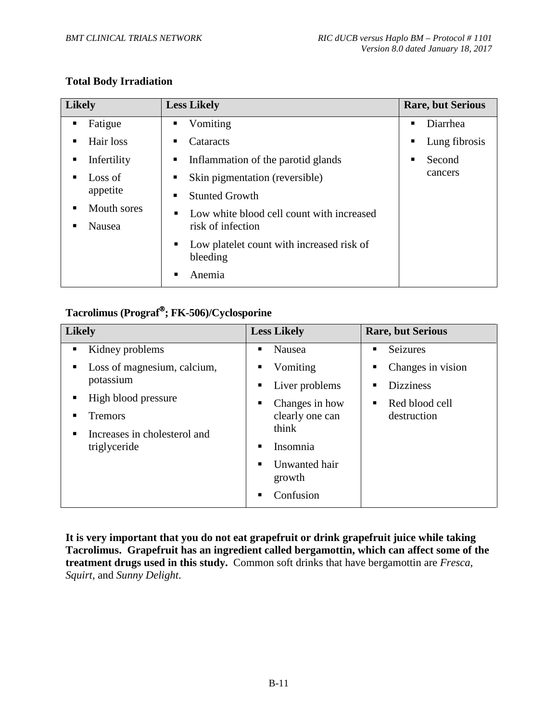### **Total Body Irradiation**

| <b>Likely</b>    | <b>Less Likely</b>                                         | <b>Rare, but Serious</b> |
|------------------|------------------------------------------------------------|--------------------------|
| Fatigue          | Vomiting<br>٠                                              | Diarrhea<br>٠            |
| Hair loss        | Cataracts<br>п                                             | Lung fibrosis<br>п       |
| Infertility      | Inflammation of the parotid glands<br>Е                    | Second<br>п              |
| Loss of          | Skin pigmentation (reversible)<br>п                        | cancers                  |
| appetite         | <b>Stunted Growth</b><br>п                                 |                          |
| Mouth sores<br>■ | Low white blood cell count with increased<br>٠             |                          |
| <b>Nausea</b>    | risk of infection                                          |                          |
|                  | Low platelet count with increased risk of<br>п<br>bleeding |                          |
|                  | Anemia<br>п                                                |                          |

# **Tacrolimus (Prograf; FK-506)/Cyclosporine**

| Likely                                        | <b>Less Likely</b>      | <b>Rare, but Serious</b> |
|-----------------------------------------------|-------------------------|--------------------------|
| Kidney problems<br>п                          | Nausea<br>▪             | Seizures<br>▪            |
| Loss of magnesium, calcium,<br>п<br>potassium | Vomiting<br>п           | Changes in vision<br>п   |
|                                               | Liver problems          | <b>Dizziness</b><br>п    |
| High blood pressure<br>٠                      | Changes in how<br>▪     | Red blood cell<br>٠      |
| <b>Tremors</b>                                | clearly one can         | destruction              |
| Increases in cholesterol and                  | think                   |                          |
| triglyceride                                  | Insomnia                |                          |
|                                               | Unwanted hair<br>growth |                          |
|                                               | Confusion<br>▪          |                          |

**It is very important that you do not eat grapefruit or drink grapefruit juice while taking Tacrolimus. Grapefruit has an ingredient called bergamottin, which can affect some of the treatment drugs used in this study.** Common soft drinks that have bergamottin are *Fresca*, *Squirt*, and *Sunny Delight*.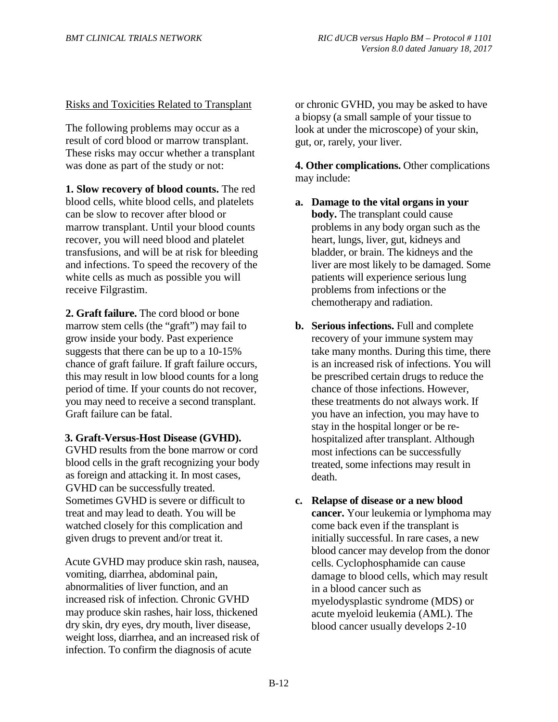#### Risks and Toxicities Related to Transplant

The following problems may occur as a result of cord blood or marrow transplant. These risks may occur whether a transplant was done as part of the study or not:

**1. Slow recovery of blood counts.** The red blood cells, white blood cells, and platelets can be slow to recover after blood or marrow transplant. Until your blood counts recover, you will need blood and platelet transfusions, and will be at risk for bleeding and infections. To speed the recovery of the white cells as much as possible you will receive Filgrastim.

**2. Graft failure.** The cord blood or bone marrow stem cells (the "graft") may fail to grow inside your body. Past experience suggests that there can be up to a 10-15% chance of graft failure. If graft failure occurs, this may result in low blood counts for a long period of time. If your counts do not recover, you may need to receive a second transplant. Graft failure can be fatal.

**3. Graft-Versus-Host Disease (GVHD).**

GVHD results from the bone marrow or cord blood cells in the graft recognizing your body as foreign and attacking it. In most cases, GVHD can be successfully treated. Sometimes GVHD is severe or difficult to treat and may lead to death. You will be watched closely for this complication and given drugs to prevent and/or treat it.

Acute GVHD may produce skin rash, nausea, vomiting, diarrhea, abdominal pain, abnormalities of liver function, and an increased risk of infection. Chronic GVHD may produce skin rashes, hair loss, thickened dry skin, dry eyes, dry mouth, liver disease, weight loss, diarrhea, and an increased risk of infection. To confirm the diagnosis of acute

or chronic GVHD, you may be asked to have a biopsy (a small sample of your tissue to look at under the microscope) of your skin, gut, or, rarely, your liver.

**4. Other complications.** Other complications may include:

- **a. Damage to the vital organs in your body.** The transplant could cause problems in any body organ such as the heart, lungs, liver, gut, kidneys and bladder, or brain. The kidneys and the liver are most likely to be damaged. Some patients will experience serious lung problems from infections or the chemotherapy and radiation.
- **b. Serious infections.** Full and complete recovery of your immune system may take many months. During this time, there is an increased risk of infections. You will be prescribed certain drugs to reduce the chance of those infections. However, these treatments do not always work. If you have an infection, you may have to stay in the hospital longer or be rehospitalized after transplant. Although most infections can be successfully treated, some infections may result in death.
- **c. Relapse of disease or a new blood cancer.** Your leukemia or lymphoma may come back even if the transplant is initially successful. In rare cases, a new blood cancer may develop from the donor cells. Cyclophosphamide can cause damage to blood cells, which may result in a blood cancer such as myelodysplastic syndrome (MDS) or acute myeloid leukemia (AML). The blood cancer usually develops 2-10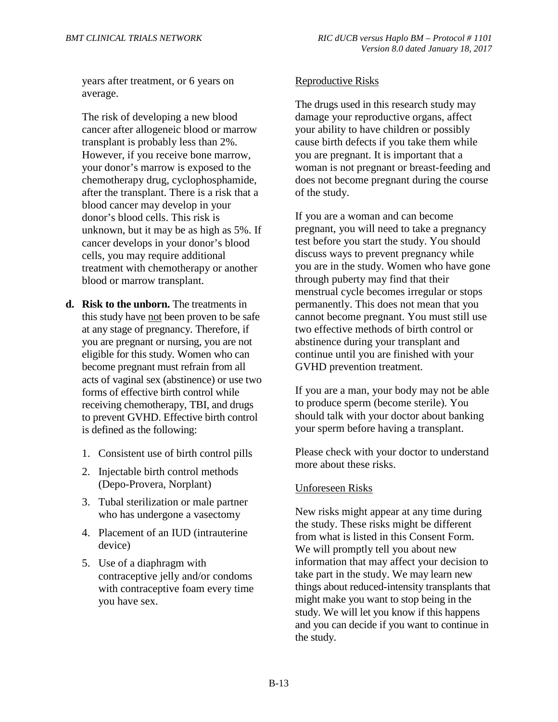years after treatment, or 6 years on average.

The risk of developing a new blood cancer after allogeneic blood or marrow transplant is probably less than 2%. However, if you receive bone marrow, your donor's marrow is exposed to the chemotherapy drug, cyclophosphamide, after the transplant. There is a risk that a blood cancer may develop in your donor's blood cells. This risk is unknown, but it may be as high as 5%. If cancer develops in your donor's blood cells, you may require additional treatment with chemotherapy or another blood or marrow transplant.

- **d. Risk to the unborn.** The treatments in this study have not been proven to be safe at any stage of pregnancy. Therefore, if you are pregnant or nursing, you are not eligible for this study. Women who can become pregnant must refrain from all acts of vaginal sex (abstinence) or use two forms of effective birth control while receiving chemotherapy, TBI, and drugs to prevent GVHD. Effective birth control is defined as the following:
	- 1. Consistent use of birth control pills
	- 2. Injectable birth control methods (Depo-Provera, Norplant)
	- 3. Tubal sterilization or male partner who has undergone a vasectomy
	- 4. Placement of an IUD (intrauterine device)
	- 5. Use of a diaphragm with contraceptive jelly and/or condoms with contraceptive foam every time you have sex.

#### Reproductive Risks

The drugs used in this research study may damage your reproductive organs, affect your ability to have children or possibly cause birth defects if you take them while you are pregnant. It is important that a woman is not pregnant or breast-feeding and does not become pregnant during the course of the study.

If you are a woman and can become pregnant, you will need to take a pregnancy test before you start the study. You should discuss ways to prevent pregnancy while you are in the study. Women who have gone through puberty may find that their menstrual cycle becomes irregular or stops permanently. This does not mean that you cannot become pregnant. You must still use two effective methods of birth control or abstinence during your transplant and continue until you are finished with your GVHD prevention treatment.

If you are a man, your body may not be able to produce sperm (become sterile). You should talk with your doctor about banking your sperm before having a transplant.

Please check with your doctor to understand more about these risks.

#### Unforeseen Risks

New risks might appear at any time during the study. These risks might be different from what is listed in this Consent Form. We will promptly tell you about new information that may affect your decision to take part in the study. We may learn new things about reduced-intensity transplants that might make you want to stop being in the study. We will let you know if this happens and you can decide if you want to continue in the study.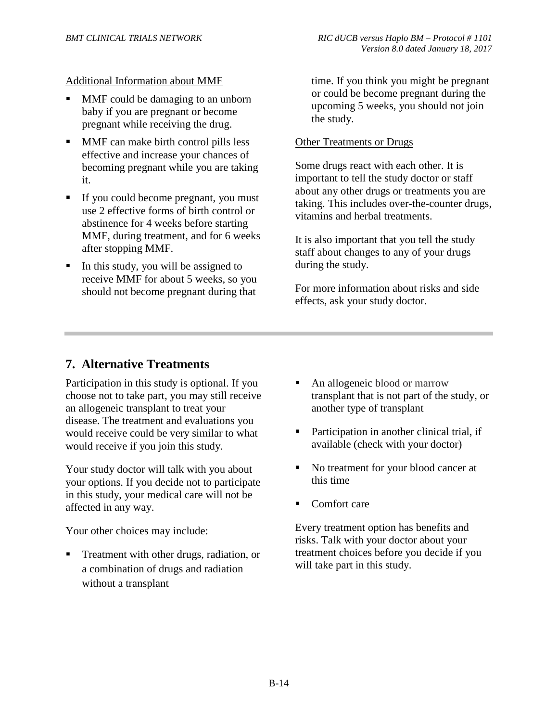Additional Information about MMF

- MMF could be damaging to an unborn baby if you are pregnant or become pregnant while receiving the drug.
- MMF can make birth control pills less effective and increase your chances of becoming pregnant while you are taking it.
- If you could become pregnant, you must use 2 effective forms of birth control or abstinence for 4 weeks before starting MMF, during treatment, and for 6 weeks after stopping MMF.
- In this study, you will be assigned to receive MMF for about 5 weeks, so you should not become pregnant during that

time. If you think you might be pregnant or could be become pregnant during the upcoming 5 weeks, you should not join the study.

#### Other Treatments or Drugs

Some drugs react with each other. It is important to tell the study doctor or staff about any other drugs or treatments you are taking. This includes over-the-counter drugs, vitamins and herbal treatments.

It is also important that you tell the study staff about changes to any of your drugs during the study.

For more information about risks and side effects, ask your study doctor.

# **7. Alternative Treatments**

Participation in this study is optional. If you choose not to take part, you may still receive an allogeneic transplant to treat your disease. The treatment and evaluations you would receive could be very similar to what would receive if you join this study.

Your study doctor will talk with you about your options. If you decide not to participate in this study, your medical care will not be affected in any way.

Your other choices may include:

**Treatment with other drugs, radiation, or** a combination of drugs and radiation without a transplant

- An allogeneic blood or marrow transplant that is not part of the study, or another type of transplant
- Participation in another clinical trial, if available (check with your doctor)
- No treatment for your blood cancer at this time
- Comfort care

Every treatment option has benefits and risks. Talk with your doctor about your treatment choices before you decide if you will take part in this study.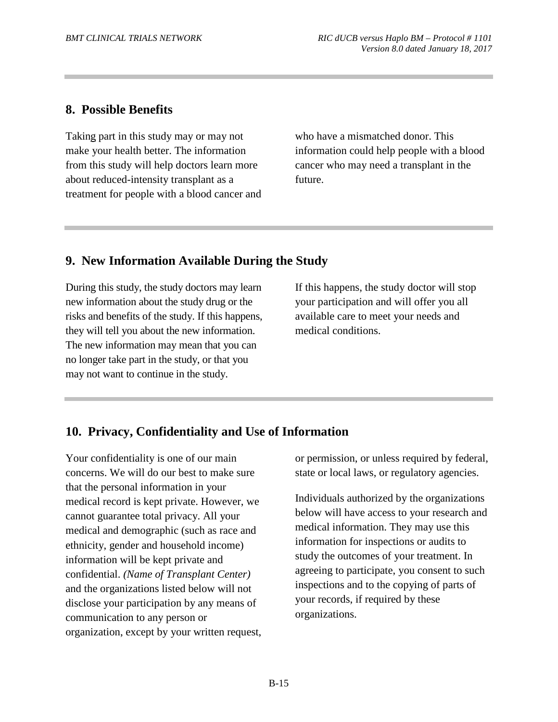## **8. Possible Benefits**

Taking part in this study may or may not make your health better. The information from this study will help doctors learn more about reduced-intensity transplant as a treatment for people with a blood cancer and who have a mismatched donor. This information could help people with a blood cancer who may need a transplant in the future.

## **9. New Information Available During the Study**

During this study, the study doctors may learn new information about the study drug or the risks and benefits of the study. If this happens, they will tell you about the new information. The new information may mean that you can no longer take part in the study, or that you may not want to continue in the study.

If this happens, the study doctor will stop your participation and will offer you all available care to meet your needs and medical conditions.

## **10. Privacy, Confidentiality and Use of Information**

Your confidentiality is one of our main concerns. We will do our best to make sure that the personal information in your medical record is kept private. However, we cannot guarantee total privacy. All your medical and demographic (such as race and ethnicity, gender and household income) information will be kept private and confidential. *(Name of Transplant Center)* and the organizations listed below will not disclose your participation by any means of communication to any person or organization, except by your written request, or permission, or unless required by federal, state or local laws, or regulatory agencies.

Individuals authorized by the organizations below will have access to your research and medical information. They may use this information for inspections or audits to study the outcomes of your treatment. In agreeing to participate, you consent to such inspections and to the copying of parts of your records, if required by these organizations.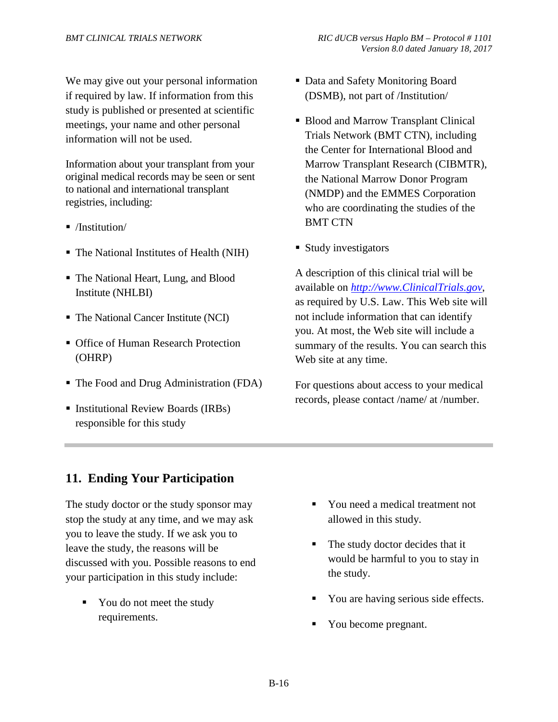We may give out your personal information if required by law. If information from this study is published or presented at scientific meetings, your name and other personal information will not be used.

Information about your transplant from your original medical records may be seen or sent to national and international transplant registries, including:

- /Institution/
- The National Institutes of Health (NIH)
- The National Heart, Lung, and Blood Institute (NHLBI)
- The National Cancer Institute (NCI)
- Office of Human Research Protection (OHRP)
- The Food and Drug Administration (FDA)
- **Institutional Review Boards (IRBs)** responsible for this study
- Data and Safety Monitoring Board (DSMB), not part of /Institution/
- Blood and Marrow Transplant Clinical Trials Network (BMT CTN), including the Center for International Blood and Marrow Transplant Research (CIBMTR), the National Marrow Donor Program (NMDP) and the EMMES Corporation who are coordinating the studies of the BMT CTN
- Study investigators

A description of this clinical trial will be available on *http://www.ClinicalTrials.gov*, as required by U.S. Law. This Web site will not include information that can identify you. At most, the Web site will include a summary of the results. You can search this Web site at any time.

For questions about access to your medical records, please contact /name/ at /number.

# **11. Ending Your Participation**

The study doctor or the study sponsor may stop the study at any time, and we may ask you to leave the study. If we ask you to leave the study, the reasons will be discussed with you. Possible reasons to end your participation in this study include:

• You do not meet the study requirements.

- You need a medical treatment not allowed in this study.
- The study doctor decides that it would be harmful to you to stay in the study.
- You are having serious side effects.
- You become pregnant.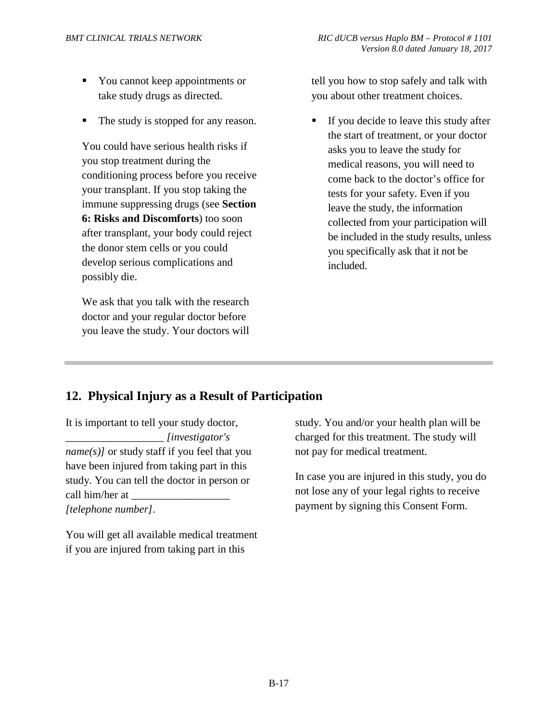- You cannot keep appointments or take study drugs as directed.
- The study is stopped for any reason.

You could have serious health risks if you stop treatment during the conditioning process before you receive your transplant. If you stop taking the immune suppressing drugs (see **Section 6: Risks and Discomforts**) too soon after transplant, your body could reject the donor stem cells or you could develop serious complications and possibly die.

We ask that you talk with the research doctor and your regular doctor before you leave the study. Your doctors will

tell you how to stop safely and talk with you about other treatment choices.

 If you decide to leave this study after the start of treatment, or your doctor asks you to leave the study for medical reasons, you will need to come back to the doctor's office for tests for your safety. Even if you leave the study, the information collected from your participation will be included in the study results, unless you specifically ask that it not be included.

# **12. Physical Injury as a Result of Participation**

It is important to tell your study doctor, \_\_\_\_\_\_\_\_\_\_\_\_\_\_\_\_\_\_ *[investigator's name(s)]* or study staff if you feel that you have been injured from taking part in this study. You can tell the doctor in person or call him/her at *[telephone number]*.

You will get all available medical treatment if you are injured from taking part in this

study. You and/or your health plan will be charged for this treatment. The study will not pay for medical treatment.

In case you are injured in this study, you do not lose any of your legal rights to receive payment by signing this Consent Form.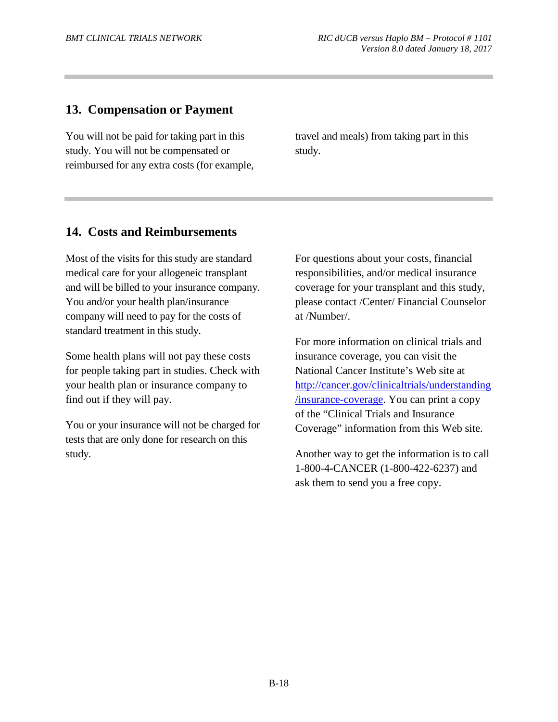## **13. Compensation or Payment**

You will not be paid for taking part in this study. You will not be compensated or reimbursed for any extra costs (for example, travel and meals) from taking part in this study.

## **14. Costs and Reimbursements**

Most of the visits for this study are standard medical care for your allogeneic transplant and will be billed to your insurance company. You and/or your health plan/insurance company will need to pay for the costs of standard treatment in this study.

Some health plans will not pay these costs for people taking part in studies. Check with your health plan or insurance company to find out if they will pay.

You or your insurance will not be charged for tests that are only done for research on this study.

For questions about your costs, financial responsibilities, and/or medical insurance coverage for your transplant and this study, please contact /Center/ Financial Counselor at /Number/.

For more information on clinical trials and insurance coverage, you can visit the National Cancer Institute's Web site at http://cancer.gov/clinicaltrials/understanding /insurance-coverage. You can print a copy of the "Clinical Trials and Insurance Coverage" information from this Web site.

Another way to get the information is to call 1-800-4**-**CANCER (1-800-422-6237) and ask them to send you a free copy.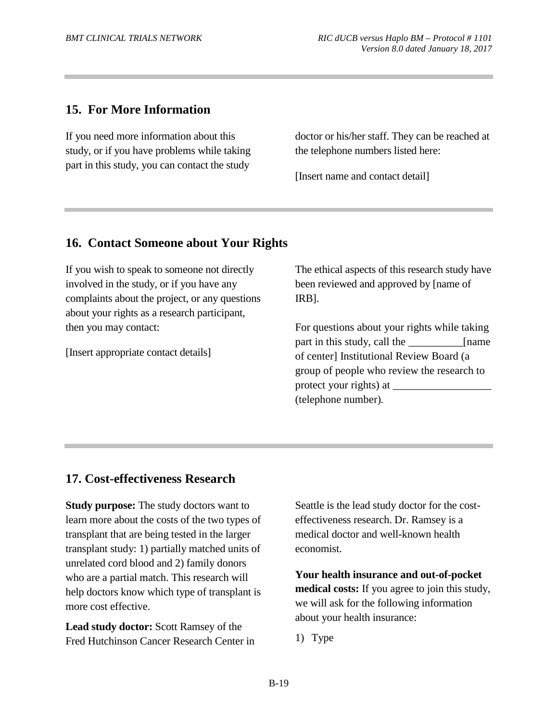## **15. For More Information**

If you need more information about this study, or if you have problems while taking part in this study, you can contact the study

doctor or his/her staff. They can be reached at the telephone numbers listed here:

[Insert name and contact detail]

## **16. Contact Someone about Your Rights**

If you wish to speak to someone not directly involved in the study, or if you have any complaints about the project, or any questions about your rights as a research participant, then you may contact:

[Insert appropriate contact details]

The ethical aspects of this research study have been reviewed and approved by [name of IRB].

For questions about your rights while taking part in this study, call the \_\_\_\_\_\_\_\_\_\_\_[name of center] Institutional Review Board (a group of people who review the research to protect your rights) at (telephone number)*.*

### **17. Cost-effectiveness Research**

**Study purpose:** The study doctors want to learn more about the costs of the two types of transplant that are being tested in the larger transplant study: 1) partially matched units of unrelated cord blood and 2) family donors who are a partial match. This research will help doctors know which type of transplant is more cost effective.

**Lead study doctor:** Scott Ramsey of the Fred Hutchinson Cancer Research Center in Seattle is the lead study doctor for the costeffectiveness research. Dr. Ramsey is a medical doctor and well-known health economist.

**Your health insurance and out-of-pocket medical costs:** If you agree to join this study, we will ask for the following information about your health insurance:

1) Type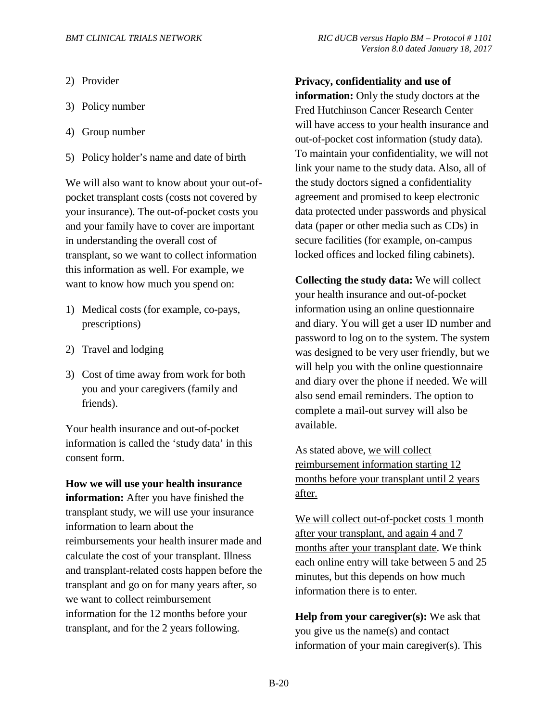- 2) Provider
- 3) Policy number
- 4) Group number
- 5) Policy holder's name and date of birth

We will also want to know about your out-ofpocket transplant costs (costs not covered by your insurance). The out-of-pocket costs you and your family have to cover are important in understanding the overall cost of transplant, so we want to collect information this information as well. For example, we want to know how much you spend on:

- 1) Medical costs (for example, co-pays, prescriptions)
- 2) Travel and lodging
- 3) Cost of time away from work for both you and your caregivers (family and friends).

Your health insurance and out-of-pocket information is called the 'study data' in this consent form.

**How we will use your health insurance information:** After you have finished the transplant study, we will use your insurance information to learn about the reimbursements your health insurer made and calculate the cost of your transplant. Illness and transplant-related costs happen before the transplant and go on for many years after, so we want to collect reimbursement information for the 12 months before your transplant, and for the 2 years following.

**Privacy, confidentiality and use of information:** Only the study doctors at the Fred Hutchinson Cancer Research Center will have access to your health insurance and out-of-pocket cost information (study data). To maintain your confidentiality, we will not link your name to the study data. Also, all of the study doctors signed a confidentiality agreement and promised to keep electronic data protected under passwords and physical data (paper or other media such as CDs) in secure facilities (for example, on-campus locked offices and locked filing cabinets).

**Collecting the study data:** We will collect your health insurance and out-of-pocket information using an online questionnaire and diary. You will get a user ID number and password to log on to the system. The system was designed to be very user friendly, but we will help you with the online questionnaire and diary over the phone if needed. We will also send email reminders. The option to complete a mail-out survey will also be available.

As stated above, we will collect reimbursement information starting 12 months before your transplant until 2 years after.

We will collect out-of-pocket costs 1 month after your transplant, and again 4 and 7 months after your transplant date. We think each online entry will take between 5 and 25 minutes, but this depends on how much information there is to enter.

**Help from your caregiver(s):** We ask that you give us the name(s) and contact information of your main caregiver(s). This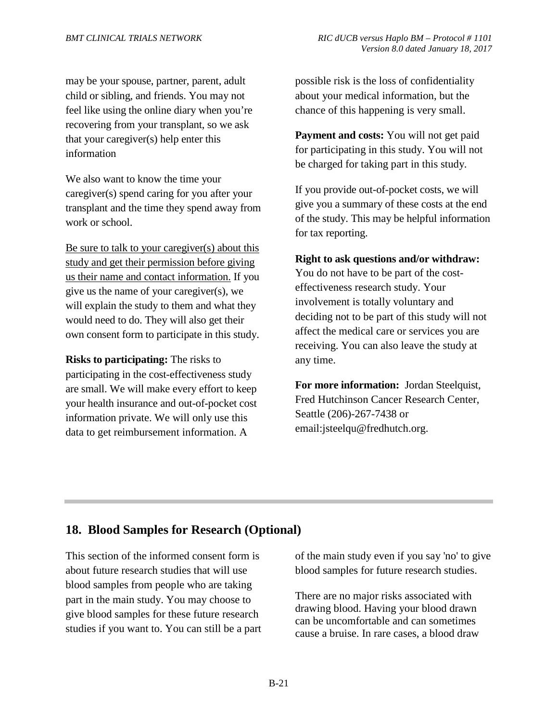may be your spouse, partner, parent, adult child or sibling, and friends. You may not feel like using the online diary when you're recovering from your transplant, so we ask that your caregiver(s) help enter this information

We also want to know the time your caregiver(s) spend caring for you after your transplant and the time they spend away from work or school.

Be sure to talk to your caregiver(s) about this study and get their permission before giving us their name and contact information. If you give us the name of your caregiver(s), we will explain the study to them and what they would need to do. They will also get their own consent form to participate in this study.

**Risks to participating:** The risks to participating in the cost-effectiveness study are small. We will make every effort to keep your health insurance and out-of-pocket cost information private. We will only use this data to get reimbursement information. A

possible risk is the loss of confidentiality about your medical information, but the chance of this happening is very small.

**Payment and costs:** You will not get paid for participating in this study. You will not be charged for taking part in this study.

If you provide out-of-pocket costs, we will give you a summary of these costs at the end of the study. This may be helpful information for tax reporting.

#### **Right to ask questions and/or withdraw:**

You do not have to be part of the costeffectiveness research study. Your involvement is totally voluntary and deciding not to be part of this study will not affect the medical care or services you are receiving. You can also leave the study at any time.

**For more information:** Jordan Steelquist, Fred Hutchinson Cancer Research Center, Seattle (206)-267-7438 or email:jsteelqu@fredhutch.org.

## **18. Blood Samples for Research (Optional)**

This section of the informed consent form is about future research studies that will use blood samples from people who are taking part in the main study. You may choose to give blood samples for these future research studies if you want to. You can still be a part of the main study even if you say 'no' to give blood samples for future research studies.

There are no major risks associated with drawing blood. Having your blood drawn can be uncomfortable and can sometimes cause a bruise. In rare cases, a blood draw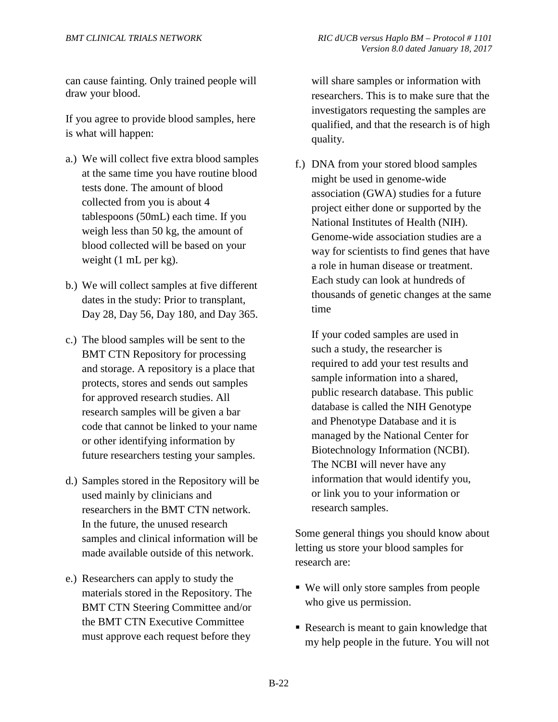can cause fainting. Only trained people will draw your blood.

If you agree to provide blood samples, here is what will happen:

- a.) We will collect five extra blood samples at the same time you have routine blood tests done. The amount of blood collected from you is about 4 tablespoons (50mL) each time. If you weigh less than 50 kg, the amount of blood collected will be based on your weight (1 mL per kg).
- b.) We will collect samples at five different dates in the study: Prior to transplant, Day 28, Day 56, Day 180, and Day 365.
- c.) The blood samples will be sent to the BMT CTN Repository for processing and storage. A repository is a place that protects, stores and sends out samples for approved research studies. All research samples will be given a bar code that cannot be linked to your name or other identifying information by future researchers testing your samples.
- d.) Samples stored in the Repository will be used mainly by clinicians and researchers in the BMT CTN network. In the future, the unused research samples and clinical information will be made available outside of this network.
- e.) Researchers can apply to study the materials stored in the Repository. The BMT CTN Steering Committee and/or the BMT CTN Executive Committee must approve each request before they

will share samples or information with researchers. This is to make sure that the investigators requesting the samples are qualified, and that the research is of high quality.

f.) DNA from your stored blood samples might be used in genome-wide association (GWA) studies for a future project either done or supported by the National Institutes of Health (NIH). Genome-wide association studies are a way for scientists to find genes that have a role in human disease or treatment. Each study can look at hundreds of thousands of genetic changes at the same time

If your coded samples are used in such a study, the researcher is required to add your test results and sample information into a shared, public research database. This public database is called the NIH Genotype and Phenotype Database and it is managed by the National Center for Biotechnology Information (NCBI). The NCBI will never have any information that would identify you, or link you to your information or research samples.

Some general things you should know about letting us store your blood samples for research are:

- We will only store samples from people who give us permission.
- Research is meant to gain knowledge that my help people in the future. You will not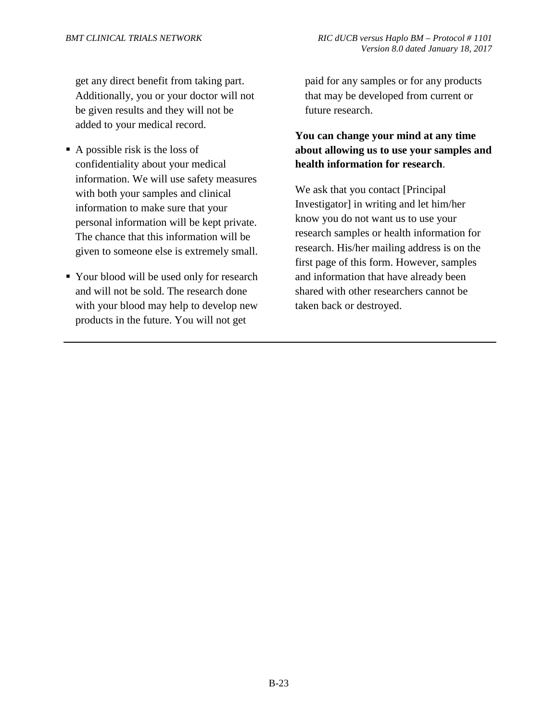get any direct benefit from taking part. Additionally, you or your doctor will not be given results and they will not be added to your medical record.

- $\blacksquare$  A possible risk is the loss of confidentiality about your medical information. We will use safety measures with both your samples and clinical information to make sure that your personal information will be kept private. The chance that this information will be given to someone else is extremely small.
- Your blood will be used only for research and will not be sold. The research done with your blood may help to develop new products in the future. You will not get

paid for any samples or for any products that may be developed from current or future research.

## **You can change your mind at any time about allowing us to use your samples and health information for research**.

We ask that you contact [Principal Investigator] in writing and let him/her know you do not want us to use your research samples or health information for research. His/her mailing address is on the first page of this form. However, samples and information that have already been shared with other researchers cannot be taken back or destroyed.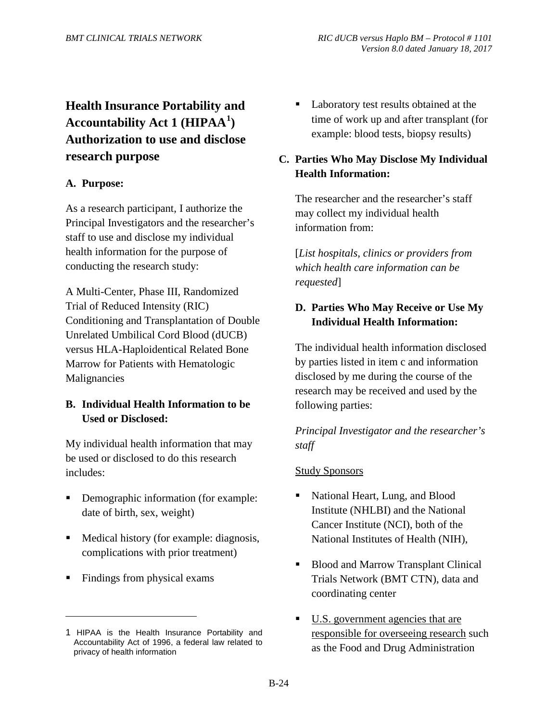# **Health Insurance Portability and Accountability Act 1 (HIPAA<sup>1</sup> ) Authorization to use and disclose research purpose**

#### **A. Purpose:**

As a research participant, I authorize the Principal Investigators and the researcher's staff to use and disclose my individual health information for the purpose of conducting the research study:

A Multi-Center, Phase III, Randomized Trial of Reduced Intensity (RIC) Conditioning and Transplantation of Double Unrelated Umbilical Cord Blood (dUCB) versus HLA-Haploidentical Related Bone Marrow for Patients with Hematologic Malignancies

### **B. Individual Health Information to be Used or Disclosed:**

My individual health information that may be used or disclosed to do this research includes:

- Demographic information (for example: date of birth, sex, weight).
- Medical history (for example: diagnosis, complications with prior treatment).
- Findings from physical exams.

 $\overline{a}$ 

 Laboratory test results obtained at the time of work up and after transplant (for example: blood tests, biopsy results).

### **C. Parties Who May Disclose My Individual Health Information:**

The researcher and the researcher's staff may collect my individual health information from:

[*List hospitals, clinics or providers from which health care information can be requested*].

### **D. Parties Who May Receive or Use My Individual Health Information:**

The individual health information disclosed by parties listed in item c and information disclosed by me during the course of the research may be received and used by the following parties:

*Principal Investigator and the researcher's staff*

#### Study Sponsors

- National Heart, Lung, and Blood Institute (NHLBI) and the National Cancer Institute (NCI), both of the National Institutes of Health (NIH),
- Blood and Marrow Transplant Clinical Trials Network (BMT CTN), data and coordinating center
- U.S. government agencies that are responsible for overseeing research such as the Food and Drug Administration

<sup>1</sup> HIPAA is the Health Insurance Portability and Accountability Act of 1996, a federal law related to privacy of health information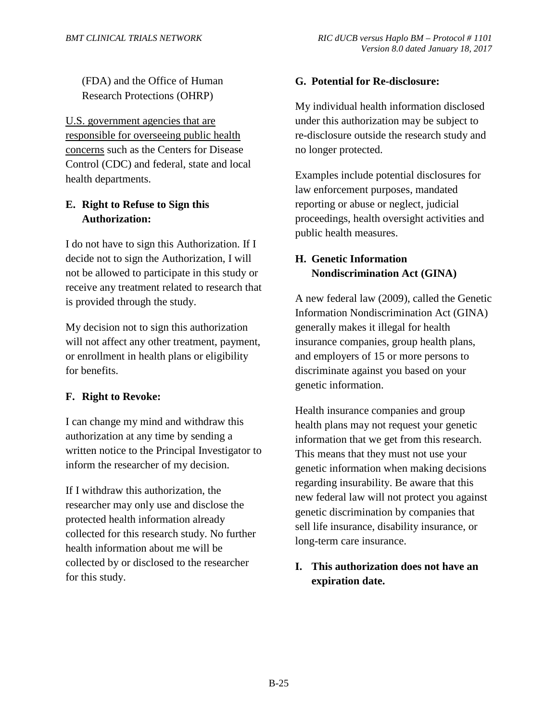(FDA) and the Office of Human Research Protections (OHRP)

U.S. government agencies that are responsible for overseeing public health concerns such as the Centers for Disease Control (CDC) and federal, state and local health departments.

## **E. Right to Refuse to Sign this Authorization:**

I do not have to sign this Authorization. If I decide not to sign the Authorization, I will not be allowed to participate in this study or receive any treatment related to research that is provided through the study.

My decision not to sign this authorization will not affect any other treatment, payment, or enrollment in health plans or eligibility for benefits.

## **F. Right to Revoke:**

I can change my mind and withdraw this authorization at any time by sending a written notice to the Principal Investigator to inform the researcher of my decision.

If I withdraw this authorization, the researcher may only use and disclose the protected health information already collected for this research study. No further health information about me will be collected by or disclosed to the researcher for this study.

### **G. Potential for Re-disclosure:**

My individual health information disclosed under this authorization may be subject to re-disclosure outside the research study and no longer protected.

Examples include potential disclosures for law enforcement purposes, mandated reporting or abuse or neglect, judicial proceedings, health oversight activities and public health measures.

## **H. Genetic Information Nondiscrimination Act (GINA)**

A new federal law (2009), called the Genetic Information Nondiscrimination Act (GINA) generally makes it illegal for health insurance companies, group health plans, and employers of 15 or more persons to discriminate against you based on your genetic information.

Health insurance companies and group health plans may not request your genetic information that we get from this research. This means that they must not use your genetic information when making decisions regarding insurability. Be aware that this new federal law will not protect you against genetic discrimination by companies that sell life insurance, disability insurance, or long-term care insurance.

## **I. This authorization does not have an expiration date.**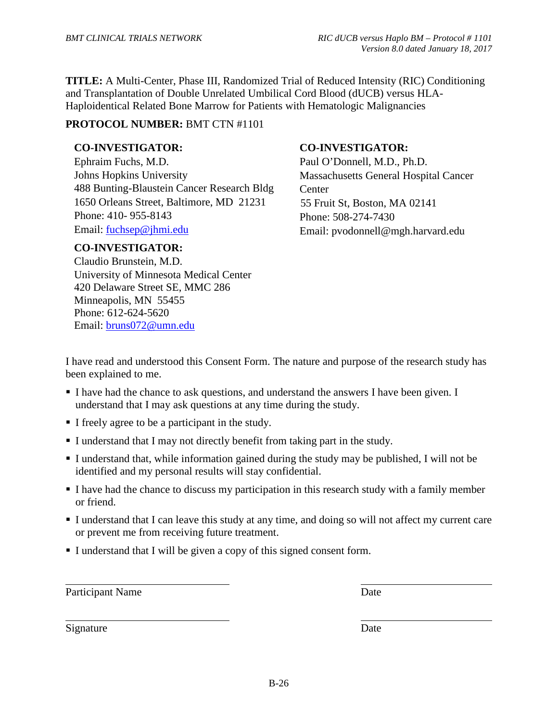**TITLE:** A Multi-Center, Phase III, Randomized Trial of Reduced Intensity (RIC) Conditioning and Transplantation of Double Unrelated Umbilical Cord Blood (dUCB) versus HLA-Haploidentical Related Bone Marrow for Patients with Hematologic Malignancies

### **PROTOCOL NUMBER:** BMT CTN #1101

### **CO-INVESTIGATOR:**

Ephraim Fuchs, M.D. Johns Hopkins University 488 Bunting-Blaustein Cancer Research Bldg 1650 Orleans Street, Baltimore, MD 21231 Phone: 410- 955-8143 Email: fuchsep@jhmi.edu

### **CO-INVESTIGATOR:**

Claudio Brunstein, M.D. University of Minnesota Medical Center 420 Delaware Street SE, MMC 286 Minneapolis, MN 55455 Phone: 612-624-5620 Email: bruns072@umn.edu

### **CO-INVESTIGATOR:**

Paul O'Donnell, M.D., Ph.D. Massachusetts General Hospital Cancer **Center** 55 Fruit St, Boston, MA 02141 Phone: 508-274-7430 Email: pvodonnell@mgh.harvard.edu

I have read and understood this Consent Form. The nature and purpose of the research study has been explained to me.

- I have had the chance to ask questions, and understand the answers I have been given. I understand that I may ask questions at any time during the study.
- I freely agree to be a participant in the study.
- I understand that I may not directly benefit from taking part in the study.
- I understand that, while information gained during the study may be published, I will not be identified and my personal results will stay confidential.
- I have had the chance to discuss my participation in this research study with a family member or friend.
- I understand that I can leave this study at any time, and doing so will not affect my current care or prevent me from receiving future treatment.
- I understand that I will be given a copy of this signed consent form.

Participant Name Date

Signature Date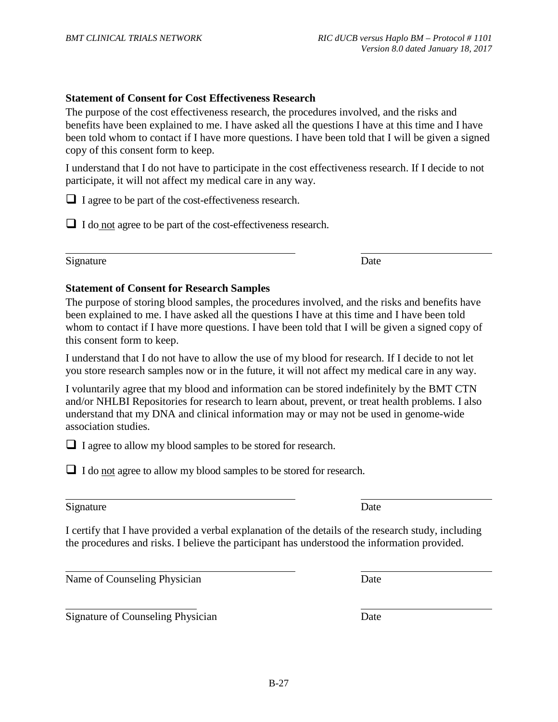#### **Statement of Consent for Cost Effectiveness Research**

The purpose of the cost effectiveness research, the procedures involved, and the risks and benefits have been explained to me. I have asked all the questions I have at this time and I have been told whom to contact if I have more questions. I have been told that I will be given a signed copy of this consent form to keep.

I understand that I do not have to participate in the cost effectiveness research. If I decide to not participate, it will not affect my medical care in any way.

 $\Box$  I agree to be part of the cost-effectiveness research.

 $\Box$  I do not agree to be part of the cost-effectiveness research.

Signature Date

#### **Statement of Consent for Research Samples**

The purpose of storing blood samples, the procedures involved, and the risks and benefits have been explained to me. I have asked all the questions I have at this time and I have been told whom to contact if I have more questions. I have been told that I will be given a signed copy of this consent form to keep.

I understand that I do not have to allow the use of my blood for research. If I decide to not let you store research samples now or in the future, it will not affect my medical care in any way.

I voluntarily agree that my blood and information can be stored indefinitely by the BMT CTN and/or NHLBI Repositories for research to learn about, prevent, or treat health problems. I also understand that my DNA and clinical information may or may not be used in genome-wide association studies.

 $\Box$  I agree to allow my blood samples to be stored for research.

 $\Box$  I do <u>not</u> agree to allow my blood samples to be stored for research.

#### Signature Date

I certify that I have provided a verbal explanation of the details of the research study, including the procedures and risks. I believe the participant has understood the information provided.

Name of Counseling Physician Date

Signature of Counseling Physician Date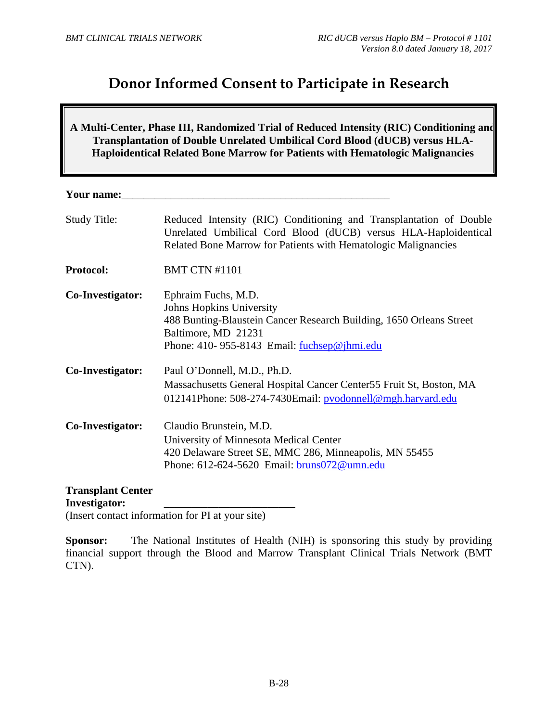# **Donor Informed Consent to Participate in Research**

**A Multi-Center, Phase III, Randomized Trial of Reduced Intensity (RIC) Conditioning and Transplantation of Double Unrelated Umbilical Cord Blood (dUCB) versus HLA-Haploidentical Related Bone Marrow for Patients with Hematologic Malignancies** 

**Your name:**\_\_\_\_\_\_\_\_\_\_\_\_\_\_\_\_\_\_\_\_\_\_\_\_\_\_\_\_\_\_\_\_\_\_\_\_\_\_\_\_\_\_\_\_\_\_\_\_\_

| <b>Study Title:</b>                              | Reduced Intensity (RIC) Conditioning and Transplantation of Double<br>Unrelated Umbilical Cord Blood (dUCB) versus HLA-Haploidentical<br>Related Bone Marrow for Patients with Hematologic Malignancies |
|--------------------------------------------------|---------------------------------------------------------------------------------------------------------------------------------------------------------------------------------------------------------|
| <b>Protocol:</b>                                 | <b>BMT CTN #1101</b>                                                                                                                                                                                    |
| Co-Investigator:                                 | Ephraim Fuchs, M.D.<br><b>Johns Hopkins University</b><br>488 Bunting-Blaustein Cancer Research Building, 1650 Orleans Street<br>Baltimore, MD 21231<br>Phone: 410-955-8143 Email: $fuchsep@jhmi.edu$   |
| Co-Investigator:                                 | Paul O'Donnell, M.D., Ph.D.<br>Massachusetts General Hospital Cancer Center55 Fruit St, Boston, MA<br>012141Phone: 508-274-7430Email: pvodonnell@mgh.harvard.edu                                        |
| Co-Investigator:                                 | Claudio Brunstein, M.D.<br>University of Minnesota Medical Center<br>420 Delaware Street SE, MMC 286, Minneapolis, MN 55455<br>Phone: 612-624-5620 Email: <b>bruns072@umn.edu</b>                       |
| <b>Transplant Center</b><br><b>Investigator:</b> | (Insert contact information for PI at your site)                                                                                                                                                        |

**Sponsor:** The National Institutes of Health (NIH) is sponsoring this study by providing financial support through the Blood and Marrow Transplant Clinical Trials Network (BMT CTN).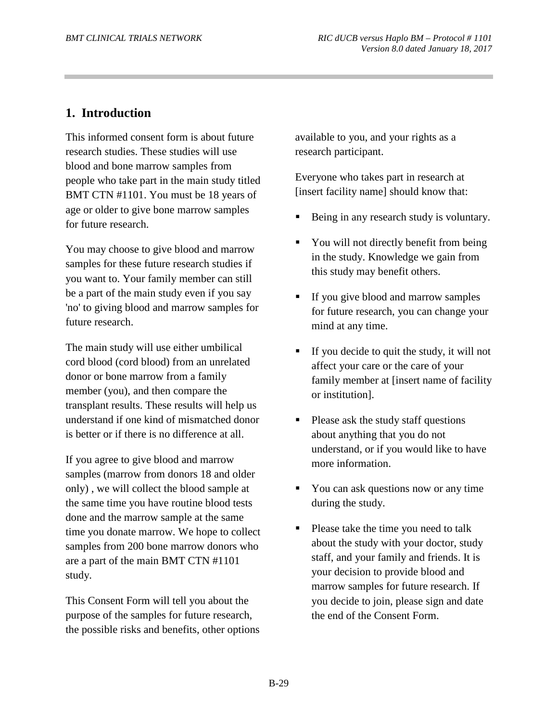## **1. Introduction**

This informed consent form is about future research studies. These studies will use blood and bone marrow samples from people who take part in the main study titled BMT CTN #1101. You must be 18 years of age or older to give bone marrow samples for future research.

You may choose to give blood and marrow samples for these future research studies if you want to. Your family member can still be a part of the main study even if you say 'no' to giving blood and marrow samples for future research.

The main study will use either umbilical cord blood (cord blood) from an unrelated donor or bone marrow from a family member (you), and then compare the transplant results. These results will help us understand if one kind of mismatched donor is better or if there is no difference at all.

If you agree to give blood and marrow samples (marrow from donors 18 and older only) , we will collect the blood sample at the same time you have routine blood tests done and the marrow sample at the same time you donate marrow. We hope to collect samples from 200 bone marrow donors who are a part of the main BMT CTN #1101 study.

This Consent Form will tell you about the purpose of the samples for future research, the possible risks and benefits, other options

available to you, and your rights as a research participant.

Everyone who takes part in research at [insert facility name] should know that:

- Being in any research study is voluntary.
- You will not directly benefit from being in the study. Knowledge we gain from this study may benefit others.
- If you give blood and marrow samples for future research, you can change your mind at any time.
- $\blacksquare$  If you decide to quit the study, it will not affect your care or the care of your family member at [insert name of facility or institution].
- Please ask the study staff questions about anything that you do not understand, or if you would like to have more information.
- You can ask questions now or any time during the study.
- Please take the time you need to talk about the study with your doctor, study staff, and your family and friends. It is your decision to provide blood and marrow samples for future research. If you decide to join, please sign and date the end of the Consent Form.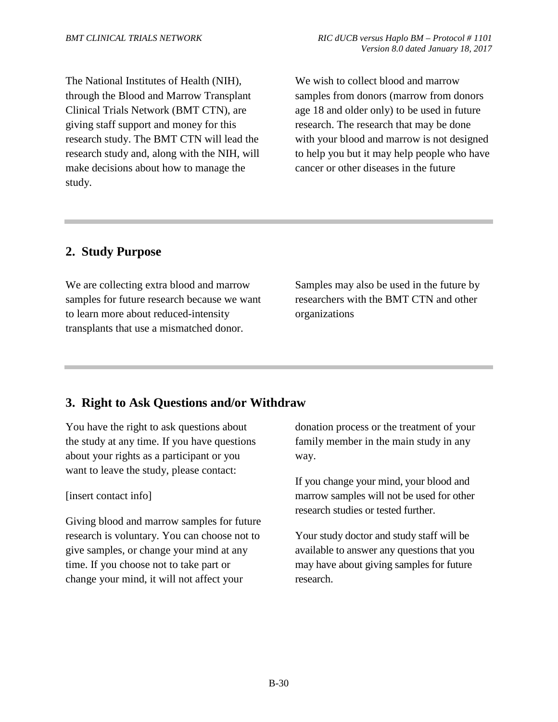The National Institutes of Health (NIH), through the Blood and Marrow Transplant Clinical Trials Network (BMT CTN), are giving staff support and money for this research study. The BMT CTN will lead the research study and, along with the NIH, will make decisions about how to manage the study.

We wish to collect blood and marrow samples from donors (marrow from donors age 18 and older only) to be used in future research. The research that may be done with your blood and marrow is not designed to help you but it may help people who have cancer or other diseases in the future

# **2. Study Purpose**

We are collecting extra blood and marrow samples for future research because we want to learn more about reduced-intensity transplants that use a mismatched donor.

Samples may also be used in the future by researchers with the BMT CTN and other organizations

# **3. Right to Ask Questions and/or Withdraw**

You have the right to ask questions about the study at any time. If you have questions about your rights as a participant or you want to leave the study, please contact:

## [insert contact info]

Giving blood and marrow samples for future research is voluntary. You can choose not to give samples, or change your mind at any time. If you choose not to take part or change your mind, it will not affect your

donation process or the treatment of your family member in the main study in any way.

If you change your mind, your blood and marrow samples will not be used for other research studies or tested further.

Your study doctor and study staff will be available to answer any questions that you may have about giving samples for future research.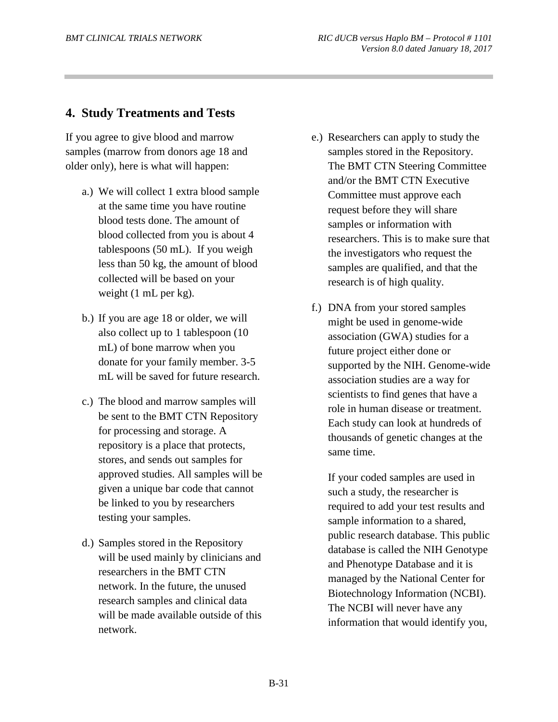## **4. Study Treatments and Tests**

If you agree to give blood and marrow samples (marrow from donors age 18 and older only), here is what will happen:

- a.) We will collect 1 extra blood sample at the same time you have routine blood tests done. The amount of blood collected from you is about 4 tablespoons (50 mL). If you weigh less than 50 kg, the amount of blood collected will be based on your weight (1 mL per kg).
- b.) If you are age 18 or older, we will also collect up to 1 tablespoon (10 mL) of bone marrow when you donate for your family member. 3-5 mL will be saved for future research.
- c.) The blood and marrow samples will be sent to the BMT CTN Repository for processing and storage. A repository is a place that protects, stores, and sends out samples for approved studies. All samples will be given a unique bar code that cannot be linked to you by researchers testing your samples.
- d.) Samples stored in the Repository will be used mainly by clinicians and researchers in the BMT CTN network. In the future, the unused research samples and clinical data will be made available outside of this network.
- e.) Researchers can apply to study the samples stored in the Repository. The BMT CTN Steering Committee and/or the BMT CTN Executive Committee must approve each request before they will share samples or information with researchers. This is to make sure that the investigators who request the samples are qualified, and that the research is of high quality.
- f.) DNA from your stored samples might be used in genome-wide association (GWA) studies for a future project either done or supported by the NIH. Genome-wide association studies are a way for scientists to find genes that have a role in human disease or treatment. Each study can look at hundreds of thousands of genetic changes at the same time.

If your coded samples are used in such a study, the researcher is required to add your test results and sample information to a shared, public research database. This public database is called the NIH Genotype and Phenotype Database and it is managed by the National Center for Biotechnology Information (NCBI). The NCBI will never have any information that would identify you,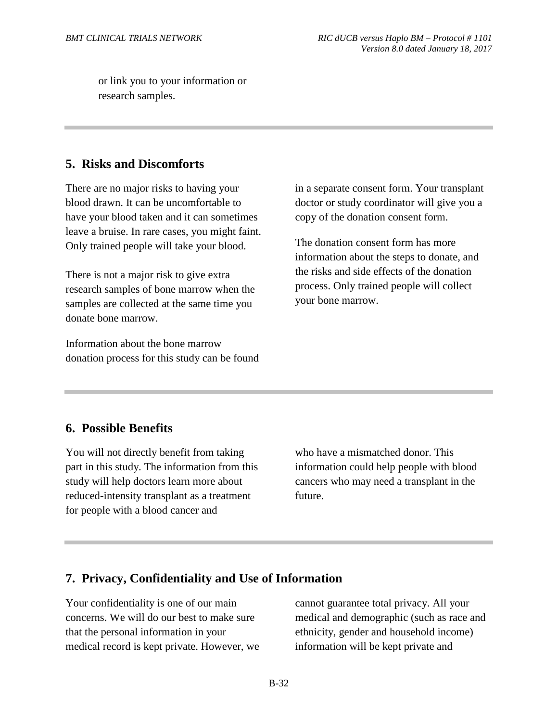or link you to your information or research samples.

## **5. Risks and Discomforts**

There are no major risks to having your blood drawn. It can be uncomfortable to have your blood taken and it can sometimes leave a bruise. In rare cases, you might faint. Only trained people will take your blood.

There is not a major risk to give extra research samples of bone marrow when the samples are collected at the same time you donate bone marrow.

Information about the bone marrow donation process for this study can be found in a separate consent form. Your transplant doctor or study coordinator will give you a copy of the donation consent form.

The donation consent form has more information about the steps to donate, and the risks and side effects of the donation process. Only trained people will collect your bone marrow.

## **6. Possible Benefits**

You will not directly benefit from taking part in this study. The information from this study will help doctors learn more about reduced-intensity transplant as a treatment for people with a blood cancer and

who have a mismatched donor. This information could help people with blood cancers who may need a transplant in the future.

## **7. Privacy, Confidentiality and Use of Information**

Your confidentiality is one of our main concerns. We will do our best to make sure that the personal information in your medical record is kept private. However, we cannot guarantee total privacy. All your medical and demographic (such as race and ethnicity, gender and household income) information will be kept private and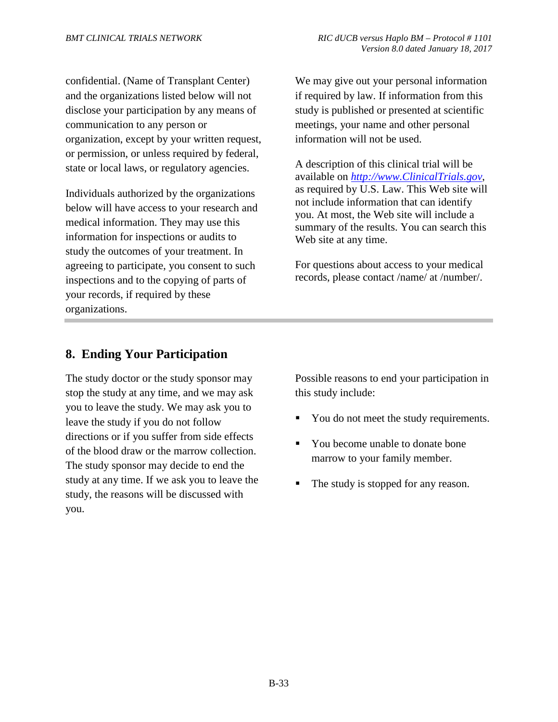confidential. (Name of Transplant Center) and the organizations listed below will not disclose your participation by any means of communication to any person or organization, except by your written request, or permission, or unless required by federal, state or local laws, or regulatory agencies.

Individuals authorized by the organizations below will have access to your research and medical information. They may use this information for inspections or audits to study the outcomes of your treatment. In agreeing to participate, you consent to such inspections and to the copying of parts of your records, if required by these organizations.

We may give out your personal information if required by law. If information from this study is published or presented at scientific meetings, your name and other personal information will not be used.

A description of this clinical trial will be available on *http://www.ClinicalTrials.gov*, as required by U.S. Law. This Web site will not include information that can identify you. At most, the Web site will include a summary of the results. You can search this Web site at any time.

For questions about access to your medical records, please contact /name/ at /number/.

# **8. Ending Your Participation**

The study doctor or the study sponsor may stop the study at any time, and we may ask you to leave the study. We may ask you to leave the study if you do not follow directions or if you suffer from side effects of the blood draw or the marrow collection. The study sponsor may decide to end the study at any time. If we ask you to leave the study, the reasons will be discussed with you.

Possible reasons to end your participation in this study include:

- You do not meet the study requirements.
- You become unable to donate bone marrow to your family member.
- The study is stopped for any reason.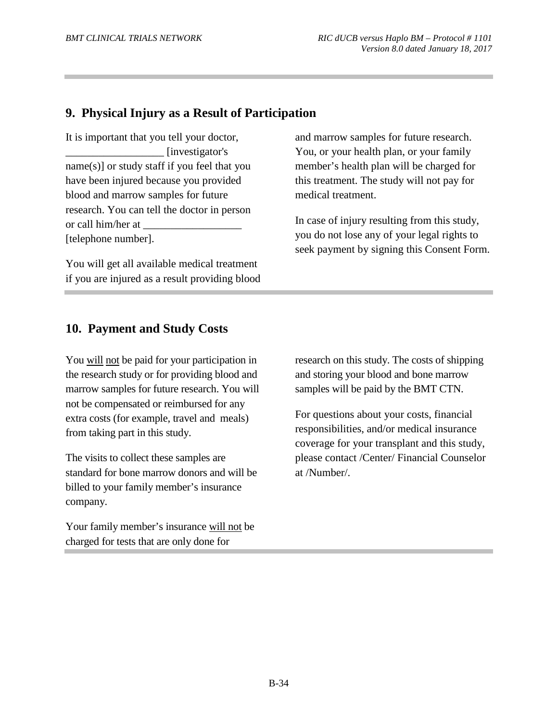## **9. Physical Injury as a Result of Participation**

It is important that you tell your doctor, \_\_\_\_\_\_\_\_\_\_\_\_\_\_\_\_\_\_ [investigator's name(s)] or study staff if you feel that you have been injured because you provided blood and marrow samples for future research. You can tell the doctor in person or call him/her at \_\_\_\_\_\_\_\_\_\_\_\_\_\_\_\_\_\_ [telephone number].

You will get all available medical treatment if you are injured as a result providing blood and marrow samples for future research. You, or your health plan, or your family member's health plan will be charged for this treatment. The study will not pay for medical treatment.

In case of injury resulting from this study, you do not lose any of your legal rights to seek payment by signing this Consent Form.

## **10. Payment and Study Costs**

You will not be paid for your participation in the research study or for providing blood and marrow samples for future research. You will not be compensated or reimbursed for any extra costs (for example, travel and meals) from taking part in this study.

The visits to collect these samples are standard for bone marrow donors and will be billed to your family member's insurance company.

Your family member's insurance will not be charged for tests that are only done for

research on this study. The costs of shipping and storing your blood and bone marrow samples will be paid by the BMT CTN.

For questions about your costs, financial responsibilities, and/or medical insurance coverage for your transplant and this study, please contact /Center/ Financial Counselor at /Number/.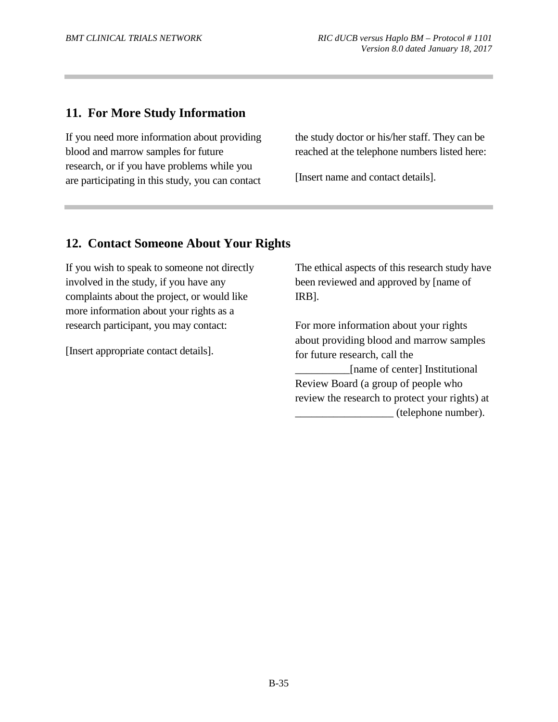## **11. For More Study Information**

If you need more information about providing blood and marrow samples for future research, or if you have problems while you are participating in this study, you can contact the study doctor or his/her staff. They can be reached at the telephone numbers listed here:

[Insert name and contact details].

## **12. Contact Someone About Your Rights**

If you wish to speak to someone not directly involved in the study, if you have any complaints about the project, or would like more information about your rights as a research participant, you may contact:

[Insert appropriate contact details].

The ethical aspects of this research study have been reviewed and approved by [name of IRB].

For more information about your rights about providing blood and marrow samples for future research, call the \_\_\_\_\_\_\_\_\_\_[name of center] Institutional Review Board (a group of people who review the research to protect your rights) at \_\_\_\_\_\_\_\_\_\_\_\_\_\_\_\_\_\_ (telephone number).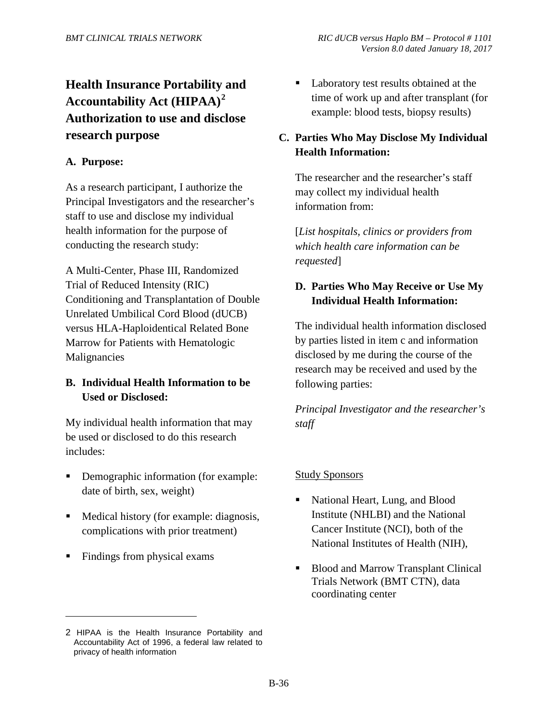# **Health Insurance Portability and Accountability Act (HIPAA) 2 Authorization to use and disclose research purpose**

#### **A. Purpose:**

As a research participant, I authorize the Principal Investigators and the researcher's staff to use and disclose my individual health information for the purpose of conducting the research study:

A Multi-Center, Phase III, Randomized Trial of Reduced Intensity (RIC) Conditioning and Transplantation of Double Unrelated Umbilical Cord Blood (dUCB) versus HLA-Haploidentical Related Bone Marrow for Patients with Hematologic Malignancies

### **B. Individual Health Information to be Used or Disclosed:**

My individual health information that may be used or disclosed to do this research includes:

- Demographic information (for example: date of birth, sex, weight).
- Medical history (for example: diagnosis, complications with prior treatment).
- Findings from physical exams.

 $\overline{a}$ 

■ Laboratory test results obtained at the time of work up and after transplant (for example: blood tests, biopsy results).

## **C. Parties Who May Disclose My Individual Health Information:**

The researcher and the researcher's staff may collect my individual health information from:

[*List hospitals, clinics or providers from which health care information can be requested*].

## **D. Parties Who May Receive or Use My Individual Health Information:**

The individual health information disclosed by parties listed in item c and information disclosed by me during the course of the research may be received and used by the following parties:

*Principal Investigator and the researcher's staff*

### Study Sponsors

- National Heart, Lung, and Blood Institute (NHLBI) and the National Cancer Institute (NCI), both of the National Institutes of Health (NIH),
- Blood and Marrow Transplant Clinical Trials Network (BMT CTN), data coordinating center

<sup>2</sup> HIPAA is the Health Insurance Portability and Accountability Act of 1996, a federal law related to privacy of health information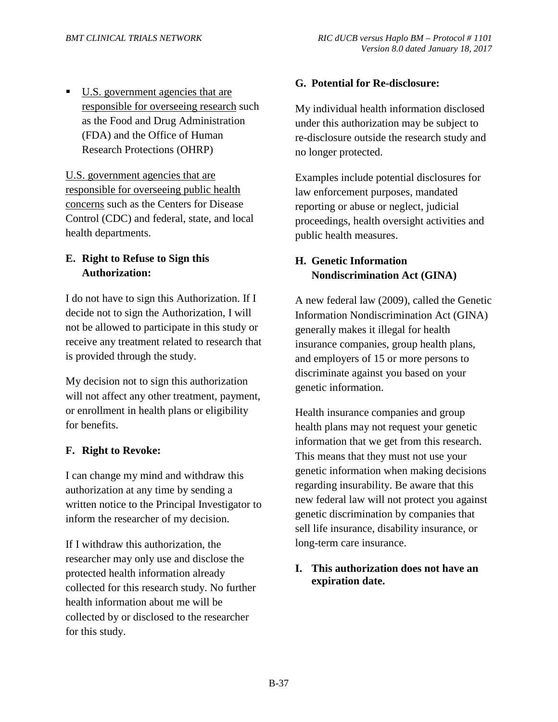U.S. government agencies that are responsible for overseeing research such as the Food and Drug Administration (FDA) and the Office of Human Research Protections (OHRP)

U.S. government agencies that are responsible for overseeing public health concerns such as the Centers for Disease Control (CDC) and federal, state, and local health departments.

## **E. Right to Refuse to Sign this Authorization:**

I do not have to sign this Authorization. If I decide not to sign the Authorization, I will not be allowed to participate in this study or receive any treatment related to research that is provided through the study.

My decision not to sign this authorization will not affect any other treatment, payment, or enrollment in health plans or eligibility for benefits.

## **F. Right to Revoke:**

I can change my mind and withdraw this authorization at any time by sending a written notice to the Principal Investigator to inform the researcher of my decision.

If I withdraw this authorization, the researcher may only use and disclose the protected health information already collected for this research study. No further health information about me will be collected by or disclosed to the researcher for this study.

### **G. Potential for Re-disclosure:**

My individual health information disclosed under this authorization may be subject to re-disclosure outside the research study and no longer protected.

Examples include potential disclosures for law enforcement purposes, mandated reporting or abuse or neglect, judicial proceedings, health oversight activities and public health measures.

## **H. Genetic Information Nondiscrimination Act (GINA)**

A new federal law (2009), called the Genetic Information Nondiscrimination Act (GINA) generally makes it illegal for health insurance companies, group health plans, and employers of 15 or more persons to discriminate against you based on your genetic information.

Health insurance companies and group health plans may not request your genetic information that we get from this research. This means that they must not use your genetic information when making decisions regarding insurability. Be aware that this new federal law will not protect you against genetic discrimination by companies that sell life insurance, disability insurance, or long-term care insurance.

#### **I. This authorization does not have an expiration date.**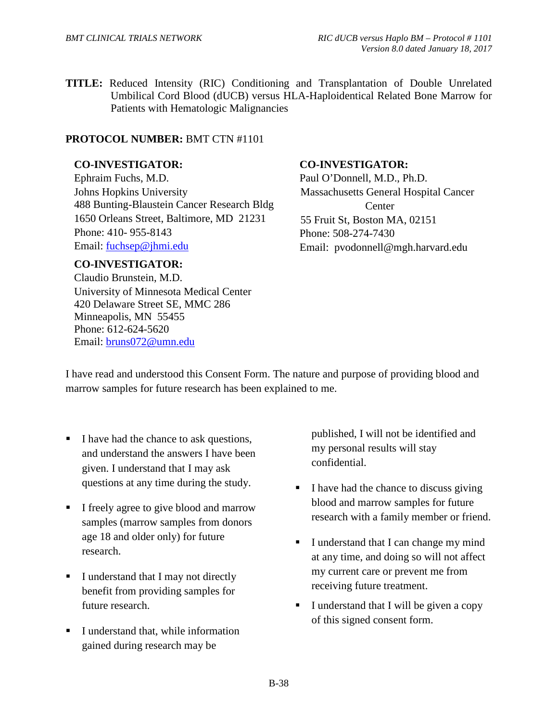**TITLE:** Reduced Intensity (RIC) Conditioning and Transplantation of Double Unrelated Umbilical Cord Blood (dUCB) versus HLA-Haploidentical Related Bone Marrow for Patients with Hematologic Malignancies

### **PROTOCOL NUMBER:** BMT CTN #1101

#### **CO-INVESTIGATOR:**

Ephraim Fuchs, M.D. Johns Hopkins University 488 Bunting-Blaustein Cancer Research Bldg 1650 Orleans Street, Baltimore, MD 21231 Phone: 410- 955-8143 Email: fuchsep@jhmi.edu

### **CO-INVESTIGATOR:**

Paul O'Donnell, M.D., Ph.D. Massachusetts General Hospital Cancer **Center** 55 Fruit St, Boston MA, 02151 Phone: 508-274-7430 Email: pvodonnell@mgh.harvard.edu

### **CO-INVESTIGATOR:**

Claudio Brunstein, M.D. University of Minnesota Medical Center 420 Delaware Street SE, MMC 286 Minneapolis, MN 55455 Phone: 612-624-5620 Email: bruns072@umn.edu

I have read and understood this Consent Form. The nature and purpose of providing blood and marrow samples for future research has been explained to me.

- I have had the chance to ask questions, and understand the answers I have been given. I understand that I may ask questions at any time during the study.
- I freely agree to give blood and marrow samples (marrow samples from donors age 18 and older only) for future research.
- I understand that I may not directly benefit from providing samples for future research.
- I understand that, while information gained during research may be

published, I will not be identified and my personal results will stay confidential.

- I have had the chance to discuss giving blood and marrow samples for future research with a family member or friend.
- I understand that I can change my mind at any time, and doing so will not affect my current care or prevent me from receiving future treatment.
- I understand that I will be given a copy of this signed consent form.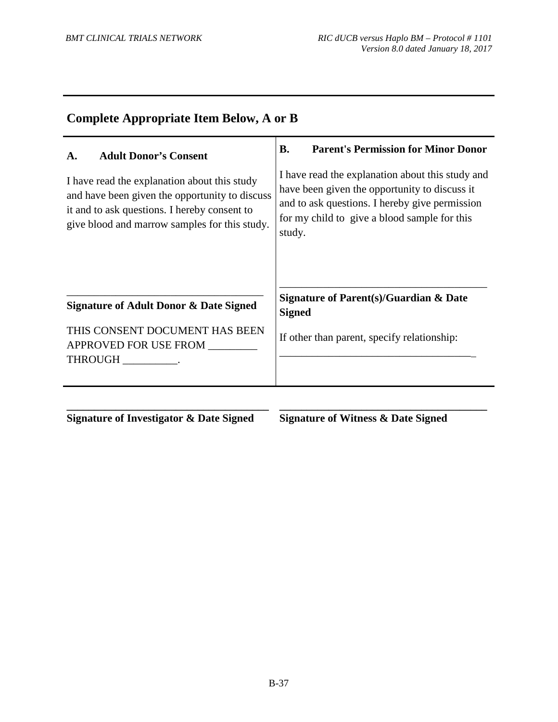| Complete Appropriate Lieni Below, A or B                                                                                                                                                        |                                                                                                                                                                                                               |  |
|-------------------------------------------------------------------------------------------------------------------------------------------------------------------------------------------------|---------------------------------------------------------------------------------------------------------------------------------------------------------------------------------------------------------------|--|
| <b>Adult Donor's Consent</b><br>A.                                                                                                                                                              | <b>Parent's Permission for Minor Donor</b><br><b>B.</b>                                                                                                                                                       |  |
| I have read the explanation about this study<br>and have been given the opportunity to discuss<br>it and to ask questions. I hereby consent to<br>give blood and marrow samples for this study. | I have read the explanation about this study and<br>have been given the opportunity to discuss it<br>and to ask questions. I hereby give permission<br>for my child to give a blood sample for this<br>study. |  |
| <b>Signature of Adult Donor &amp; Date Signed</b><br>THIS CONSENT DOCUMENT HAS BEEN<br>APPROVED FOR USE FROM<br>THROUGH ____________.                                                           | Signature of Parent(s)/Guardian & Date<br><b>Signed</b><br>If other than parent, specify relationship:                                                                                                        |  |

**Complete Appropriate Item Below, A or B**

**\_\_\_\_\_\_\_\_\_\_\_\_\_\_\_\_\_\_\_\_\_\_\_\_\_\_\_\_\_\_\_\_\_\_\_\_\_ Signature of Investigator & Date Signed**

**Signature of Witness & Date Signed**

**\_\_\_\_\_\_\_\_\_\_\_\_\_\_\_\_\_\_\_\_\_\_\_\_\_\_\_\_\_\_\_\_\_\_\_\_\_\_**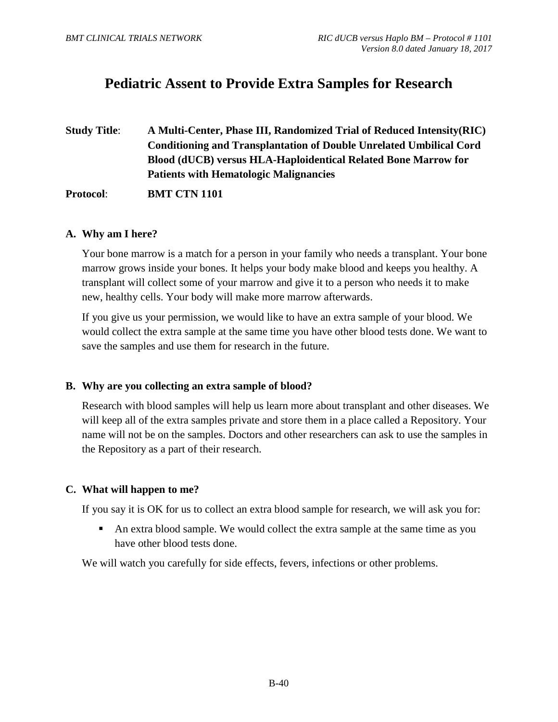# **Pediatric Assent to Provide Extra Samples for Research**

**Study Title**: **A Multi-Center, Phase III, Randomized Trial of Reduced Intensity(RIC) Conditioning and Transplantation of Double Unrelated Umbilical Cord Blood (dUCB) versus HLA-Haploidentical Related Bone Marrow for Patients with Hematologic Malignancies**

**Protocol**: **BMT CTN 1101**

#### **A. Why am I here?**

Your bone marrow is a match for a person in your family who needs a transplant. Your bone marrow grows inside your bones. It helps your body make blood and keeps you healthy. A transplant will collect some of your marrow and give it to a person who needs it to make new, healthy cells. Your body will make more marrow afterwards.

If you give us your permission, we would like to have an extra sample of your blood. We would collect the extra sample at the same time you have other blood tests done. We want to save the samples and use them for research in the future.

#### **B. Why are you collecting an extra sample of blood?**

Research with blood samples will help us learn more about transplant and other diseases. We will keep all of the extra samples private and store them in a place called a Repository. Your name will not be on the samples. Doctors and other researchers can ask to use the samples in the Repository as a part of their research.

#### **C. What will happen to me?**

If you say it is OK for us to collect an extra blood sample for research, we will ask you for:

An extra blood sample. We would collect the extra sample at the same time as you have other blood tests done.

We will watch you carefully for side effects, fevers, infections or other problems.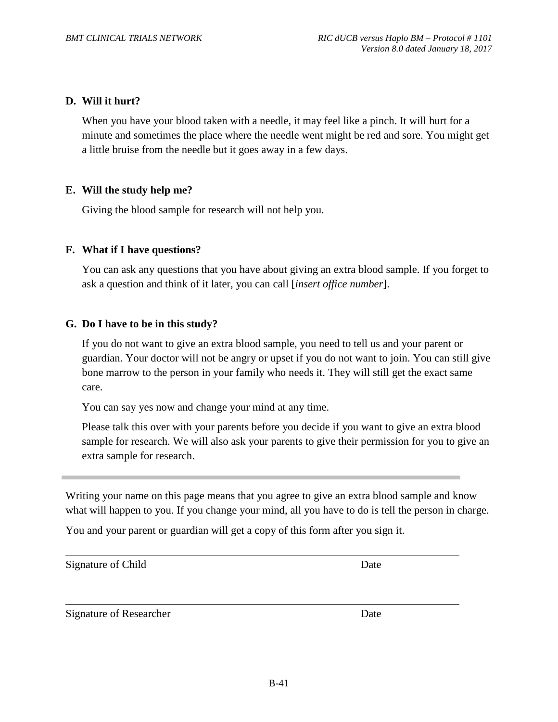### **D. Will it hurt?**

When you have your blood taken with a needle, it may feel like a pinch. It will hurt for a minute and sometimes the place where the needle went might be red and sore. You might get a little bruise from the needle but it goes away in a few days.

### **E. Will the study help me?**

Giving the blood sample for research will not help you.

### **F. What if I have questions?**

You can ask any questions that you have about giving an extra blood sample. If you forget to ask a question and think of it later, you can call [*insert office number*].

### **G. Do I have to be in this study?**

If you do not want to give an extra blood sample, you need to tell us and your parent or guardian. Your doctor will not be angry or upset if you do not want to join. You can still give bone marrow to the person in your family who needs it. They will still get the exact same care.

You can say yes now and change your mind at any time.

Please talk this over with your parents before you decide if you want to give an extra blood sample for research. We will also ask your parents to give their permission for you to give an extra sample for research.

Writing your name on this page means that you agree to give an extra blood sample and know what will happen to you. If you change your mind, all you have to do is tell the person in charge.

You and your parent or guardian will get a copy of this form after you sign it.

Signature of Child Date

Signature of Researcher Date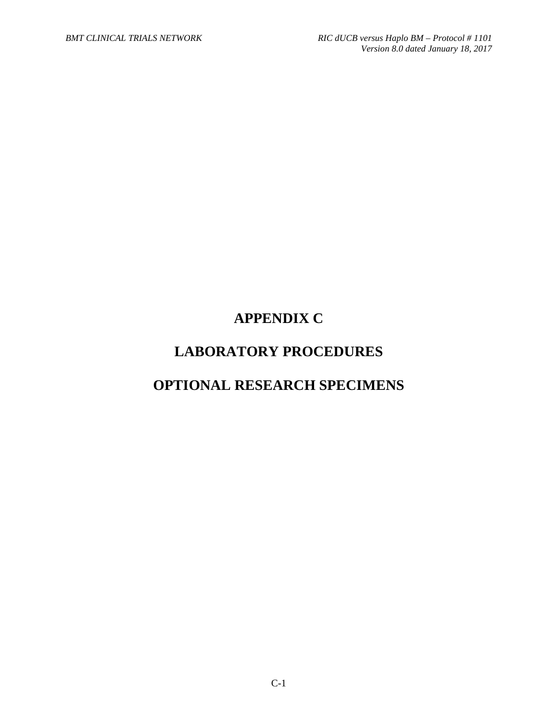## **APPENDIX C**

## **LABORATORY PROCEDURES**

## **OPTIONAL RESEARCH SPECIMENS**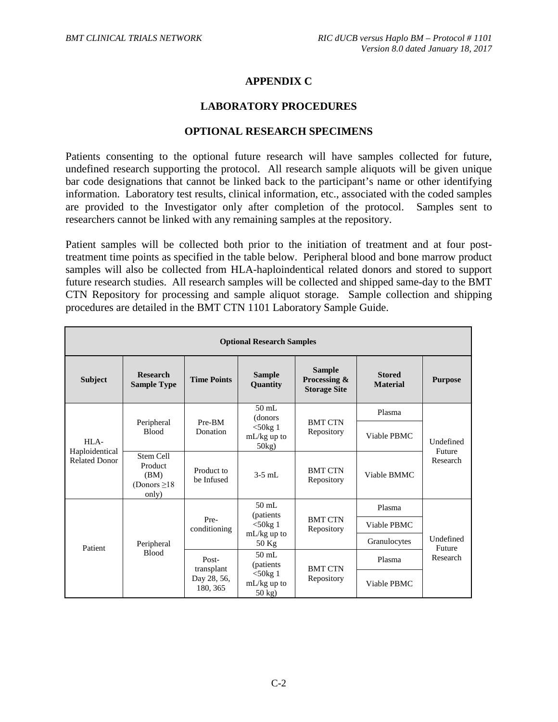## **APPENDIX C**

#### **LABORATORY PROCEDURES**

#### **OPTIONAL RESEARCH SPECIMENS**

Patients consenting to the optional future research will have samples collected for future, undefined research supporting the protocol. All research sample aliquots will be given unique bar code designations that cannot be linked back to the participant's name or other identifying information. Laboratory test results, clinical information, etc., associated with the coded samples are provided to the Investigator only after completion of the protocol. Samples sent to researchers cannot be linked with any remaining samples at the repository.

Patient samples will be collected both prior to the initiation of treatment and at four posttreatment time points as specified in the table below. Peripheral blood and bone marrow product samples will also be collected from HLA-haploindentical related donors and stored to support future research studies. All research samples will be collected and shipped same-day to the BMT CTN Repository for processing and sample aliquot storage. Sample collection and shipping procedures are detailed in the BMT CTN 1101 Laboratory Sample Guide.

| <b>Optional Research Samples</b>               |                                                            |                                                |                                                                              |                                                      |                                  |                                 |
|------------------------------------------------|------------------------------------------------------------|------------------------------------------------|------------------------------------------------------------------------------|------------------------------------------------------|----------------------------------|---------------------------------|
| <b>Subject</b>                                 | <b>Research</b><br><b>Sample Type</b>                      | <b>Time Points</b>                             | <b>Sample</b><br>Quantity                                                    | <b>Sample</b><br>Processing &<br><b>Storage Site</b> | <b>Stored</b><br><b>Material</b> | <b>Purpose</b>                  |
| HLA-<br>Haploidentical<br><b>Related Donor</b> | Peripheral<br><b>Blood</b>                                 | Pre-BM<br>Donation                             | $50 \text{ mL}$<br>(donors<br>$<$ 50 $kg1$<br>$mL/kg$ up to<br>$50\text{kg}$ | <b>BMT CTN</b><br>Repository                         | Plasma                           | Undefined<br>Future<br>Research |
|                                                |                                                            |                                                |                                                                              |                                                      | Viable PBMC                      |                                 |
|                                                | Stem Cell<br>Product<br>(BM)<br>(Donors $\geq 18$<br>only) | Product to<br>be Infused                       | $3-5$ mL                                                                     | <b>BMT CTN</b><br>Repository                         | Viable BMMC                      |                                 |
| Patient                                        | Peripheral<br><b>Blood</b>                                 | Pre-<br>conditioning                           | $50$ mL<br>(patients)<br>$<$ 50 $kg1$<br>$mL/kg$ up to<br>50 Kg              | <b>BMT CTN</b><br>Repository                         | Plasma                           | Undefined<br>Future<br>Research |
|                                                |                                                            |                                                |                                                                              |                                                      | Viable PBMC                      |                                 |
|                                                |                                                            |                                                |                                                                              |                                                      | Granulocytes                     |                                 |
|                                                |                                                            | Post-<br>transplant<br>Day 28, 56,<br>180, 365 | $50$ mL<br>(patients)<br>$<$ 50 $kg1$<br>$mL/kg$ up to<br>50 kg)             | <b>BMT CTN</b><br>Repository                         | Plasma                           |                                 |
|                                                |                                                            |                                                |                                                                              |                                                      | Viable PBMC                      |                                 |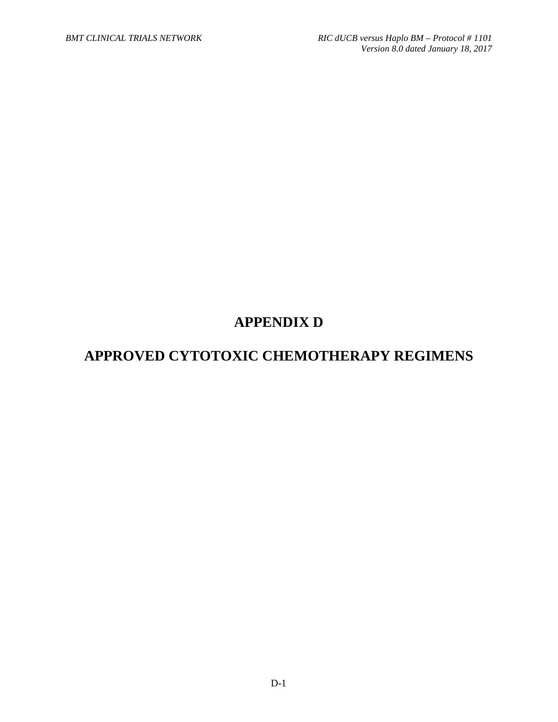# **APPENDIX D**

## **APPROVED CYTOTOXIC CHEMOTHERAPY REGIMENS**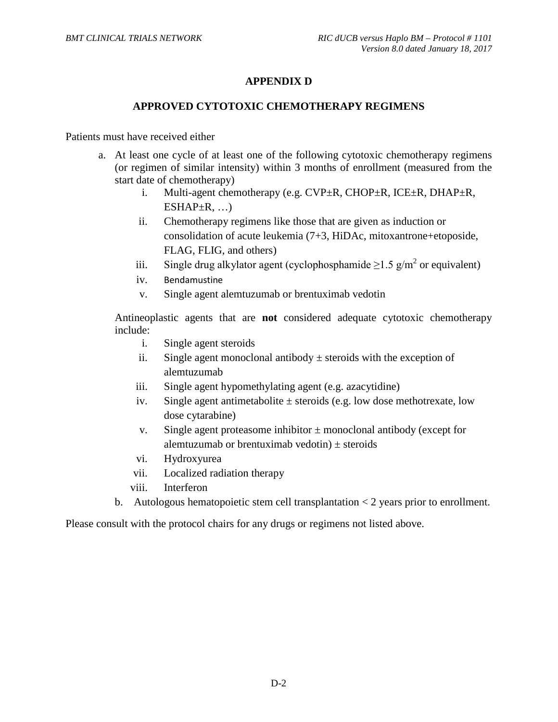## **APPENDIX D**

#### **APPROVED CYTOTOXIC CHEMOTHERAPY REGIMENS**

Patients must have received either

- a. At least one cycle of at least one of the following cytotoxic chemotherapy regimens (or regimen of similar intensity) within 3 months of enrollment (measured from the start date of chemotherapy)
	- i. Multi-agent chemotherapy (e.g. CVP±R, CHOP±R, ICE±R, DHAP±R,  $ESHAP<sub>±</sub>R, ...)$
	- ii. Chemotherapy regimens like those that are given as induction or consolidation of acute leukemia (7+3, HiDAc, mitoxantrone+etoposide, FLAG, FLIG, and others)
	- iii. Single drug alkylator agent (cyclophosphamide  $\geq 1.5$  g/m<sup>2</sup> or equivalent)
	- iv. Bendamustine
	- v. Single agent alemtuzumab or brentuximab vedotin

Antineoplastic agents that are **not** considered adequate cytotoxic chemotherapy include:

- i. Single agent steroids
- ii. Single agent monoclonal antibody  $\pm$  steroids with the exception of alemtuzumab
- iii. Single agent hypomethylating agent (e.g. azacytidine)
- iv. Single agent antimetabolite  $\pm$  steroids (e.g. low dose methotrexate, low dose cytarabine)
- v. Single agent proteasome inhibitor  $\pm$  monoclonal antibody (except for alemtuzumab or brentuximab vedotin)  $\pm$  steroids
- vi. Hydroxyurea
- vii. Localized radiation therapy
- viii. Interferon
- b. Autologous hematopoietic stem cell transplantation < 2 years prior to enrollment.

Please consult with the protocol chairs for any drugs or regimens not listed above.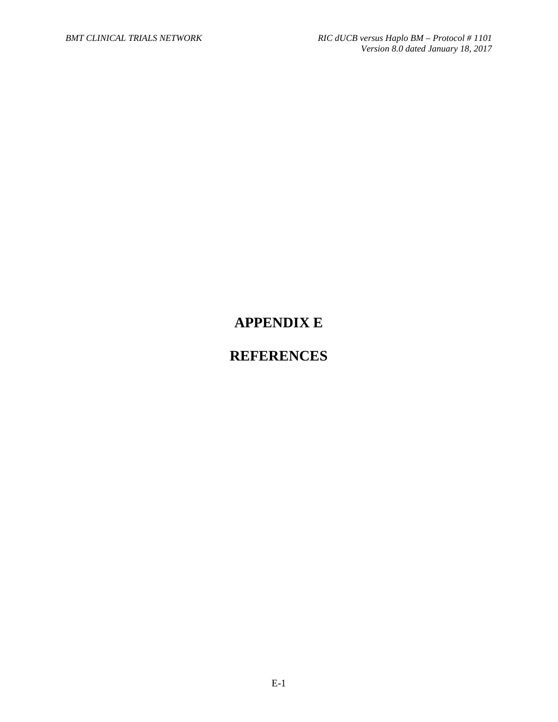## **APPENDIX E**

## **REFERENCES**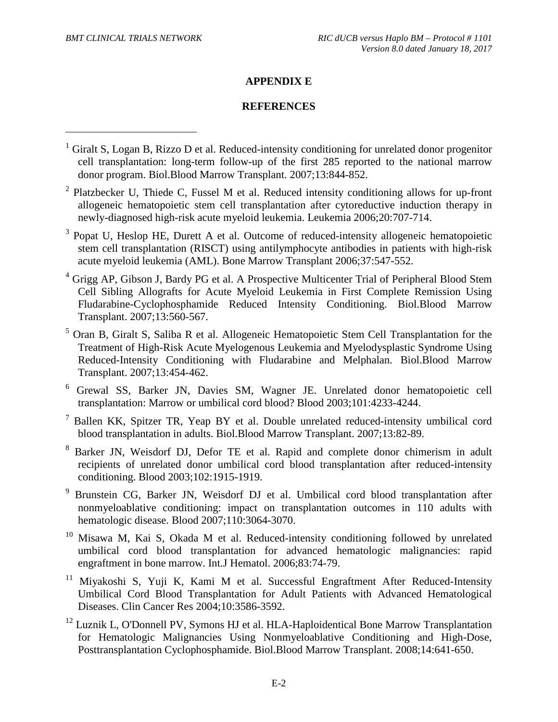$\overline{a}$ 

## **APPENDIX E**

#### **REFERENCES**

- $2$  Platzbecker U, Thiede C, Fussel M et al. Reduced intensity conditioning allows for up-front allogeneic hematopoietic stem cell transplantation after cytoreductive induction therapy in newly-diagnosed high-risk acute myeloid leukemia. Leukemia 2006;20:707-714.
- <sup>3</sup> Popat U, Heslop HE, Durett A et al. Outcome of reduced-intensity allogeneic hematopoietic stem cell transplantation (RISCT) using antilymphocyte antibodies in patients with high-risk acute myeloid leukemia (AML). Bone Marrow Transplant 2006;37:547-552.
- <sup>4</sup> Grigg AP, Gibson J, Bardy PG et al. A Prospective Multicenter Trial of Peripheral Blood Stem Cell Sibling Allografts for Acute Myeloid Leukemia in First Complete Remission Using Fludarabine-Cyclophosphamide Reduced Intensity Conditioning. Biol.Blood Marrow Transplant. 2007;13:560-567.
- <sup>5</sup> Oran B, Giralt S, Saliba R et al. Allogeneic Hematopoietic Stem Cell Transplantation for the Treatment of High-Risk Acute Myelogenous Leukemia and Myelodysplastic Syndrome Using Reduced-Intensity Conditioning with Fludarabine and Melphalan. Biol.Blood Marrow Transplant. 2007;13:454-462.
- <sup>6</sup> Grewal SS, Barker JN, Davies SM, Wagner JE. Unrelated donor hematopoietic cell transplantation: Marrow or umbilical cord blood? Blood 2003;101:4233-4244.
- <sup>7</sup> Ballen KK, Spitzer TR, Yeap BY et al. Double unrelated reduced-intensity umbilical cord blood transplantation in adults. Biol.Blood Marrow Transplant. 2007;13:82-89.
- <sup>8</sup> Barker JN, Weisdorf DJ, Defor TE et al. Rapid and complete donor chimerism in adult recipients of unrelated donor umbilical cord blood transplantation after reduced-intensity conditioning. Blood 2003;102:1915-1919.
- <sup>9</sup> Brunstein CG, Barker JN, Weisdorf DJ et al. Umbilical cord blood transplantation after nonmyeloablative conditioning: impact on transplantation outcomes in 110 adults with hematologic disease. Blood 2007;110:3064-3070.
- $10$  Misawa M, Kai S, Okada M et al. Reduced-intensity conditioning followed by unrelated umbilical cord blood transplantation for advanced hematologic malignancies: rapid engraftment in bone marrow. Int.J Hematol. 2006;83:74-79.
- <sup>11</sup> Miyakoshi S, Yuji K, Kami M et al. Successful Engraftment After Reduced-Intensity Umbilical Cord Blood Transplantation for Adult Patients with Advanced Hematological Diseases. Clin Cancer Res 2004;10:3586-3592.
- <sup>12</sup> Luznik L, O'Donnell PV, Symons HJ et al. HLA-Haploidentical Bone Marrow Transplantation for Hematologic Malignancies Using Nonmyeloablative Conditioning and High-Dose, Posttransplantation Cyclophosphamide. Biol.Blood Marrow Transplant. 2008;14:641-650.

<sup>&</sup>lt;sup>1</sup> Giralt S, Logan B, Rizzo D et al. Reduced-intensity conditioning for unrelated donor progenitor cell transplantation: long-term follow-up of the first 285 reported to the national marrow donor program. Biol.Blood Marrow Transplant. 2007;13:844-852.